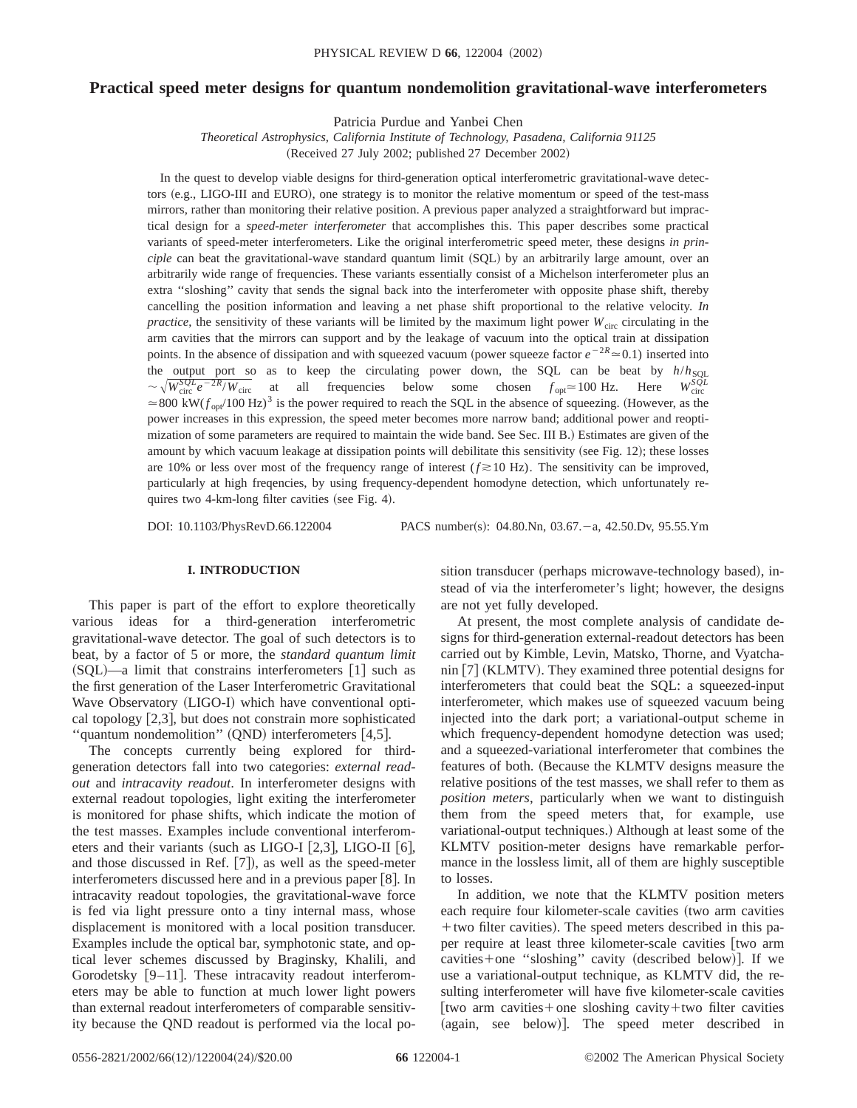# **Practical speed meter designs for quantum nondemolition gravitational-wave interferometers**

Patricia Purdue and Yanbei Chen

*Theoretical Astrophysics, California Institute of Technology, Pasadena, California 91125* (Received 27 July 2002; published 27 December 2002)

In the quest to develop viable designs for third-generation optical interferometric gravitational-wave detectors (e.g., LIGO-III and EURO), one strategy is to monitor the relative momentum or speed of the test-mass mirrors, rather than monitoring their relative position. A previous paper analyzed a straightforward but impractical design for a *speed-meter interferometer* that accomplishes this. This paper describes some practical variants of speed-meter interferometers. Like the original interferometric speed meter, these designs *in principle* can beat the gravitational-wave standard quantum limit (SQL) by an arbitrarily large amount, over an arbitrarily wide range of frequencies. These variants essentially consist of a Michelson interferometer plus an extra ''sloshing'' cavity that sends the signal back into the interferometer with opposite phase shift, thereby cancelling the position information and leaving a net phase shift proportional to the relative velocity. *In practice*, the sensitivity of these variants will be limited by the maximum light power  $W_{\text{circ}}$  circulating in the arm cavities that the mirrors can support and by the leakage of vacuum into the optical train at dissipation points. In the absence of dissipation and with squeezed vacuum (power squeeze factor  $e^{-2R} \approx 0.1$ ) inserted into the output port so as to keep the circulating power down, the SQL can be beat by  $h/h_{SOL}$ <br> $\sim \sqrt{W^S Q^L} e^{-2R/W}$  at all frequencies below some chosen  $f \approx 100 \text{ Hz}$  Hara  $W^S Q^L$  $\sim \sqrt{W_{\text{circ}}^{SQL} e^{-2R} / W_{\text{circ}}}$  at all frequencies below some chosen  $f_{\text{opt}} \approx 100 \text{ Hz}$ . Here  $W_{\text{circ}}^{SQL}$  $\sim \sqrt{W_{\text{circ}}^{SQL} e^{-2R} / W_{\text{circ}}}$  at all frequencies below some chosen  $f_{\text{opt}} \approx 100 \text{ Hz}$ . Here  $W_{\text{circ}}^{SQL}$ <br> $\approx 800 \text{ kW}(f_{\text{opt}}/100 \text{ Hz})^3$  is the power required to reach the SQL in the absence of squeezing. (However, as power increases in this expression, the speed meter becomes more narrow band; additional power and reoptimization of some parameters are required to maintain the wide band. See Sec. III B.) Estimates are given of the amount by which vacuum leakage at dissipation points will debilitate this sensitivity (see Fig. 12); these losses are 10% or less over most of the frequency range of interest  $(f \ge 10 \text{ Hz})$ . The sensitivity can be improved, particularly at high freqencies, by using frequency-dependent homodyne detection, which unfortunately requires two 4-km-long filter cavities (see Fig. 4).

DOI: 10.1103/PhysRevD.66.122004 PACS number(s): 04.80.Nn, 03.67. -a, 42.50.Dv, 95.55.Ym

# **I. INTRODUCTION**

This paper is part of the effort to explore theoretically various ideas for a third-generation interferometric gravitational-wave detector. The goal of such detectors is to beat, by a factor of 5 or more, the *standard quantum limit*  $(SQL)$ —a limit that constrains interferometers  $[1]$  such as the first generation of the Laser Interferometric Gravitational Wave Observatory (LIGO-I) which have conventional optical topology  $[2,3]$ , but does not constrain more sophisticated "quantum nondemolition"  $(QND)$  interferometers [4,5].

The concepts currently being explored for thirdgeneration detectors fall into two categories: *external readout* and *intracavity readout*. In interferometer designs with external readout topologies, light exiting the interferometer is monitored for phase shifts, which indicate the motion of the test masses. Examples include conventional interferometers and their variants (such as LIGO-I  $[2,3]$ , LIGO-II  $[6]$ , and those discussed in Ref.  $[7]$ , as well as the speed-meter interferometers discussed here and in a previous paper  $[8]$ . In intracavity readout topologies, the gravitational-wave force is fed via light pressure onto a tiny internal mass, whose displacement is monitored with a local position transducer. Examples include the optical bar, symphotonic state, and optical lever schemes discussed by Braginsky, Khalili, and Gorodetsky  $[9-11]$ . These intracavity readout interferometers may be able to function at much lower light powers than external readout interferometers of comparable sensitivity because the QND readout is performed via the local position transducer (perhaps microwave-technology based), instead of via the interferometer's light; however, the designs are not yet fully developed.

At present, the most complete analysis of candidate designs for third-generation external-readout detectors has been carried out by Kimble, Levin, Matsko, Thorne, and Vyatchanin  $[7]$  (KLMTV). They examined three potential designs for interferometers that could beat the SQL: a squeezed-input interferometer, which makes use of squeezed vacuum being injected into the dark port; a variational-output scheme in which frequency-dependent homodyne detection was used; and a squeezed-variational interferometer that combines the features of both. (Because the KLMTV designs measure the relative positions of the test masses, we shall refer to them as *position meters*, particularly when we want to distinguish them from the speed meters that, for example, use variational-output techniques.) Although at least some of the KLMTV position-meter designs have remarkable performance in the lossless limit, all of them are highly susceptible to losses.

In addition, we note that the KLMTV position meters each require four kilometer-scale cavities (two arm cavities  $+$  two filter cavities). The speed meters described in this paper require at least three kilometer-scale cavities [two arm  $cavity$  (described below)]. If we use a variational-output technique, as KLMTV did, the resulting interferometer will have five kilometer-scale cavities [two arm cavities+one sloshing cavity+two filter cavities (again, see below)]. The speed meter described in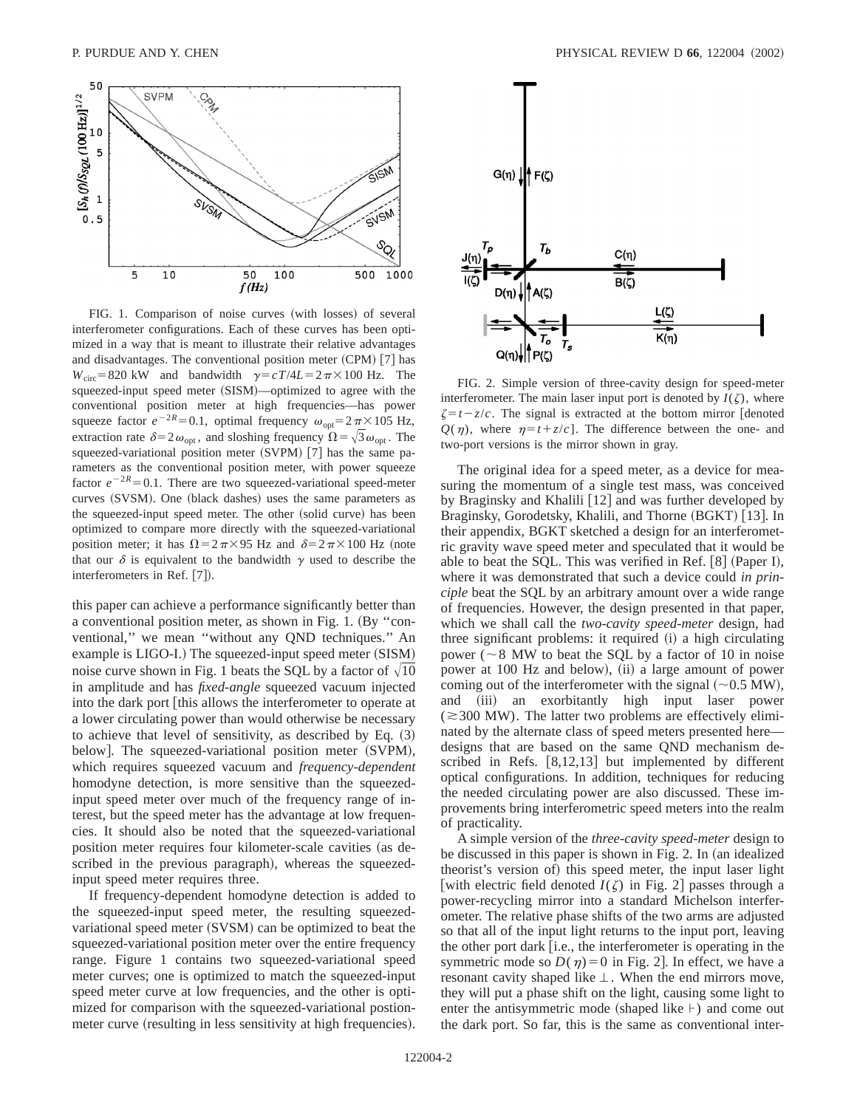

FIG. 1. Comparison of noise curves (with losses) of several interferometer configurations. Each of these curves has been optimized in a way that is meant to illustrate their relative advantages and disadvantages. The conventional position meter  $(CPM)$  [7] has  $W_{\text{circ}} = 820 \text{ kW}$  and bandwidth  $\gamma = cT/4L = 2\pi \times 100 \text{ Hz}$ . The squeezed-input speed meter (SISM)—optimized to agree with the conventional position meter at high frequencies—has power squeeze factor  $e^{-2R} = 0.1$ , optimal frequency  $\omega_{opt} = 2\pi \times 105$  Hz, extraction rate  $\delta=2\omega_{\text{opt}}$ , and sloshing frequency  $\Omega=\sqrt{3}\omega_{\text{opt}}$ . The squeezed-variational position meter (SVPM) [7] has the same parameters as the conventional position meter, with power squeeze factor  $e^{-2R}$ =0.1. There are two squeezed-variational speed-meter curves (SVSM). One (black dashes) uses the same parameters as the squeezed-input speed meter. The other (solid curve) has been optimized to compare more directly with the squeezed-variational position meter; it has  $\Omega = 2\pi \times 95$  Hz and  $\delta = 2\pi \times 100$  Hz (note that our  $\delta$  is equivalent to the bandwidth  $\gamma$  used to describe the interferometers in Ref. [7]).

this paper can achieve a performance significantly better than a conventional position meter, as shown in Fig. 1. (By "conventional,'' we mean ''without any QND techniques.'' An example is LIGO-I.) The squeezed-input speed meter (SISM) noise curve shown in Fig. 1 beats the SQL by a factor of  $\sqrt{10}$ in amplitude and has *fixed-angle* squeezed vacuum injected into the dark port [this allows the interferometer to operate at a lower circulating power than would otherwise be necessary to achieve that level of sensitivity, as described by Eq.  $(3)$ below]. The squeezed-variational position meter (SVPM), which requires squeezed vacuum and *frequency-dependent* homodyne detection, is more sensitive than the squeezedinput speed meter over much of the frequency range of interest, but the speed meter has the advantage at low frequencies. It should also be noted that the squeezed-variational position meter requires four kilometer-scale cavities (as described in the previous paragraph), whereas the squeezedinput speed meter requires three.

If frequency-dependent homodyne detection is added to the squeezed-input speed meter, the resulting squeezedvariational speed meter (SVSM) can be optimized to beat the squeezed-variational position meter over the entire frequency range. Figure 1 contains two squeezed-variational speed meter curves; one is optimized to match the squeezed-input speed meter curve at low frequencies, and the other is optimized for comparison with the squeezed-variational postionmeter curve (resulting in less sensitivity at high frequencies).



FIG. 2. Simple version of three-cavity design for speed-meter interferometer. The main laser input port is denoted by  $I(\zeta)$ , where  $\zeta = t - z/c$ . The signal is extracted at the bottom mirror [denoted  $Q(\eta)$ , where  $\eta = t + z/c$ . The difference between the one- and two-port versions is the mirror shown in gray.

The original idea for a speed meter, as a device for measuring the momentum of a single test mass, was conceived by Braginsky and Khalili  $\lceil 12 \rceil$  and was further developed by Braginsky, Gorodetsky, Khalili, and Thorne (BGKT) [13]. In their appendix, BGKT sketched a design for an interferometric gravity wave speed meter and speculated that it would be able to beat the SQL. This was verified in Ref.  $[8]$  (Paper I), where it was demonstrated that such a device could *in principle* beat the SQL by an arbitrary amount over a wide range of frequencies. However, the design presented in that paper, which we shall call the *two-cavity speed-meter* design, had three significant problems: it required  $(i)$  a high circulating power ( $\sim$ 8 MW to beat the SQL by a factor of 10 in noise power at 100 Hz and below), (ii) a large amount of power coming out of the interferometer with the signal  $(\sim 0.5 \text{ MW})$ , and (iii) an exorbitantly high input laser power  $(\approx 300 \text{ MW})$ . The latter two problems are effectively eliminated by the alternate class of speed meters presented here designs that are based on the same QND mechanism described in Refs.  $[8,12,13]$  but implemented by different optical configurations. In addition, techniques for reducing the needed circulating power are also discussed. These improvements bring interferometric speed meters into the realm of practicality.

A simple version of the *three-cavity speed-meter* design to be discussed in this paper is shown in Fig. 2. In (an idealized theorist's version of) this speed meter, the input laser light [with electric field denoted  $I(\zeta)$  in Fig. 2] passes through a power-recycling mirror into a standard Michelson interferometer. The relative phase shifts of the two arms are adjusted so that all of the input light returns to the input port, leaving the other port dark [i.e., the interferometer is operating in the symmetric mode so  $D(\eta)=0$  in Fig. 2. In effect, we have a resonant cavity shaped like  $\perp$ . When the end mirrors move, they will put a phase shift on the light, causing some light to enter the antisymmetric mode (shaped like  $\vdash$ ) and come out the dark port. So far, this is the same as conventional inter-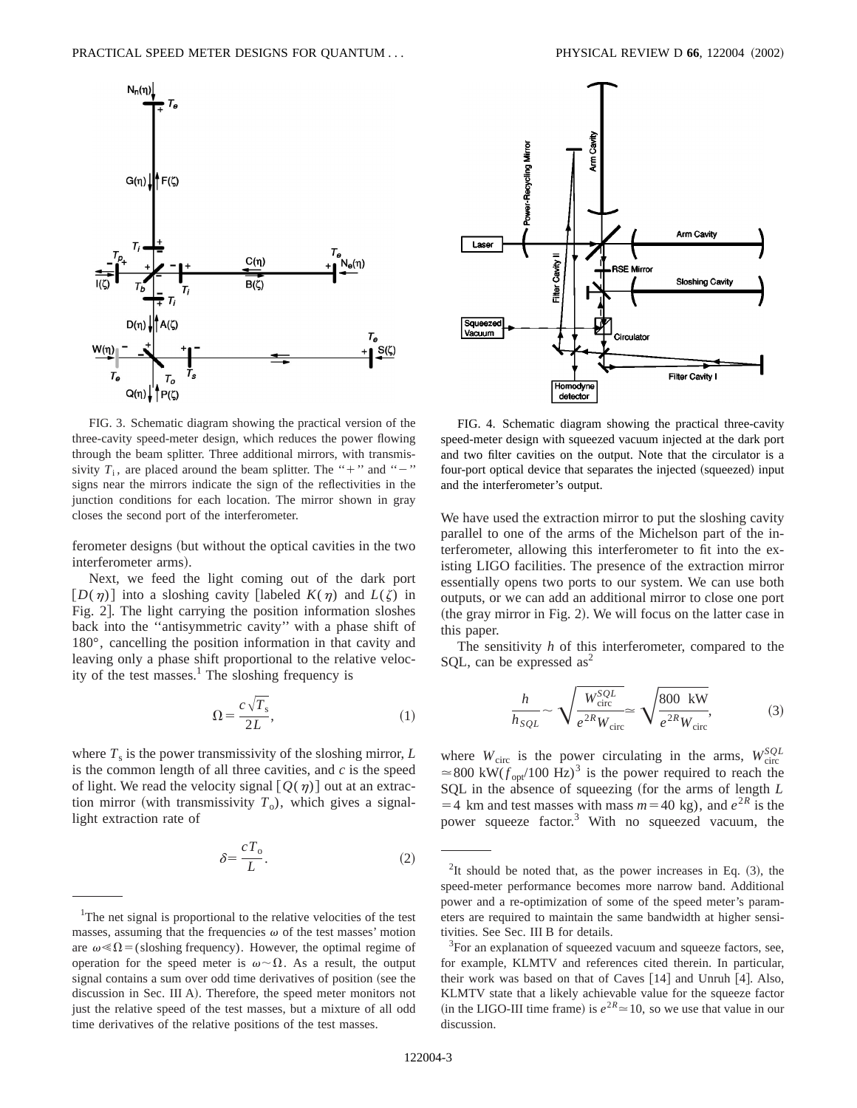



FIG. 3. Schematic diagram showing the practical version of the three-cavity speed-meter design, which reduces the power flowing through the beam splitter. Three additional mirrors, with transmissivity  $T_i$ , are placed around the beam splitter. The "+" and "-" signs near the mirrors indicate the sign of the reflectivities in the junction conditions for each location. The mirror shown in gray closes the second port of the interferometer.

ferometer designs (but without the optical cavities in the two interferometer arms).

Next, we feed the light coming out of the dark port  $[D(\eta)]$  into a sloshing cavity [labeled  $K(\eta)$  and  $L(\zeta)$  in Fig. 2. The light carrying the position information sloshes back into the ''antisymmetric cavity'' with a phase shift of 180°, cancelling the position information in that cavity and leaving only a phase shift proportional to the relative velocity of the test masses.<sup>1</sup> The sloshing frequency is

$$
\Omega = \frac{c\sqrt{T_s}}{2L},\tag{1}
$$

where  $T_s$  is the power transmissivity of the sloshing mirror,  $L$ is the common length of all three cavities, and *c* is the speed of light. We read the velocity signal  $[Q(\eta)]$  out at an extraction mirror (with transmissivity  $T_0$ ), which gives a signallight extraction rate of

$$
\delta = \frac{cT_o}{L}.\tag{2}
$$

FIG. 4. Schematic diagram showing the practical three-cavity speed-meter design with squeezed vacuum injected at the dark port and two filter cavities on the output. Note that the circulator is a four-port optical device that separates the injected (squeezed) input and the interferometer's output.

We have used the extraction mirror to put the sloshing cavity parallel to one of the arms of the Michelson part of the interferometer, allowing this interferometer to fit into the existing LIGO facilities. The presence of the extraction mirror essentially opens two ports to our system. We can use both outputs, or we can add an additional mirror to close one port (the gray mirror in Fig. 2). We will focus on the latter case in this paper.

The sensitivity *h* of this interferometer, compared to the SQL, can be expressed  $as<sup>2</sup>$ 

$$
\frac{h}{h_{SQL}} \sim \sqrt{\frac{W_{\text{circ}}^{SQL}}{e^{2R}W_{\text{circ}}} \simeq \sqrt{\frac{800 \text{ kW}}{e^{2R}W_{\text{circ}}}},\tag{3}
$$

where  $W_{\text{circ}}$  is the power circulating in the arms,  $W_{\text{circ}}^{SQL}$  $\approx 800 \text{ kW}(f_{\text{opt}}/100 \text{ Hz})^3$  is the power required to reach the SQL in the absence of squeezing (for the arms of length *L*  $=$  4 km and test masses with mass  $m$ = 40 kg), and  $e^{2R}$  is the power squeeze factor.3 With no squeezed vacuum, the

<sup>&</sup>lt;sup>1</sup>The net signal is proportional to the relative velocities of the test masses, assuming that the frequencies  $\omega$  of the test masses' motion are  $\omega \ll \Omega$  = (sloshing frequency). However, the optimal regime of operation for the speed meter is  $\omega \sim \Omega$ . As a result, the output signal contains a sum over odd time derivatives of position (see the discussion in Sec. III A). Therefore, the speed meter monitors not just the relative speed of the test masses, but a mixture of all odd time derivatives of the relative positions of the test masses.

<sup>&</sup>lt;sup>2</sup>It should be noted that, as the power increases in Eq.  $(3)$ , the speed-meter performance becomes more narrow band. Additional power and a re-optimization of some of the speed meter's parameters are required to maintain the same bandwidth at higher sensitivities. See Sec. III B for details.

<sup>&</sup>lt;sup>3</sup>For an explanation of squeezed vacuum and squeeze factors, see, for example, KLMTV and references cited therein. In particular, their work was based on that of Caves  $[14]$  and Unruh  $[4]$ . Also, KLMTV state that a likely achievable value for the squeeze factor (in the LIGO-III time frame) is  $e^{2R} \approx 10$ , so we use that value in our discussion.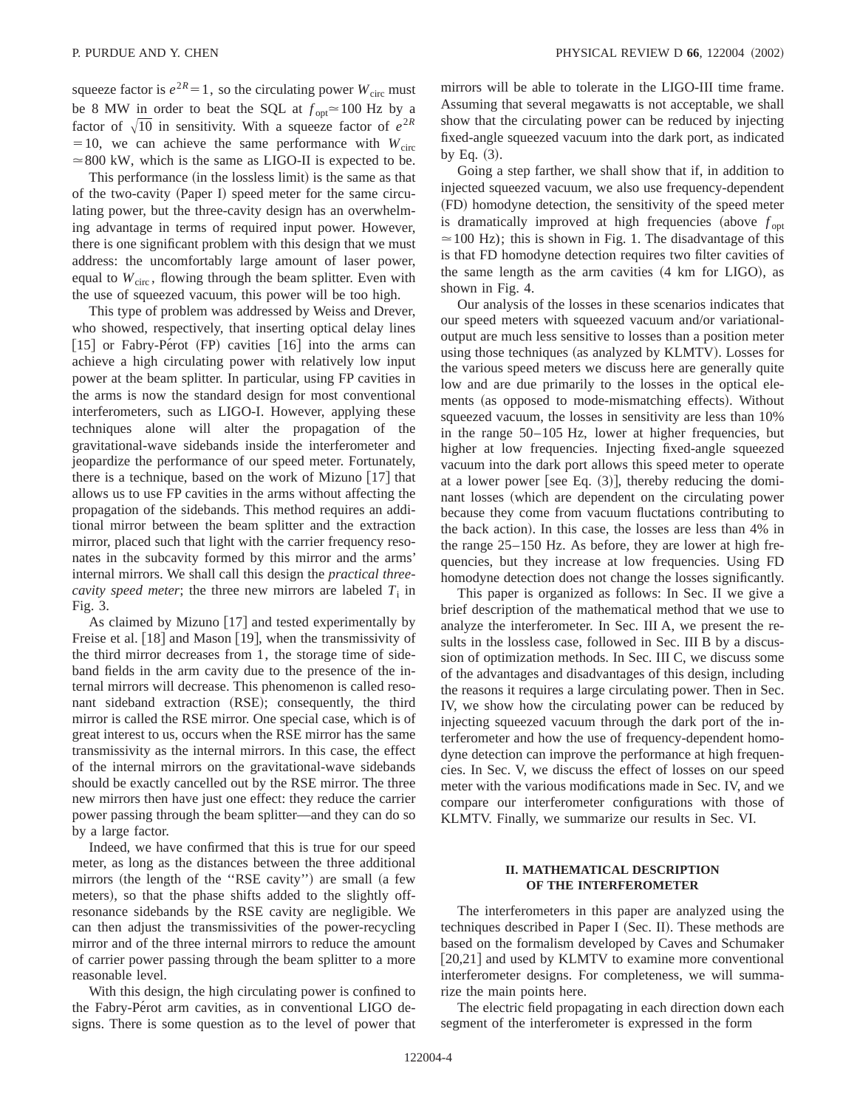squeeze factor is  $e^{2R} = 1$ , so the circulating power  $W_{\text{circ}}$  must be 8 MW in order to beat the SQL at  $f_{opt} \approx 100$  Hz by a factor of  $\sqrt{10}$  in sensitivity. With a squeeze factor of  $e^{2R}$  $=10$ , we can achieve the same performance with  $W_{\text{circ}}$  $\approx$  800 kW, which is the same as LIGO-II is expected to be.

This performance (in the lossless limit) is the same as that of the two-cavity (Paper I) speed meter for the same circulating power, but the three-cavity design has an overwhelming advantage in terms of required input power. However, there is one significant problem with this design that we must address: the uncomfortably large amount of laser power, equal to  $W_{circ}$ , flowing through the beam splitter. Even with the use of squeezed vacuum, this power will be too high.

This type of problem was addressed by Weiss and Drever, who showed, respectively, that inserting optical delay lines  $[15]$  or Fabry-Pérot (FP) cavities  $[16]$  into the arms can achieve a high circulating power with relatively low input power at the beam splitter. In particular, using FP cavities in the arms is now the standard design for most conventional interferometers, such as LIGO-I. However, applying these techniques alone will alter the propagation of the gravitational-wave sidebands inside the interferometer and jeopardize the performance of our speed meter. Fortunately, there is a technique, based on the work of Mizuno  $[17]$  that allows us to use FP cavities in the arms without affecting the propagation of the sidebands. This method requires an additional mirror between the beam splitter and the extraction mirror, placed such that light with the carrier frequency resonates in the subcavity formed by this mirror and the arms' internal mirrors. We shall call this design the *practical threecavity speed meter*; the three new mirrors are labeled  $T_i$  in Fig. 3.

As claimed by Mizuno  $[17]$  and tested experimentally by Freise et al.  $[18]$  and Mason  $[19]$ , when the transmissivity of the third mirror decreases from 1, the storage time of sideband fields in the arm cavity due to the presence of the internal mirrors will decrease. This phenomenon is called resonant sideband extraction (RSE); consequently, the third mirror is called the RSE mirror. One special case, which is of great interest to us, occurs when the RSE mirror has the same transmissivity as the internal mirrors. In this case, the effect of the internal mirrors on the gravitational-wave sidebands should be exactly cancelled out by the RSE mirror. The three new mirrors then have just one effect: they reduce the carrier power passing through the beam splitter—and they can do so by a large factor.

Indeed, we have confirmed that this is true for our speed meter, as long as the distances between the three additional mirrors (the length of the "RSE cavity") are small (a few meters), so that the phase shifts added to the slightly offresonance sidebands by the RSE cavity are negligible. We can then adjust the transmissivities of the power-recycling mirror and of the three internal mirrors to reduce the amount of carrier power passing through the beam splitter to a more reasonable level.

With this design, the high circulating power is confined to the Fabry-Pérot arm cavities, as in conventional LIGO designs. There is some question as to the level of power that mirrors will be able to tolerate in the LIGO-III time frame. Assuming that several megawatts is not acceptable, we shall show that the circulating power can be reduced by injecting fixed-angle squeezed vacuum into the dark port, as indicated by Eq.  $(3)$ .

Going a step farther, we shall show that if, in addition to injected squeezed vacuum, we also use frequency-dependent ~FD! homodyne detection, the sensitivity of the speed meter is dramatically improved at high frequencies (above  $f_{\text{opt}}$  $\approx$  100 Hz); this is shown in Fig. 1. The disadvantage of this is that FD homodyne detection requires two filter cavities of the same length as the arm cavities  $(4 \text{ km for LIGO})$ , as shown in Fig. 4.

Our analysis of the losses in these scenarios indicates that our speed meters with squeezed vacuum and/or variationaloutput are much less sensitive to losses than a position meter using those techniques (as analyzed by KLMTV). Losses for the various speed meters we discuss here are generally quite low and are due primarily to the losses in the optical elements (as opposed to mode-mismatching effects). Without squeezed vacuum, the losses in sensitivity are less than 10% in the range 50–105 Hz, lower at higher frequencies, but higher at low frequencies. Injecting fixed-angle squeezed vacuum into the dark port allows this speed meter to operate at a lower power [see Eq.  $(3)$ ], thereby reducing the dominant losses (which are dependent on the circulating power because they come from vacuum fluctations contributing to the back action). In this case, the losses are less than 4% in the range 25–150 Hz. As before, they are lower at high frequencies, but they increase at low frequencies. Using FD homodyne detection does not change the losses significantly.

This paper is organized as follows: In Sec. II we give a brief description of the mathematical method that we use to analyze the interferometer. In Sec. III A, we present the results in the lossless case, followed in Sec. III B by a discussion of optimization methods. In Sec. III C, we discuss some of the advantages and disadvantages of this design, including the reasons it requires a large circulating power. Then in Sec. IV, we show how the circulating power can be reduced by injecting squeezed vacuum through the dark port of the interferometer and how the use of frequency-dependent homodyne detection can improve the performance at high frequencies. In Sec. V, we discuss the effect of losses on our speed meter with the various modifications made in Sec. IV, and we compare our interferometer configurations with those of KLMTV. Finally, we summarize our results in Sec. VI.

# **II. MATHEMATICAL DESCRIPTION OF THE INTERFEROMETER**

The interferometers in this paper are analyzed using the techniques described in Paper I (Sec. II). These methods are based on the formalism developed by Caves and Schumaker  $[20,21]$  and used by KLMTV to examine more conventional interferometer designs. For completeness, we will summarize the main points here.

The electric field propagating in each direction down each segment of the interferometer is expressed in the form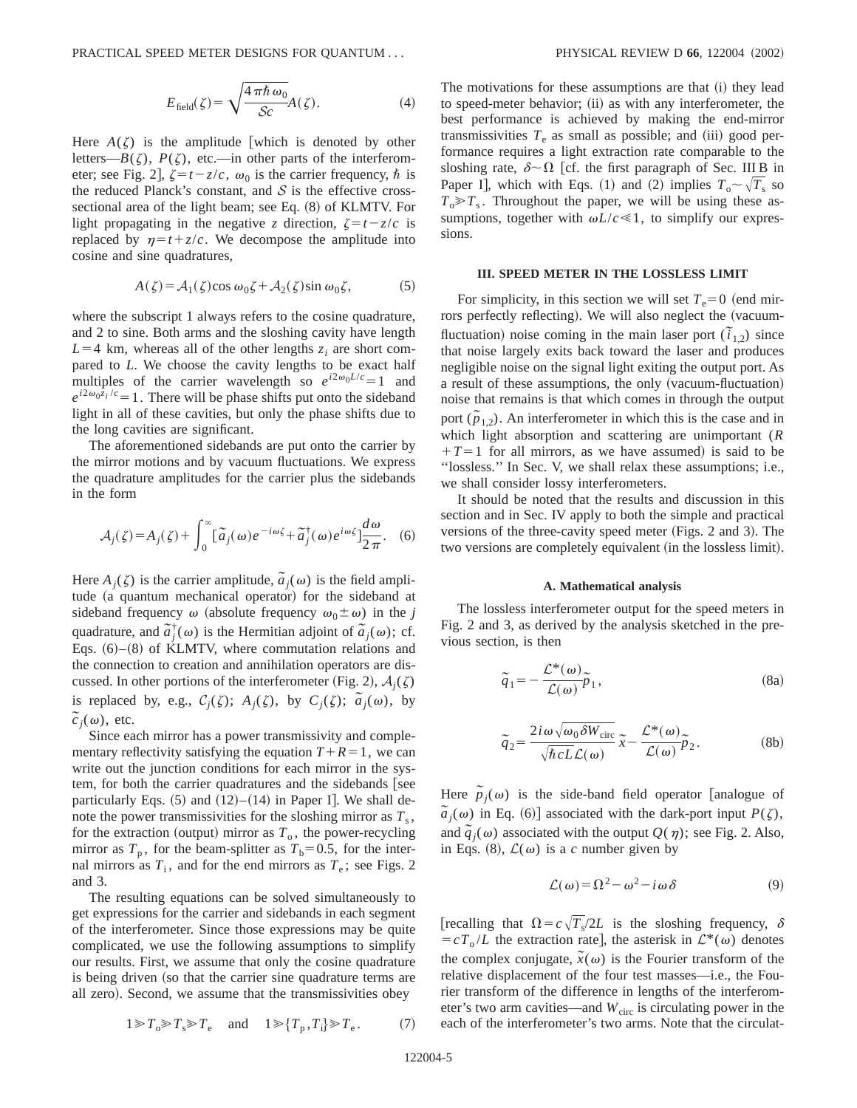PRACTICAL SPEED METER DESIGNS FOR QUANTUM . . . PHYSICAL REVIEW D **66**, 122004 ~2002!

$$
E_{\text{field}}(\zeta) = \sqrt{\frac{4\pi\hbar\,\omega_0}{\mathcal{S}c}}A(\zeta). \tag{4}
$$

Here  $A(\zeta)$  is the amplitude [which is denoted by other letters— $B(\zeta)$ ,  $P(\zeta)$ , etc.—in other parts of the interferometer; see Fig. 2],  $\zeta = t - z/c$ ,  $\omega_0$  is the carrier frequency,  $\hbar$  is the reduced Planck's constant, and  $S$  is the effective crosssectional area of the light beam; see Eq.  $(8)$  of KLMTV. For light propagating in the negative *z* direction,  $\zeta = t - z/c$  is replaced by  $\eta = t + z/c$ . We decompose the amplitude into cosine and sine quadratures,

$$
A(\zeta) = A_1(\zeta)\cos\omega_0\zeta + A_2(\zeta)\sin\omega_0\zeta, \tag{5}
$$

where the subscript 1 always refers to the cosine quadrature, and 2 to sine. Both arms and the sloshing cavity have length  $L=4$  km, whereas all of the other lengths  $z_i$  are short compared to *L*. We choose the cavity lengths to be exact half multiples of the carrier wavelength so  $e^{i2\omega_0 L/c} = 1$  and  $e^{i2\omega_0 z_i/c} = 1$ . There will be phase shifts put onto the sideband light in all of these cavities, but only the phase shifts due to the long cavities are significant.

The aforementioned sidebands are put onto the carrier by the mirror motions and by vacuum fluctuations. We express the quadrature amplitudes for the carrier plus the sidebands in the form

$$
\mathcal{A}_j(\zeta) = A_j(\zeta) + \int_0^\infty [\tilde{a}_j(\omega)e^{-i\omega\zeta} + \tilde{a}_j^{\dagger}(\omega)e^{i\omega\zeta}] \frac{d\omega}{2\pi}.
$$
 (6)

Here  $A_j(\zeta)$  is the carrier amplitude,  $\tilde{a}_j(\omega)$  is the field amplitude (a quantum mechanical operator) for the sideband at sideband frequency  $\omega$  (absolute frequency  $\omega_0 \pm \omega$ ) in the *j* quadrature, and  $\tilde{a}^{\dagger}_{j}(\omega)$  is the Hermitian adjoint of  $\tilde{a}_{j}(\omega)$ ; cf. Eqs.  $(6)$ – $(8)$  of KLMTV, where commutation relations and the connection to creation and annihilation operators are discussed. In other portions of the interferometer (Fig. 2),  $A_i(\zeta)$ is replaced by, e.g.,  $C_j(\zeta)$ ;  $A_j(\zeta)$ , by  $C_j(\zeta)$ ;  $\tilde{a}_j(\omega)$ , by  $\tilde{c}_j(\omega)$ , etc.

Since each mirror has a power transmissivity and complementary reflectivity satisfying the equation  $T+R=1$ , we can write out the junction conditions for each mirror in the system, for both the carrier quadratures and the sidebands [see particularly Eqs.  $(5)$  and  $(12)–(14)$  in Paper I. We shall denote the power transmissivities for the sloshing mirror as  $T_s$ , for the extraction (output) mirror as  $T<sub>o</sub>$ , the power-recycling mirror as  $T_p$ , for the beam-splitter as  $T_b=0.5$ , for the internal mirrors as  $T_i$ , and for the end mirrors as  $T_e$ ; see Figs. 2 and 3.

The resulting equations can be solved simultaneously to get expressions for the carrier and sidebands in each segment of the interferometer. Since those expressions may be quite complicated, we use the following assumptions to simplify our results. First, we assume that only the cosine quadrature is being driven (so that the carrier sine quadrature terms are all zero). Second, we assume that the transmissivities obey

 $1 \ge T_0 \ge T_s \ge T_e$  and  $1 \ge {T_p, T_i} \ge T_e$ . (7)

The motivations for these assumptions are that (i) they lead to speed-meter behavior; (ii) as with any interferometer, the best performance is achieved by making the end-mirror transmissivities  $T_e$  as small as possible; and (iii) good performance requires a light extraction rate comparable to the sloshing rate,  $\delta \sim \Omega$  [cf. the first paragraph of Sec. III B in Paper I], which with Eqs. (1) and (2) implies  $T_o \sim \sqrt{T_s}$  so  $T_0 \ge T_s$ . Throughout the paper, we will be using these assumptions, together with  $\omega L/c \ll 1$ , to simplify our expressions.

## **III. SPEED METER IN THE LOSSLESS LIMIT**

For simplicity, in this section we will set  $T_e = 0$  (end mirrors perfectly reflecting). We will also neglect the (vacuumfluctuation) noise coming in the main laser port  $(\tilde{i}_{1,2})$  since that noise largely exits back toward the laser and produces negligible noise on the signal light exiting the output port. As a result of these assumptions, the only (vacuum-fluctuation) noise that remains is that which comes in through the output port  $(\tilde{p}_{1,2})$ . An interferometer in which this is the case and in which light absorption and scattering are unimportant (*R*  $+T=1$  for all mirrors, as we have assumed) is said to be ''lossless.'' In Sec. V, we shall relax these assumptions; i.e., we shall consider lossy interferometers.

It should be noted that the results and discussion in this section and in Sec. IV apply to both the simple and practical versions of the three-cavity speed meter (Figs. 2 and 3). The two versions are completely equivalent (in the lossless limit).

## **A. Mathematical analysis**

The lossless interferometer output for the speed meters in Fig. 2 and 3, as derived by the analysis sketched in the previous section, is then

$$
\tilde{q}_1 = -\frac{\mathcal{L}^*(\omega)}{\mathcal{L}(\omega)} \tilde{p}_1,
$$
\n(8a)

$$
\tilde{q}_2 = \frac{2i\omega\sqrt{\omega_0}\delta W_{\text{circ}}}{\sqrt{\hbar cL}\mathcal{L}(\omega)}\tilde{x} - \frac{\mathcal{L}^*(\omega)}{\mathcal{L}(\omega)}\tilde{p}_2.
$$
 (8b)

Here  $\tilde{p}_j(\omega)$  is the side-band field operator [analogue of  $\tilde{a}_j(\omega)$  in Eq. (6)] associated with the dark-port input *P*( $\zeta$ ), and  $\tilde{q}_j(\omega)$  associated with the output  $Q(\eta)$ ; see Fig. 2. Also, in Eqs. (8),  $\mathcal{L}(\omega)$  is a *c* number given by

$$
\mathcal{L}(\omega) = \Omega^2 - \omega^2 - i\omega\delta \tag{9}
$$

[recalling that  $\Omega = c\sqrt{T_s}/2L$  is the sloshing frequency,  $\delta$  $= cT_0/L$  the extraction rate], the asterisk in  $\mathcal{L}^*(\omega)$  denotes the complex conjugate,  $\tilde{x}(\omega)$  is the Fourier transform of the relative displacement of the four test masses—i.e., the Fourier transform of the difference in lengths of the interferometer's two arm cavities—and  $W_{\text{circ}}$  is circulating power in the each of the interferometer's two arms. Note that the circulat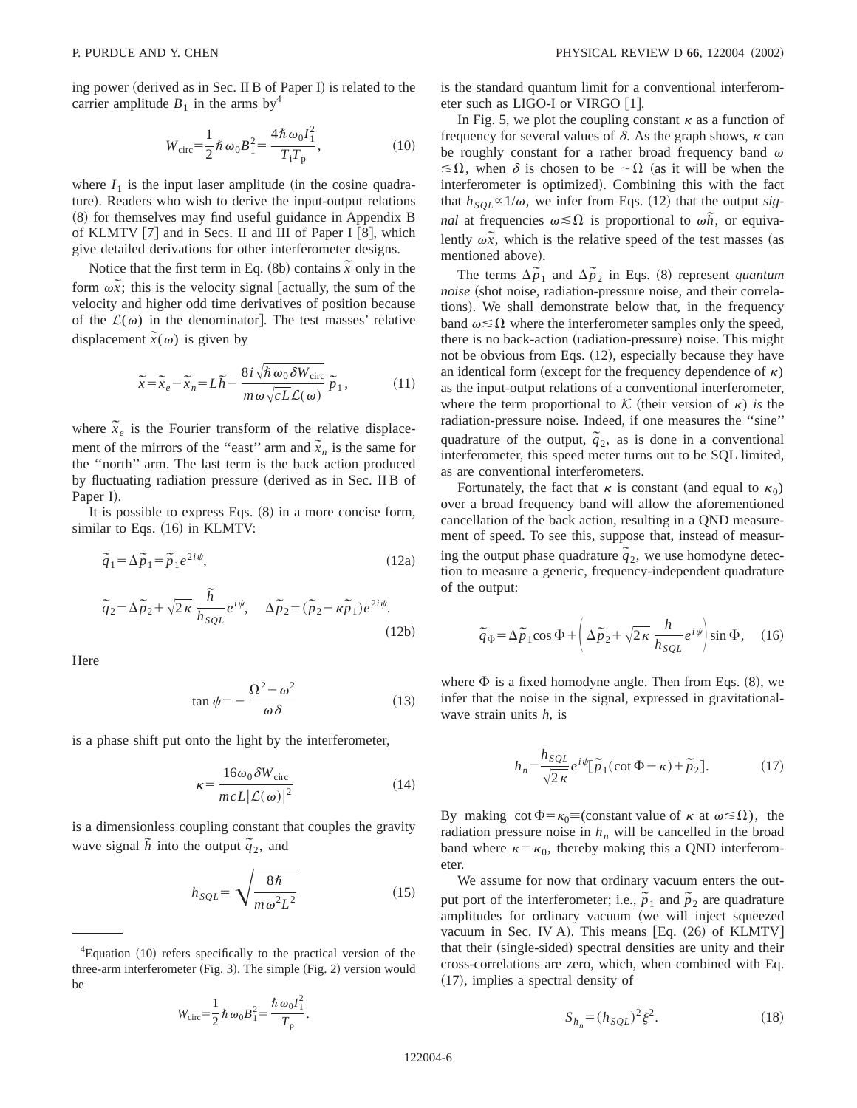ing power (derived as in Sec. II B of Paper I) is related to the carrier amplitude  $B_1$  in the arms by<sup>4</sup>

$$
W_{\rm circ} = \frac{1}{2} \hbar \omega_0 B_1^2 = \frac{4 \hbar \omega_0 I_1^2}{T_1 T_p},
$$
 (10)

where  $I_1$  is the input laser amplitude (in the cosine quadrature). Readers who wish to derive the input-output relations  $(8)$  for themselves may find useful guidance in Appendix B of KLMTV  $[7]$  and in Secs. II and III of Paper I  $[8]$ , which give detailed derivations for other interferometer designs.

Notice that the first term in Eq.  $(8b)$  contains  $\tilde{x}$  only in the form  $\omega \tilde{x}$ ; this is the velocity signal [actually, the sum of the velocity and higher odd time derivatives of position because of the  $\mathcal{L}(\omega)$  in the denominator]. The test masses' relative displacement  $\tilde{x}(\omega)$  is given by

$$
\tilde{x} = \tilde{x}_e - \tilde{x}_n = L\tilde{h} - \frac{8i\sqrt{\hbar\omega_0\delta W_{\text{circ}}}}{m\omega\sqrt{cL}\mathcal{L}(\omega)}\tilde{p}_1, \qquad (11)
$$

where  $\tilde{x}_e$  is the Fourier transform of the relative displacement of the mirrors of the "east" arm and  $\tilde{x}_n$  is the same for the ''north'' arm. The last term is the back action produced by fluctuating radiation pressure (derived as in Sec. II B of Paper I).

It is possible to express Eqs.  $(8)$  in a more concise form, similar to Eqs.  $(16)$  in KLMTV:

$$
\tilde{q}_1 = \Delta \tilde{p}_1 = \tilde{p}_1 e^{2i\psi},\tag{12a}
$$

$$
\tilde{q}_2 = \Delta \tilde{p}_2 + \sqrt{2\kappa} \frac{\tilde{h}}{h_{SQL}} e^{i\psi}, \quad \Delta \tilde{p}_2 = (\tilde{p}_2 - \kappa \tilde{p}_1) e^{2i\psi}.
$$
\n(12b)

Here

$$
\tan \psi = -\frac{\Omega^2 - \omega^2}{\omega \delta} \tag{13}
$$

is a phase shift put onto the light by the interferometer,

$$
\kappa = \frac{16\omega_0 \delta W_{\rm circ}}{mcL|\mathcal{L}(\omega)|^2}
$$
 (14)

is a dimensionless coupling constant that couples the gravity wave signal  $\tilde{h}$  into the output  $\tilde{q}_2$ , and

$$
h_{SQL} = \sqrt{\frac{8\hbar}{m\omega^2 L^2}}\tag{15}
$$

.

$$
W_{\rm circ} = \frac{1}{2} \hbar \omega_0 B_1^2 = \frac{\hbar \omega_0 I_1^2}{T_{\rm p}}
$$

is the standard quantum limit for a conventional interferometer such as LIGO-I or VIRGO [1].

In Fig. 5, we plot the coupling constant  $\kappa$  as a function of frequency for several values of  $\delta$ . As the graph shows,  $\kappa$  can be roughly constant for a rather broad frequency band  $\omega$  $\leq \Omega$ , when  $\delta$  is chosen to be  $\sim \Omega$  (as it will be when the interferometer is optimized). Combining this with the fact that  $h_{SQL} \propto 1/\omega$ , we infer from Eqs. (12) that the output *signal* at frequencies  $\omega \le \Omega$  is proportional to  $\omega \tilde{h}$ , or equivalently  $\omega \tilde{x}$ , which is the relative speed of the test masses (as mentioned above).

The terms  $\Delta \tilde{p}_1$  and  $\Delta \tilde{p}_2$  in Eqs. (8) represent *quantum noise* (shot noise, radiation-pressure noise, and their correlations). We shall demonstrate below that, in the frequency band  $\omega \leq \Omega$  where the interferometer samples only the speed, there is no back-action (radiation-pressure) noise. This might not be obvious from Eqs.  $(12)$ , especially because they have an identical form (except for the frequency dependence of  $\kappa$ ) as the input-output relations of a conventional interferometer, where the term proportional to K (their version of  $\kappa$ ) *is* the radiation-pressure noise. Indeed, if one measures the ''sine'' quadrature of the output,  $\tilde{q}_2$ , as is done in a conventional interferometer, this speed meter turns out to be SQL limited, as are conventional interferometers.

Fortunately, the fact that  $\kappa$  is constant (and equal to  $\kappa_0$ ) over a broad frequency band will allow the aforementioned cancellation of the back action, resulting in a QND measurement of speed. To see this, suppose that, instead of measuring the output phase quadrature  $\tilde{q}_2$ , we use homodyne detection to measure a generic, frequency-independent quadrature of the output:

$$
\tilde{q}_{\Phi} = \Delta \tilde{p}_1 \cos \Phi + \left( \Delta \tilde{p}_2 + \sqrt{2\kappa} \frac{h}{h_{SQL}} e^{i\psi} \right) \sin \Phi, \quad (16)
$$

where  $\Phi$  is a fixed homodyne angle. Then from Eqs. (8), we infer that the noise in the signal, expressed in gravitationalwave strain units *h*, is

$$
h_n = \frac{h_{SQL}}{\sqrt{2\,\kappa}} e^{i\psi} [\tilde{p}_1(\cot \Phi - \kappa) + \tilde{p}_2]. \tag{17}
$$

By making  $\cot \Phi = \kappa_0 \equiv$  (constant value of  $\kappa$  at  $\omega \le \Omega$ ), the radiation pressure noise in  $h_n$  will be cancelled in the broad band where  $\kappa = \kappa_0$ , thereby making this a QND interferometer.

We assume for now that ordinary vacuum enters the output port of the interferometer; i.e.,  $\tilde{p}_1$  and  $\tilde{p}_2$  are quadrature amplitudes for ordinary vacuum (we will inject squeezed vacuum in Sec. IV A). This means  $[Eq. (26)$  of KLMTV $]$ that their (single-sided) spectral densities are unity and their cross-correlations are zero, which, when combined with Eq.  $(17)$ , implies a spectral density of

$$
S_{h_n} = (h_{SQL})^2 \xi^2.
$$
 (18)

 ${}^{4}$ Equation (10) refers specifically to the practical version of the three-arm interferometer (Fig. 3). The simple (Fig. 2) version would be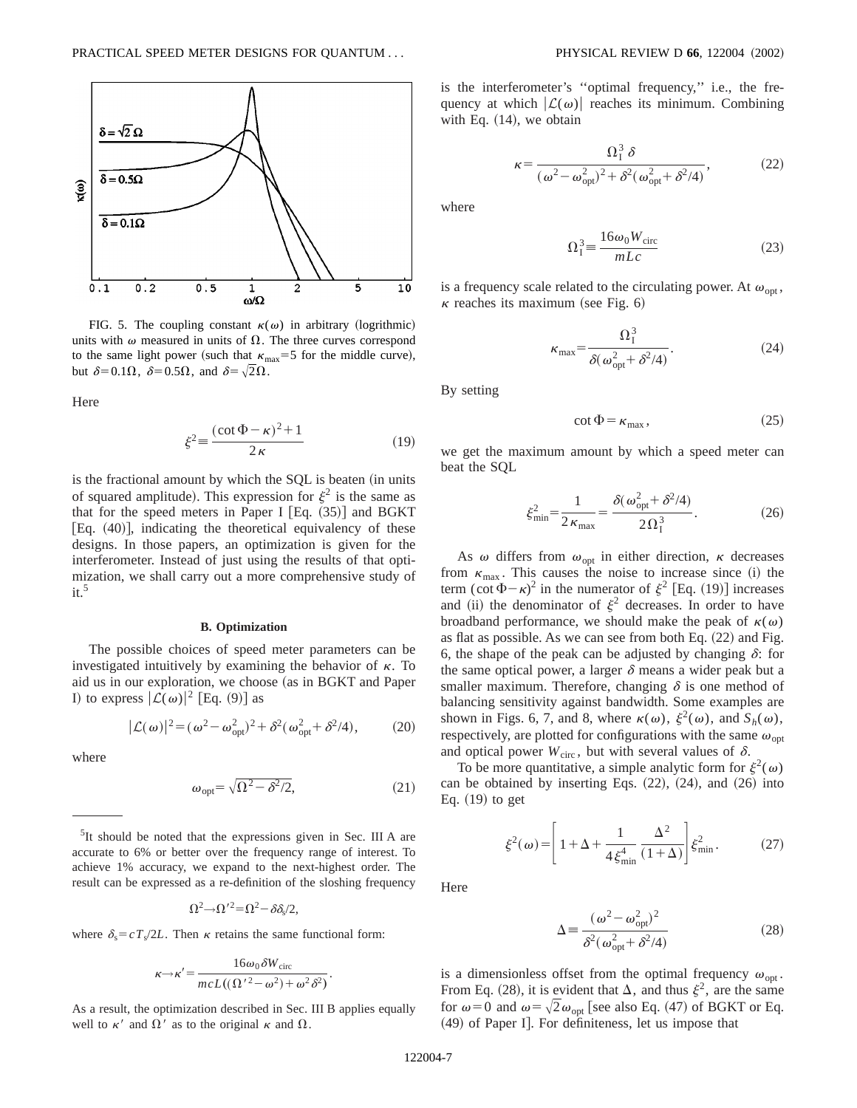

FIG. 5. The coupling constant  $\kappa(\omega)$  in arbitrary (logrithmic) units with  $\omega$  measured in units of  $\Omega$ . The three curves correspond to the same light power (such that  $\kappa_{\text{max}}=5$  for the middle curve), but  $\delta=0.1\Omega$ ,  $\delta=0.5\Omega$ , and  $\delta=\sqrt{2}\Omega$ .

Here

$$
\xi^2 \equiv \frac{(\cot \Phi - \kappa)^2 + 1}{2\kappa} \tag{19}
$$

is the fractional amount by which the SQL is beaten (in units of squared amplitude). This expression for  $\xi^2$  is the same as that for the speed meters in Paper I  $\text{Eq. } (35)$  and BGKT [Eq.  $(40)$ ], indicating the theoretical equivalency of these designs. In those papers, an optimization is given for the interferometer. Instead of just using the results of that optimization, we shall carry out a more comprehensive study of  $it.<sup>5</sup>$ 

#### **B. Optimization**

The possible choices of speed meter parameters can be investigated intuitively by examining the behavior of  $\kappa$ . To aid us in our exploration, we choose (as in BGKT and Paper I) to express  $|\mathcal{L}(\omega)|^2$  [Eq. (9)] as

$$
|\mathcal{L}(\omega)|^2 = (\omega^2 - \omega_{\rm opt}^2)^2 + \delta^2(\omega_{\rm opt}^2 + \delta^2/4),\tag{20}
$$

where

$$
\omega_{\rm opt} = \sqrt{\Omega^2 - \delta^2/2},\tag{21}
$$

.

<sup>5</sup>It should be noted that the expressions given in Sec. III A are accurate to 6% or better over the frequency range of interest. To achieve 1% accuracy, we expand to the next-highest order. The result can be expressed as a re-definition of the sloshing frequency

$$
\Omega^2 \rightarrow \Omega^2 = \Omega^2 - \delta \delta_s / 2,
$$

where  $\delta_s = cT_s/2L$ . Then  $\kappa$  retains the same functional form:

$$
\kappa \rightarrow \kappa' = \frac{16\omega_0 \delta W_{\text{circ}}}{mcL((\Omega'^2 - \omega^2) + \omega^2 \delta^2)}
$$

As a result, the optimization described in Sec. III B applies equally well to  $\kappa'$  and  $\Omega'$  as to the original  $\kappa$  and  $\Omega$ .

is the interferometer's ''optimal frequency,'' i.e., the frequency at which  $|\mathcal{L}(\omega)|$  reaches its minimum. Combining with Eq.  $(14)$ , we obtain

$$
\kappa = \frac{\Omega_1^3 \delta}{(\omega^2 - \omega_{\rm opt}^2)^2 + \delta^2(\omega_{\rm opt}^2 + \delta^2/4)},\tag{22}
$$

where

$$
\Omega_1^3 = \frac{16\omega_0 W_{\text{circ}}}{mLc} \tag{23}
$$

is a frequency scale related to the circulating power. At  $\omega_{\text{opt}}$ ,  $\kappa$  reaches its maximum (see Fig. 6)

$$
\kappa_{\text{max}} = \frac{\Omega_1^3}{\delta(\omega_{\text{opt}}^2 + \delta^2/4)}.
$$
 (24)

By setting

$$
\cot \Phi = \kappa_{\text{max}}\,,\tag{25}
$$

we get the maximum amount by which a speed meter can beat the SQL

$$
\xi_{\min}^2 = \frac{1}{2\,\kappa_{\max}} = \frac{\delta(\,\omega_{\rm opt}^2 + \delta^2/4)}{2\,\Omega_1^3}.\tag{26}
$$

As  $\omega$  differs from  $\omega_{opt}$  in either direction,  $\kappa$  decreases from  $\kappa_{\text{max}}$ . This causes the noise to increase since (i) the term  $(\cot \Phi - \kappa)^2$  in the numerator of  $\xi^2$  [Eq. (19)] increases and (ii) the denominator of  $\xi^2$  decreases. In order to have broadband performance, we should make the peak of  $\kappa(\omega)$ as flat as possible. As we can see from both Eq.  $(22)$  and Fig. 6, the shape of the peak can be adjusted by changing  $\delta$ : for the same optical power, a larger  $\delta$  means a wider peak but a smaller maximum. Therefore, changing  $\delta$  is one method of balancing sensitivity against bandwidth. Some examples are shown in Figs. 6, 7, and 8, where  $\kappa(\omega)$ ,  $\xi^2(\omega)$ , and  $S_h(\omega)$ , respectively, are plotted for configurations with the same  $\omega_{\text{ont}}$ and optical power  $W_{\text{circ}}$ , but with several values of  $\delta$ .

To be more quantitative, a simple analytic form for  $\xi^2(\omega)$ can be obtained by inserting Eqs.  $(22)$ ,  $(24)$ , and  $(26)$  into Eq.  $(19)$  to get

$$
\xi^2(\omega) = \left[1 + \Delta + \frac{1}{4\xi_{\min}^4} \frac{\Delta^2}{(1 + \Delta)}\right] \xi_{\min}^2.
$$
 (27)

Here

$$
\Delta = \frac{(\omega^2 - \omega_{\rm opt}^2)^2}{\delta^2(\omega_{\rm opt}^2 + \delta^2/4)}
$$
(28)

is a dimensionless offset from the optimal frequency  $\omega_{\text{on}}$ . From Eq. (28), it is evident that  $\Delta$ , and thus  $\xi^2$ , are the same for  $\omega=0$  and  $\omega=\sqrt{2}\omega_{\text{opt}}$  [see also Eq. (47) of BGKT or Eq.  $(49)$  of Paper I]. For definiteness, let us impose that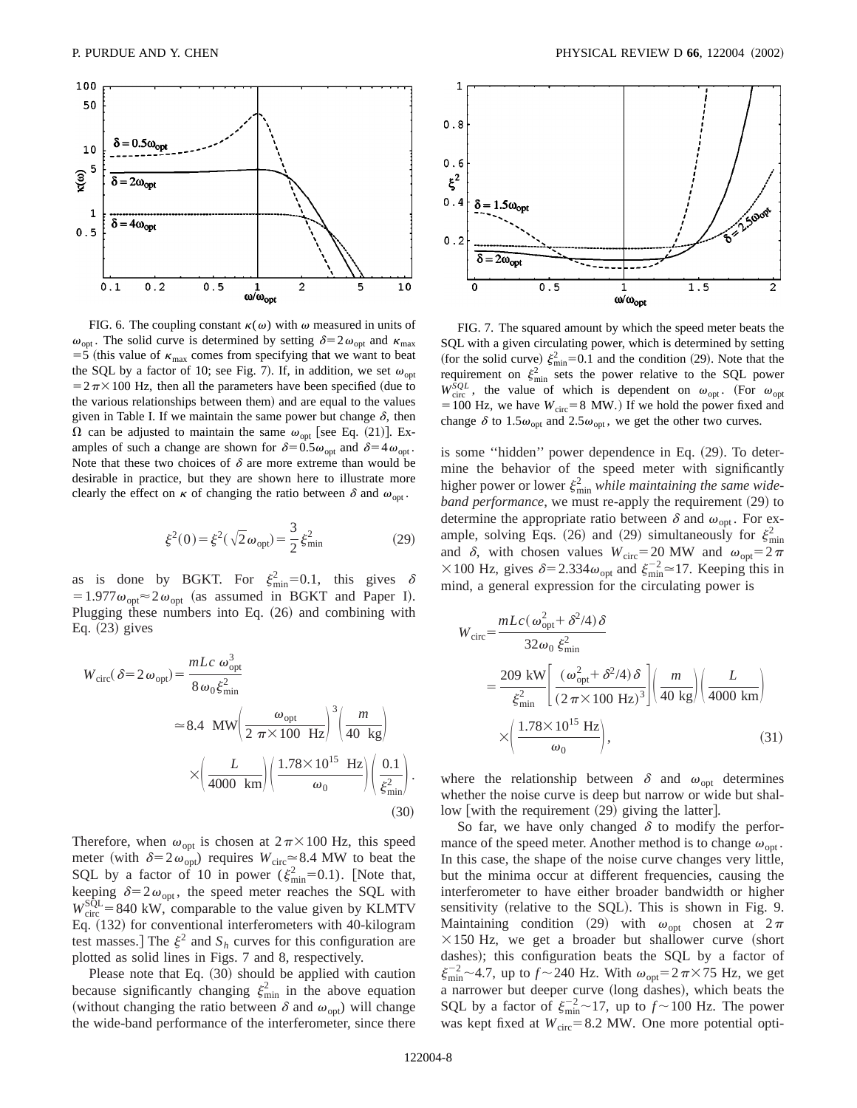

FIG. 6. The coupling constant  $\kappa(\omega)$  with  $\omega$  measured in units of  $\omega_{opt}$ . The solid curve is determined by setting  $\delta=2\omega_{opt}$  and  $\kappa_{max}$ =5 (this value of  $\kappa_{\text{max}}$  comes from specifying that we want to beat the SQL by a factor of 10; see Fig. 7). If, in addition, we set  $\omega_{\text{ont}}$  $=2\pi\times100$  Hz, then all the parameters have been specified (due to the various relationships between them) and are equal to the values given in Table I. If we maintain the same power but change  $\delta$ , then  $\Omega$  can be adjusted to maintain the same  $\omega_{opt}$  [see Eq. (21)]. Examples of such a change are shown for  $\delta=0.5\omega_{opt}$  and  $\delta=4\omega_{opt}$ . Note that these two choices of  $\delta$  are more extreme than would be desirable in practice, but they are shown here to illustrate more clearly the effect on  $\kappa$  of changing the ratio between  $\delta$  and  $\omega_{\text{on}}$ .

$$
\xi^2(0) = \xi^2(\sqrt{2}\,\omega_{\text{opt}}) = \frac{3}{2}\,\xi_{\text{min}}^2\tag{29}
$$

as is done by BGKT. For  $\xi_{\min}^2 = 0.1$ , this gives  $\delta$  $=1.977\omega_{opt} \approx 2\omega_{opt}$  (as assumed in BGKT and Paper I). Plugging these numbers into Eq.  $(26)$  and combining with Eq.  $(23)$  gives

$$
W_{\text{circ}}(\delta = 2 \omega_{\text{opt}}) = \frac{mLc \omega_{\text{opt}}^3}{8 \omega_0 \xi_{\text{min}}^2}
$$
  

$$
\approx 8.4 \text{ MW} \left( \frac{\omega_{\text{opt}}}{2 \pi \times 100 \text{ Hz}} \right)^3 \left( \frac{m}{40 \text{ kg}} \right)
$$
  

$$
\times \left( \frac{L}{4000 \text{ km}} \right) \left( \frac{1.78 \times 10^{15} \text{ Hz}}{\omega_0} \right) \left( \frac{0.1}{\xi_{\text{min}}^2} \right).
$$
(30)

Therefore, when  $\omega_{opt}$  is chosen at  $2\pi\times100$  Hz, this speed meter (with  $\delta=2\omega_{\rm opt}$ ) requires  $W_{\rm circ} \approx 8.4$  MW to beat the SQL by a factor of 10 in power ( $\xi_{\min}^2$ =0.1). [Note that, keeping  $\delta=2\omega_{\rm opt}$ , the speed meter reaches the SQL with  $W_{\text{circ}}^{\text{SQL}} = 840 \text{ kW}$ , comparable to the value given by KLMTV Eq. (132) for conventional interferometers with 40-kilogram test masses.] The  $\xi^2$  and  $S_h$  curves for this configuration are plotted as solid lines in Figs. 7 and 8, respectively.

Please note that Eq.  $(30)$  should be applied with caution because significantly changing  $\xi_{\min}^2$  in the above equation (without changing the ratio between  $\delta$  and  $\omega_{\text{opt}}$ ) will change the wide-band performance of the interferometer, since there



FIG. 7. The squared amount by which the speed meter beats the SQL with a given circulating power, which is determined by setting (for the solid curve)  $\xi_{\min}^2 = 0.1$  and the condition (29). Note that the requirement on  $\xi_{\min}^2$  sets the power relative to the SQL power  $W_{\text{circ}}^{SQL}$ , the value of which is dependent on  $\omega_{\text{opt}}$ . (For  $\omega_{\text{opt}}$  $=100$  Hz, we have  $W_{\text{circ}}=8$  MW.) If we hold the power fixed and change  $\delta$  to 1.5 $\omega_{opt}$  and 2.5 $\omega_{opt}$ , we get the other two curves.

is some "hidden" power dependence in Eq.  $(29)$ . To determine the behavior of the speed meter with significantly higher power or lower  $\xi_{\min}^2$  *while maintaining the same wideband performance*, we must re-apply the requirement (29) to determine the appropriate ratio between  $\delta$  and  $\omega_{\text{opt}}$ . For example, solving Eqs. (26) and (29) simultaneously for  $\xi_{\min}^2$ and  $\delta$ , with chosen values  $W_{\text{circ}}=20$  MW and  $\omega_{\text{opt}}=2\pi$ × 100 Hz, gives  $\delta$ =2.334 $\omega_{opt}$  and  $\xi_{min}^{-2}$  =17. Keeping this in mind, a general expression for the circulating power is

$$
W_{\text{circ}} = \frac{mLc(\omega_{\text{opt}}^2 + \delta^2/4)\delta}{32\omega_0 \xi_{\text{min}}^2}
$$
  
= 
$$
\frac{209 \text{ kW}}{\xi_{\text{min}}^2} \left[ \frac{(\omega_{\text{opt}}^2 + \delta^2/4)\delta}{(2\pi \times 100 \text{ Hz})^3} \right] \left( \frac{m}{40 \text{ kg}} \right) \left( \frac{L}{4000 \text{ km}} \right)
$$
  

$$
\times \left( \frac{1.78 \times 10^{15} \text{ Hz}}{\omega_0} \right), \tag{31}
$$

where the relationship between  $\delta$  and  $\omega_{opt}$  determines whether the noise curve is deep but narrow or wide but shallow with the requirement  $(29)$  giving the latter.

So far, we have only changed  $\delta$  to modify the performance of the speed meter. Another method is to change  $\omega_{\text{out}}$ . In this case, the shape of the noise curve changes very little, but the minima occur at different frequencies, causing the interferometer to have either broader bandwidth or higher sensitivity (relative to the SQL). This is shown in Fig. 9. Maintaining condition (29) with  $\omega_{\text{opt}}$  chosen at  $2\pi$  $\times$ 150 Hz, we get a broader but shallower curve (short dashes); this configuration beats the SQL by a factor of  $\xi_{\text{min}}^{-2}$  ~4.7, up to  $f \sim 240$  Hz. With  $\omega_{\text{opt}} = 2 \pi \times 75$  Hz, we get a narrower but deeper curve (long dashes), which beats the SQL by a factor of  $\xi_{\text{min}}^{-2} \sim 17$ , up to  $f \sim 100$  Hz. The power was kept fixed at  $W_{\text{circ}}=8.2$  MW. One more potential opti-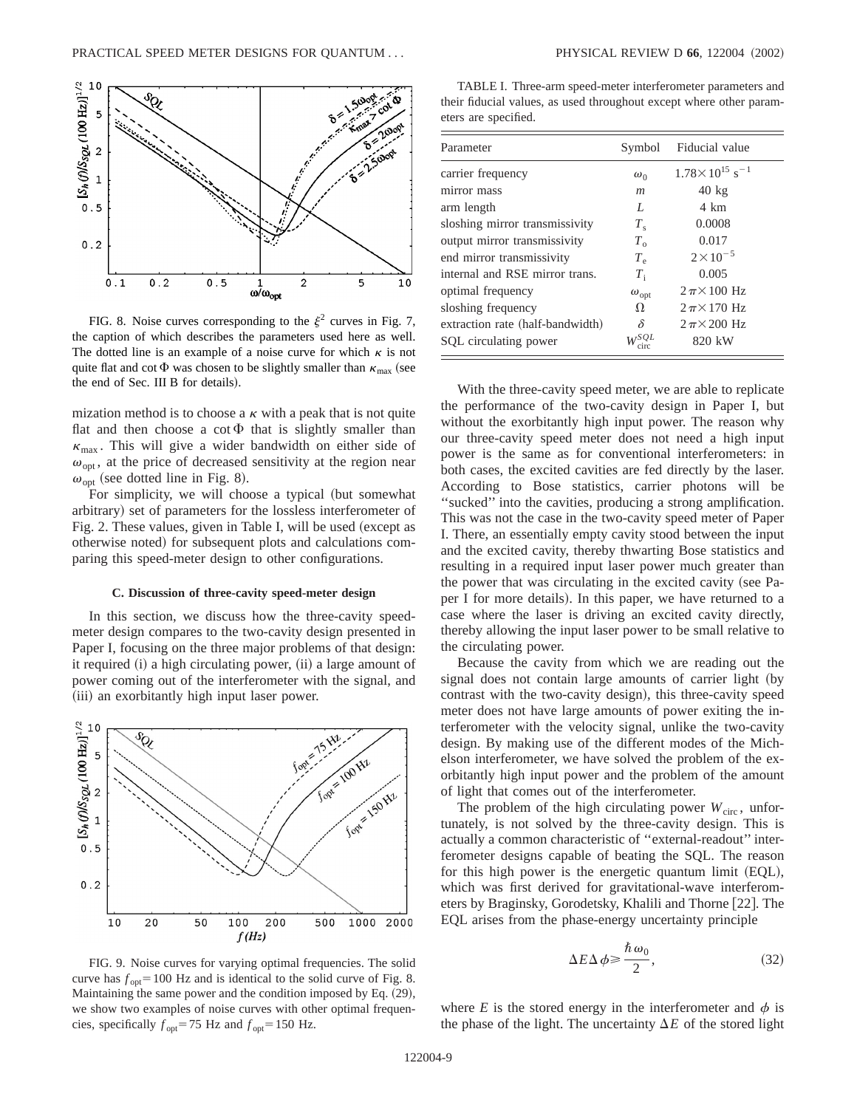

FIG. 8. Noise curves corresponding to the  $\xi^2$  curves in Fig. 7, the caption of which describes the parameters used here as well. The dotted line is an example of a noise curve for which  $\kappa$  is not quite flat and cot  $\Phi$  was chosen to be slightly smaller than  $\kappa_{\text{max}}$  (see the end of Sec. III B for details).

mization method is to choose a  $\kappa$  with a peak that is not quite flat and then choose a cot  $\Phi$  that is slightly smaller than  $\kappa_{\text{max}}$ . This will give a wider bandwidth on either side of  $\omega_{\text{opt}}$ , at the price of decreased sensitivity at the region near  $\omega_{opt}$  (see dotted line in Fig. 8).

For simplicity, we will choose a typical (but somewhat arbitrary) set of parameters for the lossless interferometer of Fig. 2. These values, given in Table I, will be used (except as otherwise noted) for subsequent plots and calculations comparing this speed-meter design to other configurations.

#### **C. Discussion of three-cavity speed-meter design**

In this section, we discuss how the three-cavity speedmeter design compares to the two-cavity design presented in Paper I, focusing on the three major problems of that design: it required  $(i)$  a high circulating power,  $(ii)$  a large amount of power coming out of the interferometer with the signal, and (iii) an exorbitantly high input laser power.



FIG. 9. Noise curves for varying optimal frequencies. The solid curve has  $f_{opt}$ =100 Hz and is identical to the solid curve of Fig. 8. Maintaining the same power and the condition imposed by Eq.  $(29)$ , we show two examples of noise curves with other optimal frequencies, specifically  $f_{opt} = 75$  Hz and  $f_{opt} = 150$  Hz.

TABLE I. Three-arm speed-meter interferometer parameters and their fiducial values, as used throughout except where other parameters are specified.

| Parameter                        | Symbol           | Fiducial value                        |
|----------------------------------|------------------|---------------------------------------|
| carrier frequency                | $\omega_0$       | $1.78 \times 10^{15}$ s <sup>-1</sup> |
| mirror mass                      | $\boldsymbol{m}$ | $40 \text{ kg}$                       |
| arm length                       | L                | 4 km                                  |
| sloshing mirror transmissivity   | $T_{\rm s}$      | 0.0008                                |
| output mirror transmissivity     | $T_{\alpha}$     | 0.017                                 |
| end mirror transmissivity        | $T_{\rm e}$      | $2 \times 10^{-5}$                    |
| internal and RSE mirror trans.   | $T_{\rm i}$      | 0.005                                 |
| optimal frequency                | $\omega_{opt}$   | $2\pi \times 100$ Hz                  |
| sloshing frequency               | Ω                | $2\pi \times 170$ Hz                  |
| extraction rate (half-bandwidth) | δ                | $2\pi \times 200$ Hz                  |
| SQL circulating power            | ౄSQL             | 820 kW                                |

With the three-cavity speed meter, we are able to replicate the performance of the two-cavity design in Paper I, but without the exorbitantly high input power. The reason why our three-cavity speed meter does not need a high input power is the same as for conventional interferometers: in both cases, the excited cavities are fed directly by the laser. According to Bose statistics, carrier photons will be ''sucked'' into the cavities, producing a strong amplification. This was not the case in the two-cavity speed meter of Paper I. There, an essentially empty cavity stood between the input and the excited cavity, thereby thwarting Bose statistics and resulting in a required input laser power much greater than the power that was circulating in the excited cavity (see Paper I for more details). In this paper, we have returned to a case where the laser is driving an excited cavity directly, thereby allowing the input laser power to be small relative to the circulating power.

Because the cavity from which we are reading out the signal does not contain large amounts of carrier light (by contrast with the two-cavity design), this three-cavity speed meter does not have large amounts of power exiting the interferometer with the velocity signal, unlike the two-cavity design. By making use of the different modes of the Michelson interferometer, we have solved the problem of the exorbitantly high input power and the problem of the amount of light that comes out of the interferometer.

The problem of the high circulating power  $W<sub>circ</sub>$ , unfortunately, is not solved by the three-cavity design. This is actually a common characteristic of ''external-readout'' interferometer designs capable of beating the SQL. The reason for this high power is the energetic quantum limit  $(EQL)$ , which was first derived for gravitational-wave interferometers by Braginsky, Gorodetsky, Khalili and Thorne [22]. The EQL arises from the phase-energy uncertainty principle

$$
\Delta E \Delta \phi \ge \frac{\hbar \,\omega_0}{2},\tag{32}
$$

where  $E$  is the stored energy in the interferometer and  $\phi$  is the phase of the light. The uncertainty  $\Delta E$  of the stored light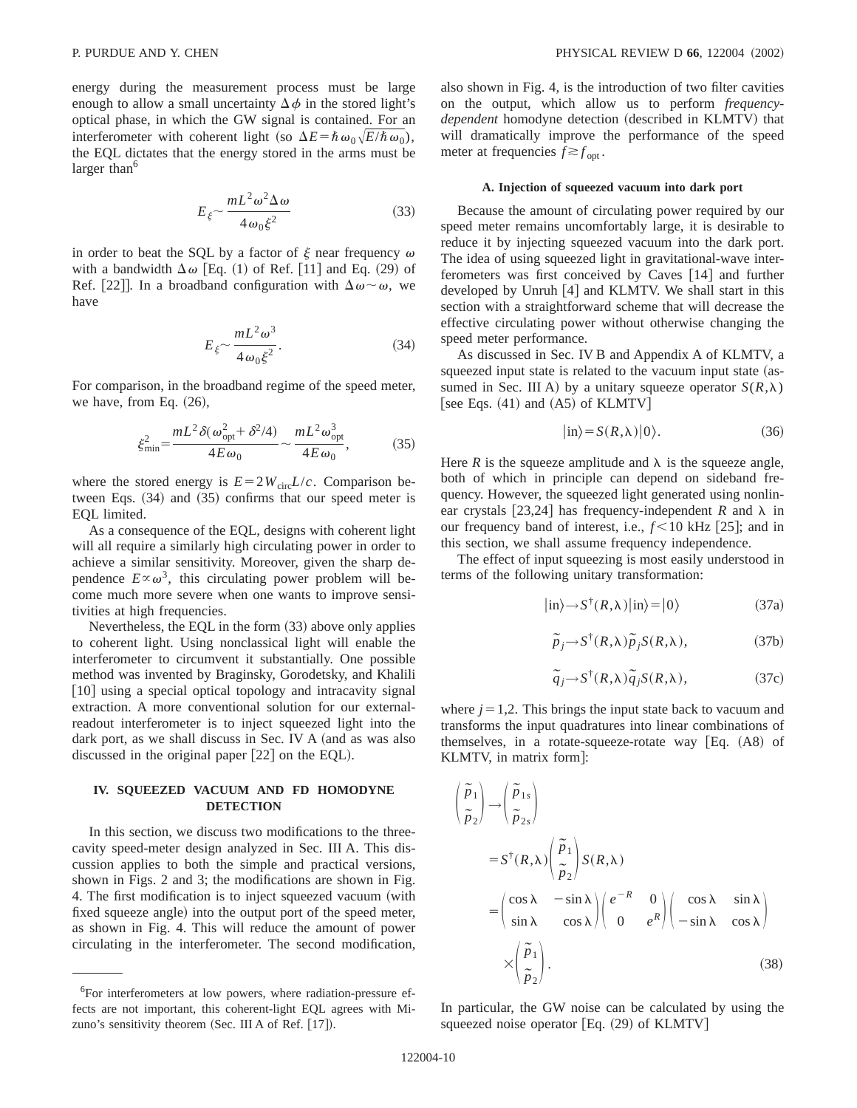energy during the measurement process must be large enough to allow a small uncertainty  $\Delta \phi$  in the stored light's optical phase, in which the GW signal is contained. For an interferometer with coherent light (so  $\Delta E = \hbar \omega_0 \sqrt{E/\hbar \omega_0}$ ), the EQL dictates that the energy stored in the arms must be larger than $<sup>6</sup>$ </sup>

$$
E_{\xi} \sim \frac{mL^2 \omega^2 \Delta \omega}{4 \omega_0 \xi^2} \tag{33}
$$

in order to beat the SQL by a factor of  $\xi$  near frequency  $\omega$ with a bandwidth  $\Delta \omega$  [Eq. (1) of Ref. [11] and Eq. (29) of Ref. [22]. In a broadband configuration with  $\Delta\omega \sim \omega$ , we have

$$
E_{\xi} \sim \frac{mL^2 \omega^3}{4\omega_0 \xi^2}.
$$
 (34)

For comparison, in the broadband regime of the speed meter, we have, from Eq.  $(26)$ ,

$$
\xi_{\min}^2 = \frac{mL^2 \delta(\omega_{\rm opt}^2 + \delta^2/4)}{4E\omega_0} \sim \frac{mL^2 \omega_{\rm opt}^3}{4E\omega_0},\tag{35}
$$

where the stored energy is  $E = 2W_{\text{circ}}L/c$ . Comparison between Eqs.  $(34)$  and  $(35)$  confirms that our speed meter is EQL limited.

As a consequence of the EQL, designs with coherent light will all require a similarly high circulating power in order to achieve a similar sensitivity. Moreover, given the sharp dependence  $E \propto \omega^3$ , this circulating power problem will become much more severe when one wants to improve sensitivities at high frequencies.

Nevertheless, the EQL in the form  $(33)$  above only applies to coherent light. Using nonclassical light will enable the interferometer to circumvent it substantially. One possible method was invented by Braginsky, Gorodetsky, and Khalili [10] using a special optical topology and intracavity signal extraction. A more conventional solution for our externalreadout interferometer is to inject squeezed light into the dark port, as we shall discuss in Sec. IV A (and as was also discussed in the original paper  $[22]$  on the EQL).

# **IV. SQUEEZED VACUUM AND FD HOMODYNE DETECTION**

In this section, we discuss two modifications to the threecavity speed-meter design analyzed in Sec. III A. This discussion applies to both the simple and practical versions, shown in Figs. 2 and 3; the modifications are shown in Fig. 4. The first modification is to inject squeezed vacuum (with fixed squeeze angle) into the output port of the speed meter, as shown in Fig. 4. This will reduce the amount of power circulating in the interferometer. The second modification, also shown in Fig. 4, is the introduction of two filter cavities on the output, which allow us to perform *frequency*dependent homodyne detection (described in KLMTV) that will dramatically improve the performance of the speed meter at frequencies  $f \gtrsim f_{\text{opt}}$ .

### **A. Injection of squeezed vacuum into dark port**

Because the amount of circulating power required by our speed meter remains uncomfortably large, it is desirable to reduce it by injecting squeezed vacuum into the dark port. The idea of using squeezed light in gravitational-wave interferometers was first conceived by Caves  $[14]$  and further developed by Unruh  $[4]$  and KLMTV. We shall start in this section with a straightforward scheme that will decrease the effective circulating power without otherwise changing the speed meter performance.

As discussed in Sec. IV B and Appendix A of KLMTV, a squeezed input state is related to the vacuum input state (assumed in Sec. III A) by a unitary squeeze operator  $S(R,\lambda)$ [see Eqs.  $(41)$  and  $(AS)$  of KLMTV]

$$
|\text{in}\rangle = S(R,\lambda)|0\rangle. \tag{36}
$$

Here *R* is the squeeze amplitude and  $\lambda$  is the squeeze angle, both of which in principle can depend on sideband frequency. However, the squeezed light generated using nonlinear crystals [23,24] has frequency-independent *R* and  $\lambda$  in our frequency band of interest, i.e.,  $f < 10$  kHz  $\vert 25 \vert$ ; and in this section, we shall assume frequency independence.

The effect of input squeezing is most easily understood in terms of the following unitary transformation:

$$
|\text{in}\rangle \rightarrow S^{\dagger}(R,\lambda)|\text{in}\rangle = |0\rangle \tag{37a}
$$

$$
\widetilde{p}_j \to S^{\dagger}(R,\lambda) \widetilde{p}_j S(R,\lambda), \tag{37b}
$$

$$
\tilde{q}_j \to S^{\dagger}(R,\lambda) \tilde{q}_j S(R,\lambda), \tag{37c}
$$

where  $j=1,2$ . This brings the input state back to vacuum and transforms the input quadratures into linear combinations of themselves, in a rotate-squeeze-rotate way  $[Eq. (A8)$  of KLMTV, in matrix form]:

$$
\begin{aligned}\n\left(\frac{\tilde{p}_1}{\tilde{p}_2}\right) &\to \left(\frac{\tilde{p}_{1s}}{\tilde{p}_{2s}}\right) \\
&= S^{\dagger}(R,\lambda) \left(\frac{\tilde{p}_1}{\tilde{p}_2}\right) S(R,\lambda) \\
&= \begin{pmatrix}\n\cos \lambda & -\sin \lambda \\
\sin \lambda & \cos \lambda\n\end{pmatrix} \begin{pmatrix} e^{-R} & 0 \\
0 & e^R \end{pmatrix} \begin{pmatrix} \cos \lambda & \sin \lambda \\
-\sin \lambda & \cos \lambda\n\end{pmatrix} \\
&\times \begin{pmatrix} \tilde{p}_1 \\ \tilde{p}_2 \end{pmatrix}.\n\end{aligned}
$$
\n(38)

In particular, the GW noise can be calculated by using the squeezed noise operator  $[Eq. (29)$  of KLMTV $]$ 

<sup>&</sup>lt;sup>6</sup>For interferometers at low powers, where radiation-pressure effects are not important, this coherent-light EQL agrees with Mizuno's sensitivity theorem (Sec. III A of Ref.  $[17]$ ).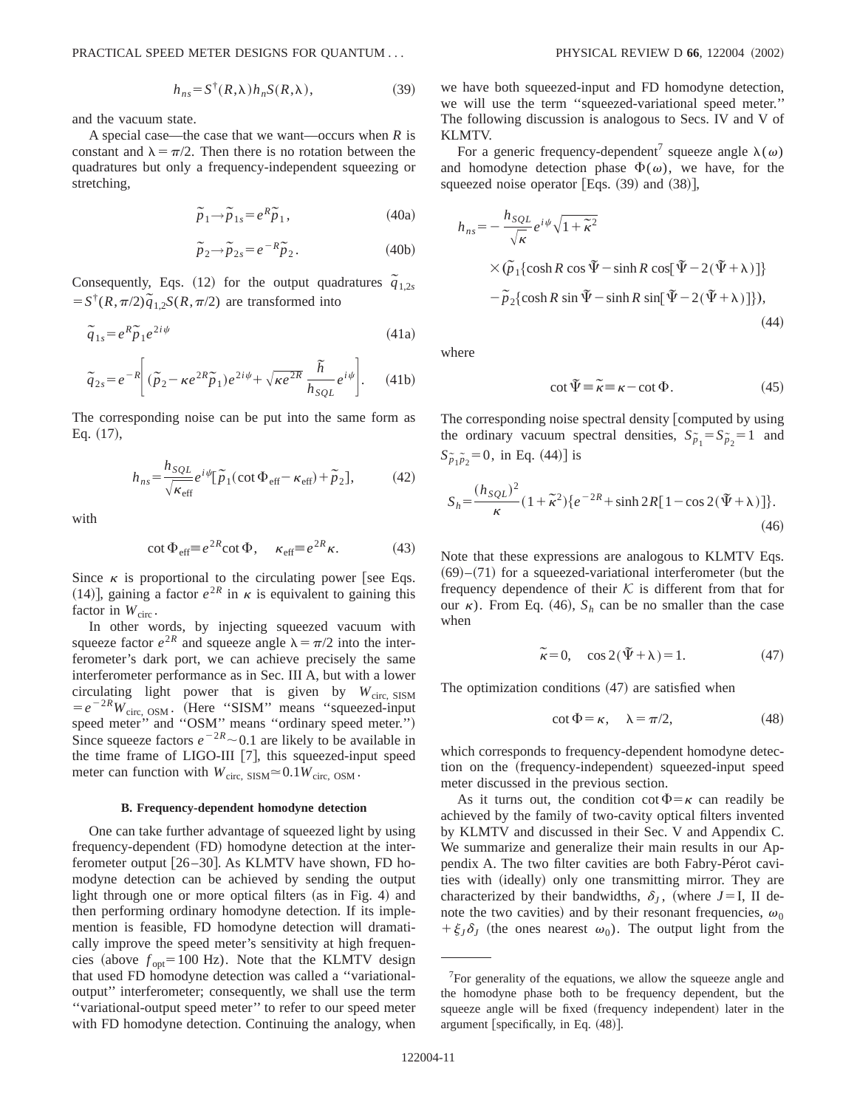$$
h_{ns} = S^{\dagger}(R,\lambda)h_n S(R,\lambda), \qquad (39)
$$

and the vacuum state.

A special case—the case that we want—occurs when *R* is constant and  $\lambda = \pi/2$ . Then there is no rotation between the quadratures but only a frequency-independent squeezing or stretching,

$$
\tilde{p}_1 \rightarrow \tilde{p}_{1s} = e^R \tilde{p}_1, \qquad (40a)
$$

$$
\widetilde{p}_2 \rightarrow \widetilde{p}_{2s} = e^{-R} \widetilde{p}_2. \tag{40b}
$$

Consequently, Eqs. (12) for the output quadratures  $\tilde{q}_{1,2s}$  $= S^{\dagger}(R, \pi/2)\tilde{q}_{1,2}S(R, \pi/2)$  are transformed into

$$
\tilde{q}_{1s} = e^R \tilde{p}_1 e^{2i\psi} \tag{41a}
$$

$$
\widetilde{q}_{2s} = e^{-R} \left[ (\widetilde{p}_2 - \kappa e^{2R} \widetilde{p}_1) e^{2i\psi} + \sqrt{\kappa e^{2R}} \frac{\widetilde{h}}{h_{SQL}} e^{i\psi} \right].
$$
 (41b)

The corresponding noise can be put into the same form as Eq.  $(17)$ ,

$$
h_{ns} = \frac{h_{SQL}}{\sqrt{\kappa_{\text{eff}}}} e^{i\psi} [\tilde{p}_1(\cot \Phi_{\text{eff}} - \kappa_{\text{eff}}) + \tilde{p}_2],\tag{42}
$$

with

$$
\cot \Phi_{\text{eff}} \equiv e^{2R} \cot \Phi, \quad \kappa_{\text{eff}} \equiv e^{2R} \kappa. \tag{43}
$$

Since  $\kappa$  is proportional to the circulating power [see Eqs. (14)], gaining a factor  $e^{2R}$  in  $\kappa$  is equivalent to gaining this factor in  $W_{\text{circ}}$ .

In other words, by injecting squeezed vacuum with squeeze factor  $e^{2R}$  and squeeze angle  $\lambda = \pi/2$  into the interferometer's dark port, we can achieve precisely the same interferometer performance as in Sec. III A, but with a lower circulating light power that is given by  $W_{\text{circ, SISM}}$  $= e^{-2R}W_{\text{circ, OSM}}$ . (Here "SISM" means "squeezed-input speed meter" and "OSM" means "ordinary speed meter.") Since squeeze factors  $e^{-2R}$  ~ 0.1 are likely to be available in the time frame of LIGO-III [7], this squeezed-input speed meter can function with  $W_{\text{circ, SISM}} \approx 0.1 W_{\text{circ, OSM}}$ .

#### **B. Frequency-dependent homodyne detection**

One can take further advantage of squeezed light by using frequency-dependent (FD) homodyne detection at the interferometer output  $[26–30]$ . As KLMTV have shown, FD homodyne detection can be achieved by sending the output light through one or more optical filters (as in Fig. 4) and then performing ordinary homodyne detection. If its implemention is feasible, FD homodyne detection will dramatically improve the speed meter's sensitivity at high frequencies (above  $f_{opt}$ =100 Hz). Note that the KLMTV design that used FD homodyne detection was called a ''variationaloutput'' interferometer; consequently, we shall use the term ''variational-output speed meter'' to refer to our speed meter with FD homodyne detection. Continuing the analogy, when we have both squeezed-input and FD homodyne detection, we will use the term ''squeezed-variational speed meter.'' The following discussion is analogous to Secs. IV and V of KLMTV.

For a generic frequency-dependent<sup>7</sup> squeeze angle  $\lambda(\omega)$ and homodyne detection phase  $\Phi(\omega)$ , we have, for the squeezed noise operator [Eqs.  $(39)$  and  $(38)$ ],

$$
h_{ns} = -\frac{h_{SQL}}{\sqrt{\kappa}} e^{i\psi} \sqrt{1 + \tilde{\kappa}^2}
$$
  
 
$$
\times (\tilde{p}_1 \{ \cosh R \cos \tilde{\Psi} - \sinh R \cos[\tilde{\Psi} - 2(\tilde{\Psi} + \lambda)] \} - \tilde{p}_2 \{ \cosh R \sin \tilde{\Psi} - \sinh R \sin[\tilde{\Psi} - 2(\tilde{\Psi} + \lambda)] \}), \tag{44}
$$

where

$$
\cot \tilde{\Psi} \equiv \tilde{\kappa} \equiv \kappa - \cot \Phi. \tag{45}
$$

The corresponding noise spectral density computed by using the ordinary vacuum spectral densities,  $S_{\tilde{p}_1} = S_{\tilde{p}_2} = 1$  and  $S_{\tilde{p}_1 \tilde{p}_2} = 0$ , in Eq. (44)] is

$$
S_h = \frac{(h_{SQL})^2}{\kappa} (1 + \tilde{\kappa}^2) \{ e^{-2R} + \sinh 2R [1 - \cos 2(\tilde{\Psi} + \lambda)] \}.
$$
\n(46)

Note that these expressions are analogous to KLMTV Eqs.  $(69)–(71)$  for a squeezed-variational interferometer (but the frequency dependence of their  $K$  is different from that for our  $\kappa$ ). From Eq. (46),  $S_h$  can be no smaller than the case when

$$
\tilde{\kappa} = 0, \quad \cos 2(\tilde{\Psi} + \lambda) = 1. \tag{47}
$$

The optimization conditions  $(47)$  are satisfied when

$$
\cot \Phi = \kappa, \quad \lambda = \pi/2, \tag{48}
$$

which corresponds to frequency-dependent homodyne detection on the (frequency-independent) squeezed-input speed meter discussed in the previous section.

As it turns out, the condition cot  $\Phi = \kappa$  can readily be achieved by the family of two-cavity optical filters invented by KLMTV and discussed in their Sec. V and Appendix C. We summarize and generalize their main results in our Appendix A. The two filter cavities are both Fabry-Perot cavities with (ideally) only one transmitting mirror. They are characterized by their bandwidths,  $\delta_I$ , (where *J*=I, II denote the two cavities) and by their resonant frequencies,  $\omega_0$  $+\xi_{J}\delta_{J}$  (the ones nearest  $\omega_{0}$ ). The output light from the

 $7$ For generality of the equations, we allow the squeeze angle and the homodyne phase both to be frequency dependent, but the squeeze angle will be fixed (frequency independent) later in the argument [specifically, in Eq.  $(48)$ ].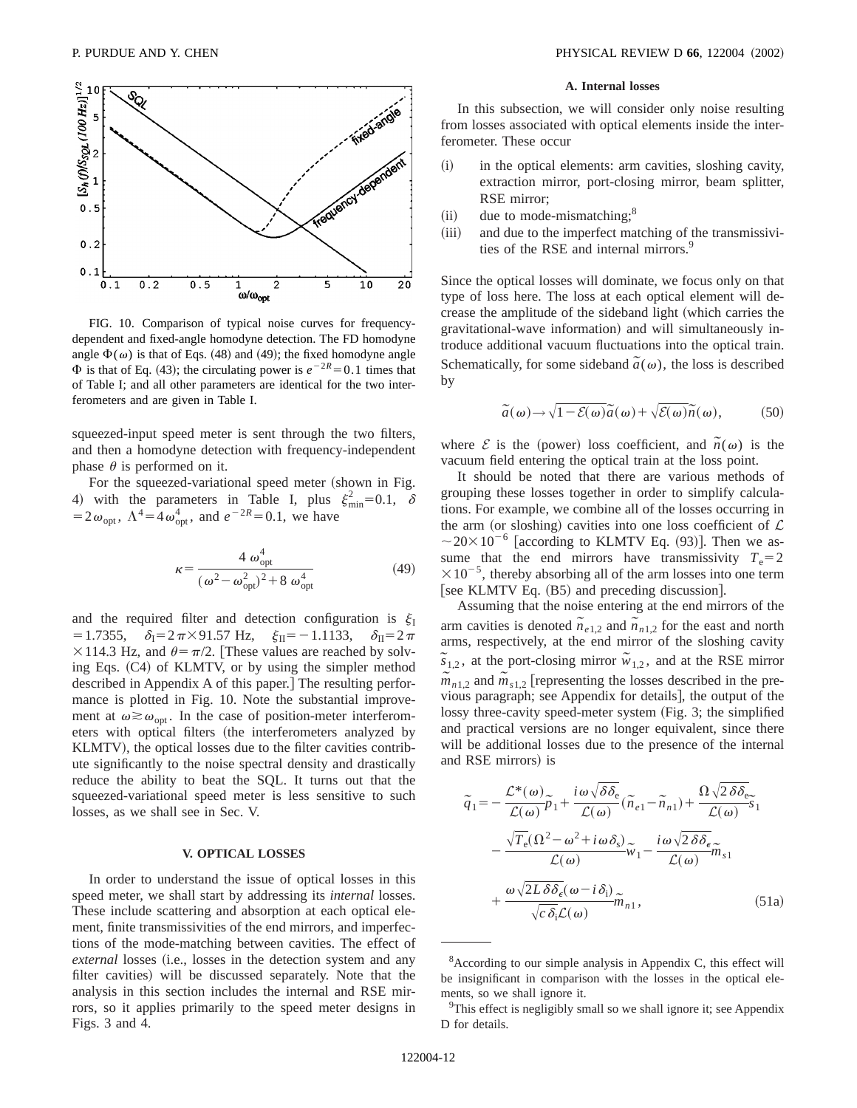

FIG. 10. Comparison of typical noise curves for frequencydependent and fixed-angle homodyne detection. The FD homodyne angle  $\Phi(\omega)$  is that of Eqs. (48) and (49); the fixed homodyne angle  $\Phi$  is that of Eq. (43); the circulating power is  $e^{-2R} = 0.1$  times that of Table I; and all other parameters are identical for the two interferometers and are given in Table I.

squeezed-input speed meter is sent through the two filters, and then a homodyne detection with frequency-independent phase  $\theta$  is performed on it.

For the squeezed-variational speed meter (shown in Fig. 4) with the parameters in Table I, plus  $\xi_{\min}^2 = 0.1, \delta$  $=2\omega_{\text{opt}}$ ,  $\Lambda^4 = 4\omega_{\text{opt}}^4$ , and  $e^{-2R} = 0.1$ , we have

$$
\kappa = \frac{4 \omega_{\text{opt}}^4}{\left(\omega^2 - \omega_{\text{opt}}^2\right)^2 + 8 \omega_{\text{opt}}^4}
$$
(49)

and the required filter and detection configuration is  $\xi_I$  $=1.7355$ ,  $\delta_{\rm I} = 2\pi \times 91.57$  Hz,  $\xi_{\rm II} = -1.1133$ ,  $\delta_{\rm II} = 2\pi$  $\times$ 114.3 Hz, and  $\theta = \pi/2$ . [These values are reached by solving Eqs.  $(C4)$  of KLMTV, or by using the simpler method described in Appendix A of this paper.] The resulting performance is plotted in Fig. 10. Note the substantial improvement at  $\omega \gtrsim \omega_{\text{ont}}$ . In the case of position-meter interferometers with optical filters (the interferometers analyzed by KLMTV), the optical losses due to the filter cavities contribute significantly to the noise spectral density and drastically reduce the ability to beat the SQL. It turns out that the squeezed-variational speed meter is less sensitive to such losses, as we shall see in Sec. V.

## **V. OPTICAL LOSSES**

In order to understand the issue of optical losses in this speed meter, we shall start by addressing its *internal* losses. These include scattering and absorption at each optical element, finite transmissivities of the end mirrors, and imperfections of the mode-matching between cavities. The effect of *external* losses (i.e., losses in the detection system and any filter cavities) will be discussed separately. Note that the analysis in this section includes the internal and RSE mirrors, so it applies primarily to the speed meter designs in Figs. 3 and 4.

### **A. Internal losses**

In this subsection, we will consider only noise resulting from losses associated with optical elements inside the interferometer. These occur

- (i) in the optical elements: arm cavities, sloshing cavity, extraction mirror, port-closing mirror, beam splitter, RSE mirror;
- $(i)$  due to mode-mismatching;<sup>8</sup>
- (iii) and due to the imperfect matching of the transmissivities of the RSE and internal mirrors.<sup>9</sup>

Since the optical losses will dominate, we focus only on that type of loss here. The loss at each optical element will decrease the amplitude of the sideband light (which carries the gravitational-wave information) and will simultaneously introduce additional vacuum fluctuations into the optical train. Schematically, for some sideband  $\tilde{a}(\omega)$ , the loss is described by

$$
\widetilde{a}(\omega) \to \sqrt{1 - \mathcal{E}(\omega)} \widetilde{a}(\omega) + \sqrt{\mathcal{E}(\omega)} \widetilde{n}(\omega), \tag{50}
$$

where  $\mathcal{E}$  is the (power) loss coefficient, and  $\tilde{n}(\omega)$  is the vacuum field entering the optical train at the loss point.

It should be noted that there are various methods of grouping these losses together in order to simplify calculations. For example, we combine all of the losses occurring in the arm (or sloshing) cavities into one loss coefficient of  $\mathcal L$  $\sim$  20×10<sup>-6</sup> [according to KLMTV Eq. (93)]. Then we assume that the end mirrors have transmissivity  $T_e = 2$  $\times 10^{-5}$ , thereby absorbing all of the arm losses into one term [see KLMTV Eq.  $(B5)$  and preceding discussion].

Assuming that the noise entering at the end mirrors of the arm cavities is denoted  $\tilde{n}_{e1,2}$  and  $\tilde{n}_{n1,2}$  for the east and north arms, respectively, at the end mirror of the sloshing cavity  $\overline{s}_{1,2}$ , at the port-closing mirror  $\tilde{w}_{1,2}$ , and at the RSE mirror  $\tilde{m}_{n1,2}$  and  $\tilde{m}_{s1,2}$  [representing the losses described in the previous paragraph; see Appendix for details], the output of the lossy three-cavity speed-meter system (Fig. 3; the simplified and practical versions are no longer equivalent, since there will be additional losses due to the presence of the internal and RSE mirrors) is

$$
\tilde{q}_{1} = -\frac{\mathcal{L}^{*}(\omega)}{\mathcal{L}(\omega)} \tilde{p}_{1} + \frac{i\omega\sqrt{\delta\delta_{e}}}{\mathcal{L}(\omega)} (\tilde{n}_{e1} - \tilde{n}_{n1}) + \frac{\Omega\sqrt{2\delta\delta_{e}}}{\mathcal{L}(\omega)} \tilde{s}_{1}
$$

$$
-\frac{\sqrt{T_{e}}(\Omega^{2} - \omega^{2} + i\omega\delta_{s})}{\mathcal{L}(\omega)} \tilde{w}_{1} - \frac{i\omega\sqrt{2\delta\delta_{e}}}{\mathcal{L}(\omega)} \tilde{m}_{s1}
$$

$$
+\frac{\omega\sqrt{2L\delta\delta_{e}}(\omega - i\delta_{i})}{\sqrt{c\delta_{i}}\mathcal{L}(\omega)} \tilde{m}_{n1}, \qquad (51a)
$$

<sup>&</sup>lt;sup>8</sup> According to our simple analysis in Appendix C, this effect will be insignificant in comparison with the losses in the optical elements, so we shall ignore it.

<sup>&</sup>lt;sup>9</sup>This effect is negligibly small so we shall ignore it; see Appendix D for details.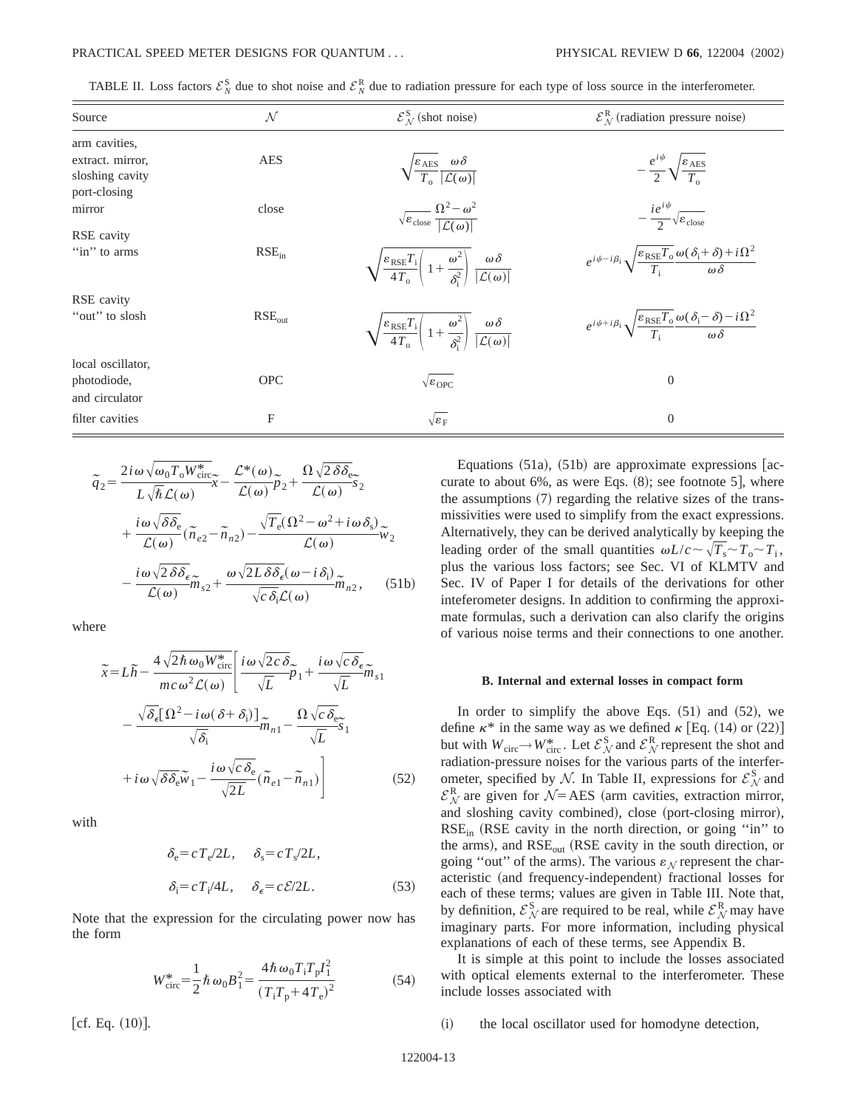| TABLE II. Loss factors $\mathcal{E}_{N}^{S}$ due to shot noise and $\mathcal{E}_{N}^{R}$ due to radiation pressure for each type of loss source in the interferometer. |  |
|------------------------------------------------------------------------------------------------------------------------------------------------------------------------|--|
|------------------------------------------------------------------------------------------------------------------------------------------------------------------------|--|

| Source                        | ${\cal N}$  | $\mathcal{E}_{N}^{\rm S}$ (shot noise)                                                                                                                | $\mathcal{E}_{\mathcal{N}}^{\mathcal{R}}$ (radiation pressure noise)                                                            |
|-------------------------------|-------------|-------------------------------------------------------------------------------------------------------------------------------------------------------|---------------------------------------------------------------------------------------------------------------------------------|
| arm cavities,                 |             |                                                                                                                                                       |                                                                                                                                 |
| extract. mirror,              | <b>AES</b>  | $\sqrt{\frac{\varepsilon_{\text{AES}}}{T_{\text{S}}} \frac{\omega \delta}{ \mathcal{L}(\omega) }}$                                                    | $-\frac{e^{i\psi}}{2}\sqrt{\frac{\varepsilon_{\text{AES}}}{T}}$                                                                 |
| sloshing cavity               |             |                                                                                                                                                       |                                                                                                                                 |
| port-closing                  |             |                                                                                                                                                       |                                                                                                                                 |
| mirror                        | close       | $\sqrt{\varepsilon_{\text{close}}}\frac{\Omega^2-\omega^2}{ \mathcal{L}(\omega) }$                                                                    | $-\frac{ie^{i\psi}}{2}\sqrt{\varepsilon_{\rm close}}$                                                                           |
| RSE cavity                    |             |                                                                                                                                                       |                                                                                                                                 |
| "in" to arms                  | $RSE_{in}$  | $\sqrt{\frac{\varepsilon_{\text{RSE}}T_{\text{i}}}{4T_{\text{o}}}}\left(1+\frac{\omega^2}{\delta^2}\right)\frac{\omega\delta}{ \mathcal{L}(\omega) }$ | $e^{i\psi - i\beta_i} \sqrt{\frac{\varepsilon_{RSE}T_0}{T_0}} \frac{\omega(\delta_i + \delta) + i\Omega^2}{\omega \delta}$      |
| RSE cavity                    |             |                                                                                                                                                       |                                                                                                                                 |
| "out" to slosh                | $RSE_{out}$ | $\sqrt{\frac{\varepsilon_{\text{RSE}}T_{\text{i}}}{4T_{\text{o}}}}\left(1+\frac{\omega^2}{\delta^2}\right)\frac{\omega\delta}{ \mathcal{L}(\omega) }$ | $e^{i\psi + i\beta_i} \sqrt{\frac{\varepsilon_{\text{RSE}}T_o}{T} \frac{\omega(\delta_i - \delta) - i\Omega^2}{\omega \delta}}$ |
| local oscillator,             |             |                                                                                                                                                       |                                                                                                                                 |
| photodiode,<br>and circulator | <b>OPC</b>  | $\sqrt{\varepsilon_{\rm OPC}}$                                                                                                                        | $\boldsymbol{0}$                                                                                                                |
| filter cavities               | F           | $\sqrt{\varepsilon_F}$                                                                                                                                | $\boldsymbol{0}$                                                                                                                |

$$
\tilde{q}_{2} = \frac{2i\omega\sqrt{\omega_{0}T_{0}W_{\text{circ}}^{*}}}{L\sqrt{\hbar}\mathcal{L}(\omega)}\tilde{x} - \frac{\mathcal{L}^{*}(\omega)}{\mathcal{L}(\omega)}\tilde{p}_{2} + \frac{\Omega\sqrt{2}\delta\delta_{\text{e}}}{\mathcal{L}(\omega)}\tilde{s}_{2} + \frac{i\omega\sqrt{\delta\delta_{\text{e}}}}{\mathcal{L}(\omega)}(\tilde{n}_{e2} - \tilde{n}_{n2}) - \frac{\sqrt{T_{\text{e}}(\Omega^{2} - \omega^{2} + i\omega\delta_{\text{s}})}}{\mathcal{L}(\omega)}\tilde{w}_{2} - \frac{i\omega\sqrt{2}\delta\delta_{\text{e}}}{\mathcal{L}(\omega)}\tilde{m}_{s2} + \frac{\omega\sqrt{2L}\delta\delta_{\text{e}}(\omega - i\delta_{\text{i}})}{\sqrt{c}\delta_{\text{i}}\mathcal{L}(\omega)}\tilde{m}_{n2}, \quad (51b)
$$

where

$$
\tilde{x} = L\tilde{h} - \frac{4\sqrt{2\hbar\omega_0 W_{\text{circ}}^*}}{mc\omega^2 \mathcal{L}(\omega)} \left[ \frac{i\omega\sqrt{2c\delta}}{\sqrt{L}} \tilde{p}_1 + \frac{i\omega\sqrt{c\delta_\epsilon}}{\sqrt{L}} \tilde{m}_{s1} \right]
$$

$$
- \frac{\sqrt{\delta_\epsilon}[\Omega^2 - i\omega(\delta + \delta_i)]}{\sqrt{\delta_i}} \tilde{m}_{n1} - \frac{\Omega\sqrt{c\delta_\epsilon}}{\sqrt{L}} \tilde{s}_1
$$

$$
+ i\omega\sqrt{\delta\delta_\epsilon} \tilde{w}_1 - \frac{i\omega\sqrt{c\delta_\epsilon}}{\sqrt{2L}} (\tilde{n}_{e1} - \tilde{n}_{n1}) \right]
$$
(52)

with

$$
\delta_{\rm e} = c \, T_{\rm e} / 2L, \qquad \delta_{\rm s} = c \, T_{\rm s} / 2L,
$$
  

$$
\delta_{\rm i} = c \, T_{\rm i} / 4L, \qquad \delta_{\rm e} = c \, \mathcal{E} / 2L. \tag{53}
$$

Note that the expression for the circulating power now has the form

$$
W_{\rm circ}^* = \frac{1}{2} \hbar \omega_0 B_1^2 = \frac{4 \hbar \omega_0 T_i T_p I_1^2}{(T_i T_p + 4T_e)^2}
$$
(54)

Equations  $(51a)$ ,  $(51b)$  are approximate expressions [accurate to about  $6\%$ , as were Eqs.  $(8)$ ; see footnote 5], where the assumptions  $(7)$  regarding the relative sizes of the transmissivities were used to simplify from the exact expressions. Alternatively, they can be derived analytically by keeping the leading order of the small quantities  $\omega L/c \sim \sqrt{T_s} \sim T_o \sim T_i$ , plus the various loss factors; see Sec. VI of KLMTV and Sec. IV of Paper I for details of the derivations for other inteferometer designs. In addition to confirming the approximate formulas, such a derivation can also clarify the origins of various noise terms and their connections to one another.

### **B. Internal and external losses in compact form**

In order to simplify the above Eqs.  $(51)$  and  $(52)$ , we define  $\kappa^*$  in the same way as we defined  $\kappa$  [Eq. (14) or (22)] but with  $W_{\text{circ}} \to W_{\text{circ}}^*$ . Let  $\mathcal{E}_\mathcal{N}^S$  and  $\mathcal{E}_\mathcal{N}^R$  represent the shot and radiation-pressure noises for the various parts of the interferometer, specified by N. In Table II, expressions for  $\mathcal{E}_N^S$  and  $\mathcal{E}_{N}^{\rm R}$  are given for  $\mathcal{N}$ =AES (arm cavities, extraction mirror, and sloshing cavity combined), close (port-closing mirror),  $RSE_{in}$  (RSE cavity in the north direction, or going "in" to the arms), and  $RSE_{out}$  (RSE cavity in the south direction, or going "out" of the arms). The various  $\varepsilon_N$  represent the characteristic (and frequency-independent) fractional losses for each of these terms; values are given in Table III. Note that, by definition,  $\mathcal{E}_{\mathcal{N}}^{S}$  are required to be real, while  $\mathcal{E}_{\mathcal{N}}^{R}$  may have imaginary parts. For more information, including physical explanations of each of these terms, see Appendix B.

It is simple at this point to include the losses associated with optical elements external to the interferometer. These include losses associated with

(i) the local oscillator used for homodyne detection,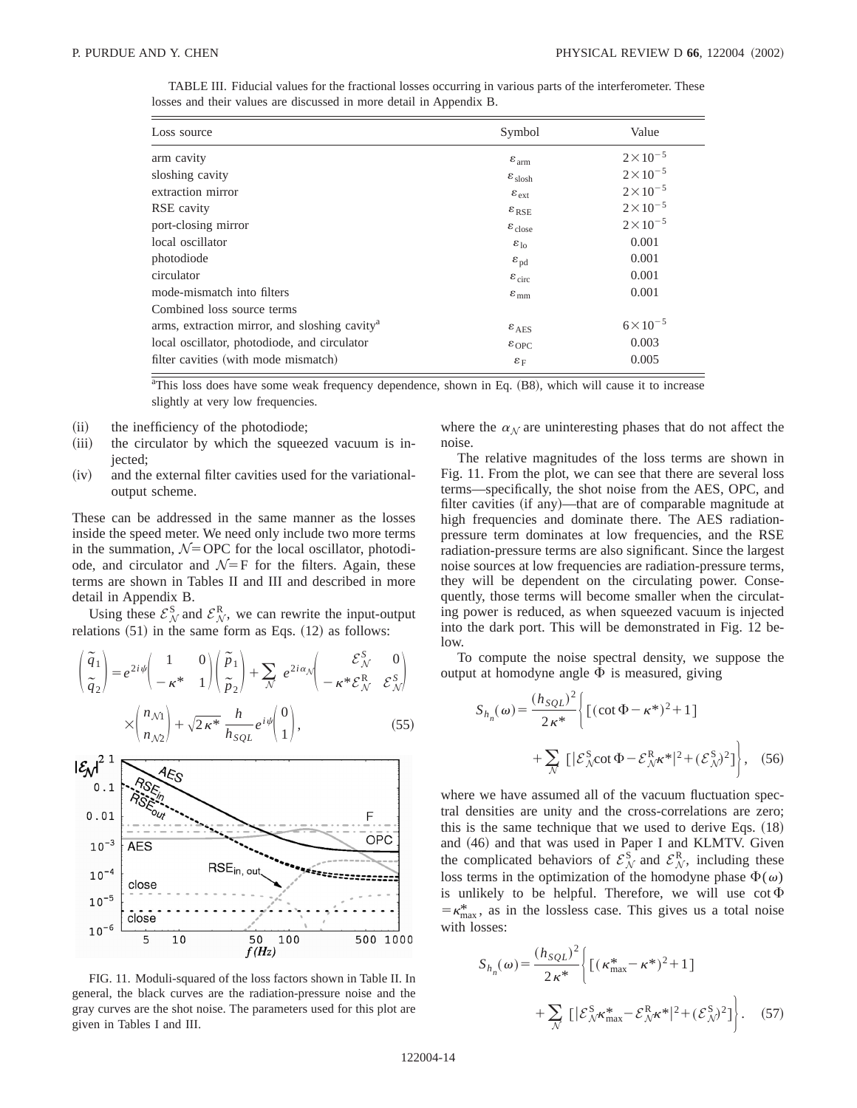| Loss source                                               | Symbol                       | Value              |
|-----------------------------------------------------------|------------------------------|--------------------|
| arm cavity                                                | $\varepsilon$ <sub>arm</sub> | $2 \times 10^{-5}$ |
| sloshing cavity                                           | $\varepsilon_{\text{slosh}}$ | $2 \times 10^{-5}$ |
| extraction mirror                                         | $\varepsilon_{\rm ext}$      | $2 \times 10^{-5}$ |
| RSE cavity                                                | $\varepsilon_{RSE}$          | $2 \times 10^{-5}$ |
| port-closing mirror                                       | $\varepsilon_{\text{close}}$ | $2\times10^{-5}$   |
| local oscillator                                          | $\varepsilon_{\text{lo}}$    | 0.001              |
| photodiode                                                | $\varepsilon_{\rm pd}$       | 0.001              |
| circulator                                                | $\varepsilon_{\rm circ}$     | 0.001              |
| mode-mismatch into filters                                | $\varepsilon$ <sub>mm</sub>  | 0.001              |
| Combined loss source terms                                |                              |                    |
| arms, extraction mirror, and sloshing cavity <sup>a</sup> | $\varepsilon$ <sub>AES</sub> | $6 \times 10^{-5}$ |
| local oscillator, photodiode, and circulator              | $\varepsilon_{\rm OPC}$      | 0.003              |
| filter cavities (with mode mismatch)                      | $\varepsilon_F$              | 0.005              |

TABLE III. Fiducial values for the fractional losses occurring in various parts of the interferometer. These losses and their values are discussed in more detail in Appendix B.

<sup>a</sup>This loss does have some weak frequency dependence, shown in Eq. (B8), which will cause it to increase slightly at very low frequencies.

- (ii) the inefficiency of the photodiode;
- (iii) the circulator by which the squeezed vacuum is injected;
- $(iv)$  and the external filter cavities used for the variationaloutput scheme.

These can be addressed in the same manner as the losses inside the speed meter. We need only include two more terms in the summation,  $N=OPC$  for the local oscillator, photodiode, and circulator and  $\mathcal{N}=F$  for the filters. Again, these terms are shown in Tables II and III and described in more detail in Appendix B.

Using these  $\mathcal{E}_{N}^{\mathbf{S}}$  and  $\mathcal{E}_{N}^{\mathbf{R}}$ , we can rewrite the input-output relations  $(51)$  in the same form as Eqs.  $(12)$  as follows:

$$
\begin{pmatrix}\n\tilde{q}_1 \\
\tilde{q}_2\n\end{pmatrix} = e^{2i\psi} \begin{pmatrix}\n1 & 0 \\
-\kappa^* & 1\n\end{pmatrix} \begin{pmatrix}\n\tilde{p}_1 \\
\tilde{p}_2\n\end{pmatrix} + \sum_{\mathcal{N}} e^{2i\alpha_{\mathcal{N}}} \begin{pmatrix}\n\mathcal{E}_{\mathcal{N}}^S & 0 \\
-\kappa^* \mathcal{E}_{\mathcal{N}}^R & \mathcal{E}_{\mathcal{N}}^S\n\end{pmatrix}
$$
\n
$$
\times \begin{pmatrix}\nn_{\mathcal{N}} \\
n_{\mathcal{N}2}\n\end{pmatrix} + \sqrt{2\kappa^*} \frac{h}{h_{SQL}} e^{i\psi} \begin{pmatrix}\n0 \\
1\n\end{pmatrix},
$$
\n(55)



FIG. 11. Moduli-squared of the loss factors shown in Table II. In general, the black curves are the radiation-pressure noise and the gray curves are the shot noise. The parameters used for this plot are given in Tables I and III.

where the  $\alpha_N$  are uninteresting phases that do not affect the noise.

The relative magnitudes of the loss terms are shown in Fig. 11. From the plot, we can see that there are several loss terms—specifically, the shot noise from the AES, OPC, and filter cavities (if any)—that are of comparable magnitude at high frequencies and dominate there. The AES radiationpressure term dominates at low frequencies, and the RSE radiation-pressure terms are also significant. Since the largest noise sources at low frequencies are radiation-pressure terms, they will be dependent on the circulating power. Consequently, those terms will become smaller when the circulating power is reduced, as when squeezed vacuum is injected into the dark port. This will be demonstrated in Fig. 12 below.

To compute the noise spectral density, we suppose the output at homodyne angle  $\Phi$  is measured, giving

$$
S_{h_n}(\omega) = \frac{(h_{SQL})^2}{2\kappa^*} \left\{ \left[ (\cot \Phi - \kappa^*)^2 + 1 \right] + \sum_{\mathcal{N}} \left[ |\mathcal{E}_{\mathcal{N}}^S \cot \Phi - \mathcal{E}_{\mathcal{N}}^R \kappa^*|^2 + (\mathcal{E}_{\mathcal{N}}^S)^2 \right] \right\}, \quad (56)
$$

where we have assumed all of the vacuum fluctuation spectral densities are unity and the cross-correlations are zero; this is the same technique that we used to derive Eqs.  $(18)$ and  $(46)$  and that was used in Paper I and KLMTV. Given the complicated behaviors of  $\mathcal{E}_{\mathcal{N}}^{S}$  and  $\mathcal{E}_{\mathcal{N}}^{R}$ , including these loss terms in the optimization of the homodyne phase  $\Phi(\omega)$ is unlikely to be helpful. Therefore, we will use  $\cot \Phi$  $=\kappa_{\text{max}}^*$ , as in the lossless case. This gives us a total noise with losses:

$$
S_{h_n}(\omega) = \frac{(h_{SQL})^2}{2\kappa^*} \left\{ \left[ (\kappa_{\text{max}}^* - \kappa^*)^2 + 1 \right] + \sum_{\mathcal{N}} \left[ |\mathcal{E}_{\mathcal{N}}^S \kappa_{\text{max}}^* - \mathcal{E}_{\mathcal{N}}^R \kappa^*|^2 + (\mathcal{E}_{\mathcal{N}}^S)^2 \right] \right\}. \quad (57)
$$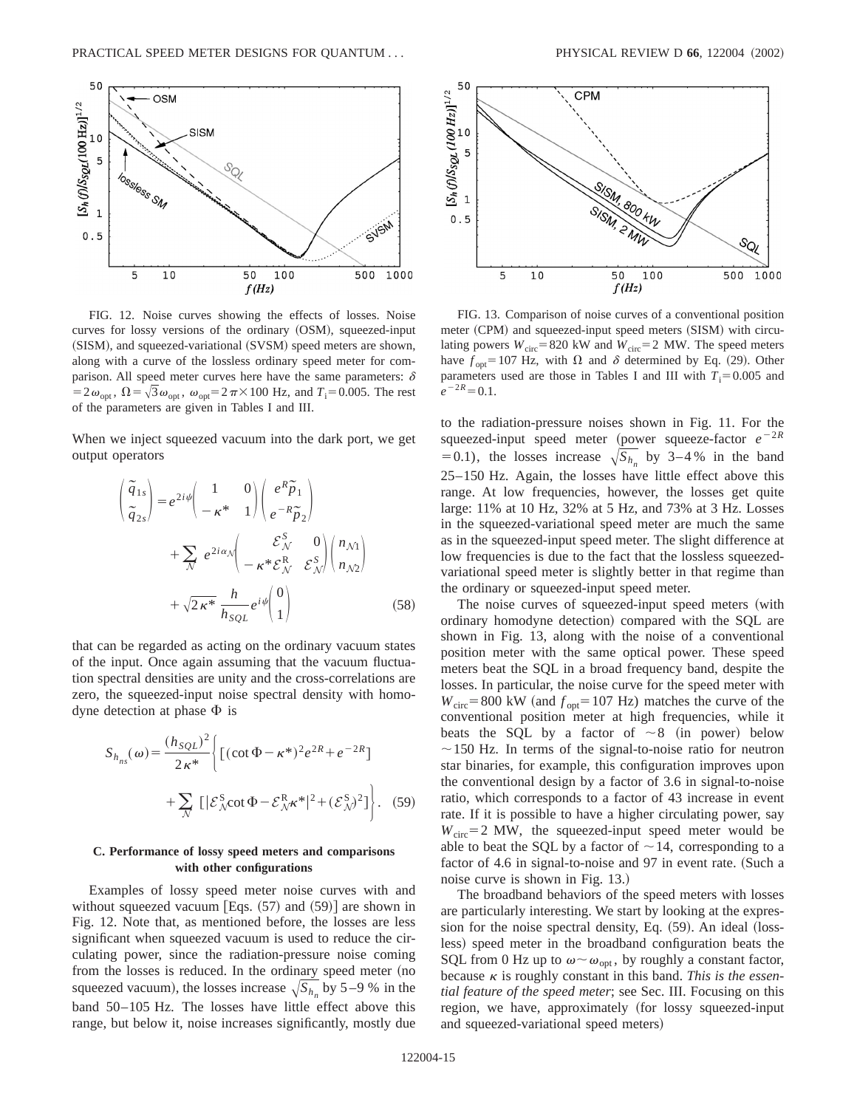

FIG. 12. Noise curves showing the effects of losses. Noise curves for lossy versions of the ordinary (OSM), squeezed-input (SISM), and squeezed-variational (SVSM) speed meters are shown, along with a curve of the lossless ordinary speed meter for comparison. All speed meter curves here have the same parameters:  $\delta$  $=2\omega_{\text{opt}}$ ,  $\Omega = \sqrt{3}\omega_{\text{opt}}$ ,  $\omega_{\text{opt}} = 2\pi \times 100$  Hz, and  $T_i = 0.005$ . The rest of the parameters are given in Tables I and III.

When we inject squeezed vacuum into the dark port, we get output operators

$$
\begin{pmatrix}\n\tilde{q}_{1s} \\
\tilde{q}_{2s}\n\end{pmatrix} = e^{2i\psi} \begin{pmatrix}\n1 & 0 \\
-\kappa^* & 1\n\end{pmatrix} \begin{pmatrix}\ne^R \tilde{p}_1 \\
e^{-R} \tilde{p}_2\n\end{pmatrix} + \sum_{\mathcal{N}} e^{2i\alpha_{\mathcal{N}}} \begin{pmatrix}\n\xi_{\mathcal{N}}^S & 0 \\
-\kappa^* \xi_{\mathcal{N}}^R & \xi_{\mathcal{N}}^S\n\end{pmatrix} \begin{pmatrix}\nn_{\mathcal{N}1} \\
n_{\mathcal{N}2}\n\end{pmatrix} + \sqrt{2\kappa^*} \frac{h}{h_{SQL}} e^{i\psi} \begin{pmatrix}\n0 \\
1\n\end{pmatrix}
$$
\n(58)

that can be regarded as acting on the ordinary vacuum states of the input. Once again assuming that the vacuum fluctuation spectral densities are unity and the cross-correlations are zero, the squeezed-input noise spectral density with homodyne detection at phase  $\Phi$  is

$$
S_{h_{ns}}(\omega) = \frac{(h_{SQL})^2}{2\kappa^*} \left\{ \left[ (\cot \Phi - \kappa^*)^2 e^{2R} + e^{-2R} \right] + \sum_{N} \left[ \left| \mathcal{E}_N^S \cot \Phi - \mathcal{E}_N^R \kappa^* \right|^2 + (\mathcal{E}_N^S)^2 \right] \right\}.
$$
 (59)

# **C. Performance of lossy speed meters and comparisons with other configurations**

Examples of lossy speed meter noise curves with and without squeezed vacuum [Eqs.  $(57)$  and  $(59)$ ] are shown in Fig. 12. Note that, as mentioned before, the losses are less significant when squeezed vacuum is used to reduce the circulating power, since the radiation-pressure noise coming from the losses is reduced. In the ordinary speed meter (no squeezed vacuum), the losses increase  $\sqrt{S_h}$  by 5–9 % in the band 50–105 Hz. The losses have little effect above this range, but below it, noise increases significantly, mostly due



FIG. 13. Comparison of noise curves of a conventional position meter (CPM) and squeezed-input speed meters (SISM) with circulating powers  $W_{\text{circ}}=820 \text{ kW}$  and  $W_{\text{circ}}=2 \text{ MW}$ . The speed meters have  $f_{\text{opt}}=107$  Hz, with  $\Omega$  and  $\delta$  determined by Eq. (29). Other parameters used are those in Tables I and III with  $T_i = 0.005$  and  $e^{-2R}=0.1$ .

to the radiation-pressure noises shown in Fig. 11. For the squeezed-input speed meter (power squeeze-factor  $e^{-2R}$ =0.1), the losses increase  $\sqrt{S_{h_n}}$  by 3–4% in the band 25–150 Hz. Again, the losses have little effect above this range. At low frequencies, however, the losses get quite large: 11% at 10 Hz, 32% at 5 Hz, and 73% at 3 Hz. Losses in the squeezed-variational speed meter are much the same as in the squeezed-input speed meter. The slight difference at low frequencies is due to the fact that the lossless squeezedvariational speed meter is slightly better in that regime than the ordinary or squeezed-input speed meter.

The noise curves of squeezed-input speed meters (with ordinary homodyne detection) compared with the SQL are shown in Fig. 13, along with the noise of a conventional position meter with the same optical power. These speed meters beat the SQL in a broad frequency band, despite the losses. In particular, the noise curve for the speed meter with  $W_{\text{circ}}$ =800 kW (and  $f_{\text{opt}}$ =107 Hz) matches the curve of the conventional position meter at high frequencies, while it beats the SQL by a factor of  $\sim 8$  (in power) below  $\sim$ 150 Hz. In terms of the signal-to-noise ratio for neutron star binaries, for example, this configuration improves upon the conventional design by a factor of 3.6 in signal-to-noise ratio, which corresponds to a factor of 43 increase in event rate. If it is possible to have a higher circulating power, say  $W_{\text{circ}}=2$  MW, the squeezed-input speed meter would be able to beat the SQL by a factor of  $\sim$  14, corresponding to a factor of 4.6 in signal-to-noise and  $97$  in event rate. (Such a noise curve is shown in Fig. 13.)

The broadband behaviors of the speed meters with losses are particularly interesting. We start by looking at the expression for the noise spectral density, Eq.  $(59)$ . An ideal  $(loss$ less) speed meter in the broadband configuration beats the SQL from 0 Hz up to  $\omega \sim \omega_{\text{opt}}$ , by roughly a constant factor, because  $\kappa$  is roughly constant in this band. *This is the essential feature of the speed meter*; see Sec. III. Focusing on this region, we have, approximately (for lossy squeezed-input and squeezed-variational speed meters)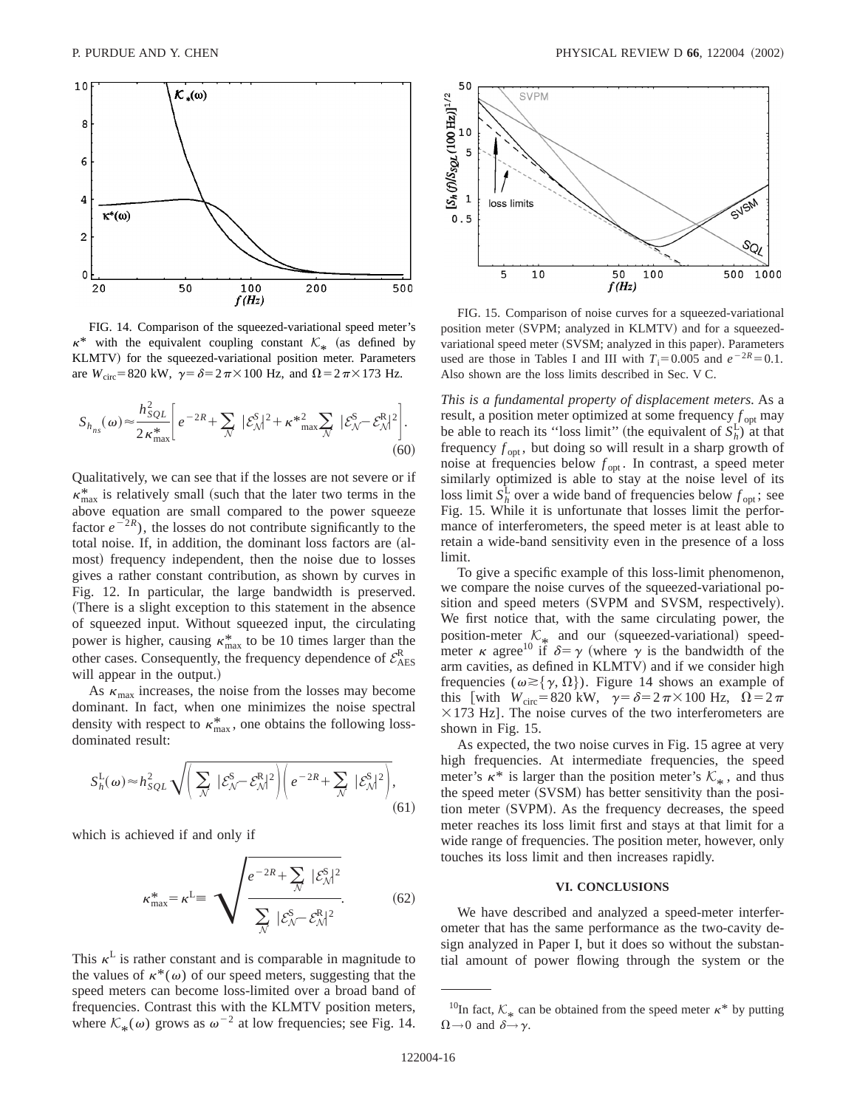

FIG. 14. Comparison of the squeezed-variational speed meter's  $\kappa^*$  with the equivalent coupling constant  $\mathcal{K}_{\kappa}$  (as defined by KLMTV) for the squeezed-variational position meter. Parameters are  $W_{\text{circ}} = 820 \text{ kW}$ ,  $\gamma = \delta = 2 \pi \times 100 \text{ Hz}$ , and  $\Omega = 2 \pi \times 173 \text{ Hz}$ .

$$
S_{h_{ns}}(\omega) \approx \frac{h_{SQL}^2}{2\kappa_{\text{max}}^*} \bigg[ e^{-2R} + \sum_{\mathcal{N}} |\mathcal{E}_{\mathcal{N}}^S|^2 + \kappa^*_{\text{max}}^2 \sum_{\mathcal{N}} |\mathcal{E}_{\mathcal{N}}^S - \mathcal{E}_{\mathcal{N}}^R|^2 \bigg]. \tag{60}
$$

Qualitatively, we can see that if the losses are not severe or if  $\kappa_{\text{max}}^*$  is relatively small (such that the later two terms in the above equation are small compared to the power squeeze factor  $e^{-2R}$ ), the losses do not contribute significantly to the total noise. If, in addition, the dominant loss factors are (almost) frequency independent, then the noise due to losses gives a rather constant contribution, as shown by curves in Fig. 12. In particular, the large bandwidth is preserved. (There is a slight exception to this statement in the absence of squeezed input. Without squeezed input, the circulating power is higher, causing  $\kappa_{\text{max}}^*$  to be 10 times larger than the other cases. Consequently, the frequency dependence of  $\mathcal{E}_{\text{AES}}^{\text{R}}$ will appear in the output.)

As  $\kappa_{\text{max}}$  increases, the noise from the losses may become dominant. In fact, when one minimizes the noise spectral density with respect to  $\kappa_{\text{max}}^*$ , one obtains the following lossdominated result:

$$
S_h^{\text{L}}(\omega) \approx h_{SQL}^2 \sqrt{\left(\sum_{\mathcal{N}} |\mathcal{E}_{\mathcal{N}}^{\text{S}} - \mathcal{E}_{\mathcal{N}}^{\text{R}}|^2\right)} \left(e^{-2R} + \sum_{\mathcal{N}} |\mathcal{E}_{\mathcal{N}}^{\text{S}}|^2\right)},\tag{61}
$$

which is achieved if and only if

$$
\kappa_{\text{max}}^* = \kappa^{\text{L}} \equiv \sqrt{\frac{e^{-2R} + \sum_{\mathcal{N}} |\mathcal{E}_{\mathcal{N}}^{\text{S}}|^2}{\sum_{\mathcal{N}} |\mathcal{E}_{\mathcal{N}}^{\text{S}} - \mathcal{E}_{\mathcal{N}}^{\text{R}}|^2}}. \tag{62}
$$

This  $\kappa^L$  is rather constant and is comparable in magnitude to the values of  $\kappa^*(\omega)$  of our speed meters, suggesting that the speed meters can become loss-limited over a broad band of frequencies. Contrast this with the KLMTV position meters, where  $\mathcal{K}_{*}(\omega)$  grows as  $\omega^{-2}$  at low frequencies; see Fig. 14.



FIG. 15. Comparison of noise curves for a squeezed-variational position meter (SVPM; analyzed in KLMTV) and for a squeezedvariational speed meter (SVSM; analyzed in this paper). Parameters used are those in Tables I and III with  $T_i = 0.005$  and  $e^{-2R} = 0.1$ . Also shown are the loss limits described in Sec. V C.

*This is a fundamental property of displacement meters.* As a result, a position meter optimized at some frequency  $f_{\text{opt}}$  may be able to reach its "loss limit" (the equivalent of  $S_h^L$ ) at that frequency  $f_{\text{opt}}$ , but doing so will result in a sharp growth of noise at frequencies below  $f_{\text{opt}}$ . In contrast, a speed meter similarly optimized is able to stay at the noise level of its loss limit  $S_h^{\text{L}}$  over a wide band of frequencies below  $f_{\text{opt}}$ ; see Fig. 15. While it is unfortunate that losses limit the performance of interferometers, the speed meter is at least able to retain a wide-band sensitivity even in the presence of a loss limit.

To give a specific example of this loss-limit phenomenon, we compare the noise curves of the squeezed-variational position and speed meters (SVPM and SVSM, respectively). We first notice that, with the same circulating power, the position-meter  $\mathcal{K}_*$  and our (squeezed-variational) speedmeter  $\kappa$  agree<sup>10</sup> if  $\delta = \gamma$  (where  $\gamma$  is the bandwidth of the arm cavities, as defined in KLMTV) and if we consider high frequencies ( $\omega \geq {\gamma, \Omega}$ ). Figure 14 shows an example of this [with  $W_{\text{circ}} = 820 \text{ kW}$ ,  $\gamma = \delta = 2\pi \times 100 \text{ Hz}$ ,  $\Omega = 2\pi$  $\times$ 173 Hz]. The noise curves of the two interferometers are shown in Fig. 15.

As expected, the two noise curves in Fig. 15 agree at very high frequencies. At intermediate frequencies, the speed meter's  $\kappa^*$  is larger than the position meter's  $\mathcal{K}_*$ , and thus the speed meter (SVSM) has better sensitivity than the position meter (SVPM). As the frequency decreases, the speed meter reaches its loss limit first and stays at that limit for a wide range of frequencies. The position meter, however, only touches its loss limit and then increases rapidly.

## **VI. CONCLUSIONS**

We have described and analyzed a speed-meter interferometer that has the same performance as the two-cavity design analyzed in Paper I, but it does so without the substantial amount of power flowing through the system or the

<sup>&</sup>lt;sup>10</sup>In fact,  $K_*$  can be obtained from the speed meter  $\kappa^*$  by putting  $\Omega \rightarrow 0$  and  $\delta \rightarrow \gamma$ .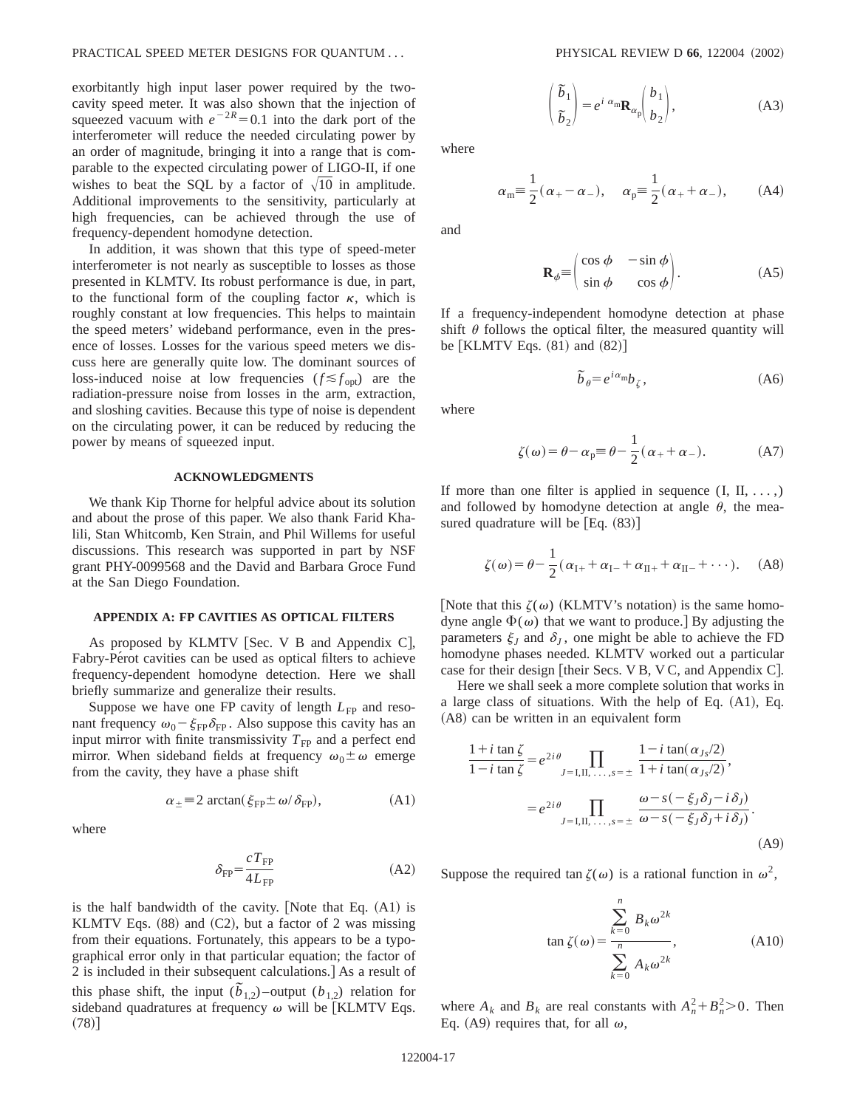exorbitantly high input laser power required by the twocavity speed meter. It was also shown that the injection of squeezed vacuum with  $e^{-2R} = 0.1$  into the dark port of the interferometer will reduce the needed circulating power by an order of magnitude, bringing it into a range that is comparable to the expected circulating power of LIGO-II, if one wishes to beat the SQL by a factor of  $\sqrt{10}$  in amplitude. Additional improvements to the sensitivity, particularly at high frequencies, can be achieved through the use of frequency-dependent homodyne detection.

In addition, it was shown that this type of speed-meter interferometer is not nearly as susceptible to losses as those presented in KLMTV. Its robust performance is due, in part, to the functional form of the coupling factor  $\kappa$ , which is roughly constant at low frequencies. This helps to maintain the speed meters' wideband performance, even in the presence of losses. Losses for the various speed meters we discuss here are generally quite low. The dominant sources of loss-induced noise at low frequencies  $(f \leq f_{\text{opt}})$  are the radiation-pressure noise from losses in the arm, extraction, and sloshing cavities. Because this type of noise is dependent on the circulating power, it can be reduced by reducing the power by means of squeezed input.

# **ACKNOWLEDGMENTS**

We thank Kip Thorne for helpful advice about its solution and about the prose of this paper. We also thank Farid Khalili, Stan Whitcomb, Ken Strain, and Phil Willems for useful discussions. This research was supported in part by NSF grant PHY-0099568 and the David and Barbara Groce Fund at the San Diego Foundation.

### **APPENDIX A: FP CAVITIES AS OPTICAL FILTERS**

As proposed by KLMTV [Sec. V B and Appendix C], Fabry-Pérot cavities can be used as optical filters to achieve frequency-dependent homodyne detection. Here we shall briefly summarize and generalize their results.

Suppose we have one FP cavity of length  $L_{FP}$  and resonant frequency  $\omega_0 - \xi_{FP} \delta_{FP}$ . Also suppose this cavity has an input mirror with finite transmissivity  $T_{FP}$  and a perfect end mirror. When sideband fields at frequency  $\omega_0 \pm \omega$  emerge from the cavity, they have a phase shift

$$
\alpha_{\pm} \equiv 2 \arctan(\xi_{\rm FP} \pm \omega/\delta_{\rm FP}), \tag{A1}
$$

where

$$
\delta_{\rm FP} = \frac{c \, T_{\rm FP}}{4 \, L_{\rm FP}} \tag{A2}
$$

is the half bandwidth of the cavity. [Note that Eq.  $(A1)$  is KLMTV Eqs.  $(88)$  and  $(C2)$ , but a factor of 2 was missing from their equations. Fortunately, this appears to be a typographical error only in that particular equation; the factor of 2 is included in their subsequent calculations.] As a result of this phase shift, the input  $(\tilde{b}_{1,2})$  –output  $(b_{1,2})$  relation for sideband quadratures at frequency  $\omega$  will be [KLMTV Eqs.  $(78)$ ]

$$
\begin{pmatrix} \tilde{b}_1 \\ \tilde{b}_2 \end{pmatrix} = e^{i \alpha_{\text{m}}} \mathbf{R}_{\alpha_p} \begin{pmatrix} b_1 \\ b_2 \end{pmatrix},
$$
 (A3)

where

$$
\alpha_m \equiv \frac{1}{2}(\alpha_+ - \alpha_-), \quad \alpha_p \equiv \frac{1}{2}(\alpha_+ + \alpha_-),
$$
\n(A4)

and

$$
\mathbf{R}_{\phi} = \begin{pmatrix} \cos \phi & -\sin \phi \\ \sin \phi & \cos \phi \end{pmatrix} . \tag{A5}
$$

If a frequency-independent homodyne detection at phase shift  $\theta$  follows the optical filter, the measured quantity will be  $\left[$  KLMTV Eqs.  $(81)$  and  $(82)$   $\right]$ 

$$
\tilde{b}_{\theta} = e^{i\alpha_{\text{m}}}b_{\zeta},\tag{A6}
$$

where

$$
\zeta(\omega) = \theta - \alpha_p \equiv \theta - \frac{1}{2} (\alpha_+ + \alpha_-). \tag{A7}
$$

If more than one filter is applied in sequence  $(I, II, \ldots)$ and followed by homodyne detection at angle  $\theta$ , the measured quadrature will be  $[Eq. (83)]$ 

$$
\zeta(\omega) = \theta - \frac{1}{2}(\alpha_{I+} + \alpha_{I-} + \alpha_{II+} + \alpha_{II-} + \cdots). \tag{A8}
$$

[Note that this  $\zeta(\omega)$  (KLMTV's notation) is the same homodyne angle  $\Phi(\omega)$  that we want to produce.] By adjusting the parameters  $\xi_l$  and  $\delta_l$ , one might be able to achieve the FD homodyne phases needed. KLMTV worked out a particular case for their design [their Secs. V B, V C, and Appendix C].

Here we shall seek a more complete solution that works in a large class of situations. With the help of Eq.  $(A1)$ , Eq.  $(A8)$  can be written in an equivalent form

$$
\frac{1+i \tan \zeta}{1-i \tan \zeta} = e^{2i\theta} \prod_{J=1,\Pi,\dots,s=\pm} \frac{1-i \tan(\alpha_{Js}/2)}{1+i \tan(\alpha_{Js}/2)},
$$

$$
= e^{2i\theta} \prod_{J=1,\Pi,\dots,s=\pm} \frac{\omega - s(-\xi_J \delta_J - i\delta_J)}{\omega - s(-\xi_J \delta_J + i\delta_J)}.
$$
(A9)

Suppose the required tan  $\zeta(\omega)$  is a rational function in  $\omega^2$ ,

$$
\tan \zeta(\omega) = \frac{\sum_{k=0}^{n} B_k \omega^{2k}}{\sum_{k=0}^{n} A_k \omega^{2k}},
$$
\n(A10)

where  $A_k$  and  $B_k$  are real constants with  $A_n^2 + B_n^2 > 0$ . Then Eq. (A9) requires that, for all  $\omega$ ,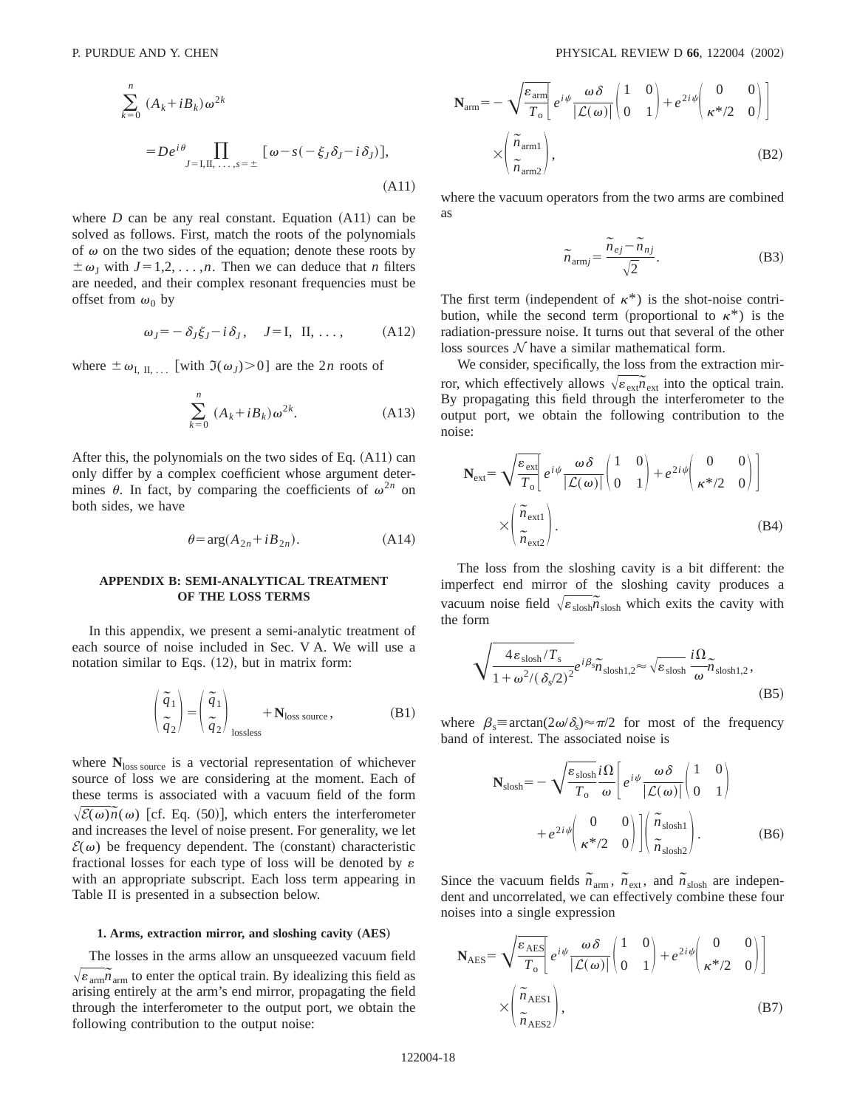$$
\sum_{k=0}^{n} (A_k + iB_k) \omega^{2k}
$$
  
=  $De^{i\theta} \prod_{J=1,\Pi,\dots,s=\pm} [\omega - s(-\xi_J \delta_J - i\delta_J)],$  (A11)

where  $D$  can be any real constant. Equation  $(A11)$  can be solved as follows. First, match the roots of the polynomials of  $\omega$  on the two sides of the equation; denote these roots by  $\pm \omega_J$  with  $J=1,2,\ldots,n$ . Then we can deduce that *n* filters are needed, and their complex resonant frequencies must be offset from  $\omega_0$  by

$$
\omega_J = -\delta_J \xi_J - i \delta_J, \quad J = I, \quad II, \ldots, \quad (A12)
$$

where  $\pm \omega_{\text{I, II, ...}}$  [with  $\Im(\omega_J) > 0$ ] are the 2*n* roots of

$$
\sum_{k=0}^{n} (A_k + iB_k) \omega^{2k}.
$$
 (A13)

After this, the polynomials on the two sides of Eq.  $(A11)$  can only differ by a complex coefficient whose argument determines  $\theta$ . In fact, by comparing the coefficients of  $\omega^{2n}$  on both sides, we have

$$
\theta = \arg(A_{2n} + iB_{2n}).\tag{A14}
$$

# **APPENDIX B: SEMI-ANALYTICAL TREATMENT OF THE LOSS TERMS**

In this appendix, we present a semi-analytic treatment of each source of noise included in Sec. V A. We will use a notation similar to Eqs.  $(12)$ , but in matrix form:

$$
\begin{pmatrix} \tilde{q}_1 \\ \tilde{q}_2 \end{pmatrix} = \begin{pmatrix} \tilde{q}_1 \\ \tilde{q}_2 \end{pmatrix}_{\text{lossless}} + \mathbf{N}_{\text{loss source}},
$$
 (B1)

where  $N_{loss\ source}$  is a vectorial representation of whichever source of loss we are considering at the moment. Each of these terms is associated with a vacuum field of the form  $\sqrt{\mathcal{E}(\omega)\tilde{n}}(\omega)$  [cf. Eq. (50)], which enters the interferometer and increases the level of noise present. For generality, we let  $\mathcal{E}(\omega)$  be frequency dependent. The (constant) characteristic fractional losses for each type of loss will be denoted by  $\varepsilon$ with an appropriate subscript. Each loss term appearing in Table II is presented in a subsection below.

### **1. Arms, extraction mirror, and sloshing cavity (AES)**

The losses in the arms allow an unsqueezed vacuum field  $\sqrt{\varepsilon_{\text{arm}}}\tilde{n}_{\text{arm}}$  to enter the optical train. By idealizing this field as arising entirely at the arm's end mirror, propagating the field through the interferometer to the output port, we obtain the following contribution to the output noise:

$$
\mathbf{N}_{\text{arm}} = -\sqrt{\frac{\varepsilon_{\text{arm}}}{T_o}} \left[ e^{i\psi} \frac{\omega \delta}{|\mathcal{L}(\omega)|} \begin{pmatrix} 1 & 0 \\ 0 & 1 \end{pmatrix} + e^{2i\psi} \begin{pmatrix} 0 & 0 \\ \kappa^{*}/2 & 0 \end{pmatrix} \right]
$$

$$
\times \left( \frac{\tilde{n}_{\text{arm1}}}{\tilde{n}_{\text{arm2}}} \right), \tag{B2}
$$

where the vacuum operators from the two arms are combined as

$$
\widetilde{n}_{armj} = \frac{\widetilde{n}_{ej} - \widetilde{n}_{nj}}{\sqrt{2}}.
$$
\n(B3)

The first term (independent of  $\kappa^*$ ) is the shot-noise contribution, while the second term (proportional to  $\kappa^*$ ) is the radiation-pressure noise. It turns out that several of the other loss sources  $N$  have a similar mathematical form.

We consider, specifically, the loss from the extraction mirror, which effectively allows  $\sqrt{\epsilon_{\text{ext}}} \tilde{n}_{\text{ext}}$  into the optical train. By propagating this field through the interferometer to the output port, we obtain the following contribution to the noise:

$$
\mathbf{N}_{\text{ext}} = \sqrt{\frac{\varepsilon_{\text{ext}}}{T_{\text{o}}}} \left[ e^{i\psi} \frac{\omega \delta}{|\mathcal{L}(\omega)|} \begin{pmatrix} 1 & 0 \\ 0 & 1 \end{pmatrix} + e^{2i\psi} \begin{pmatrix} 0 & 0 \\ \kappa^{*}/2 & 0 \end{pmatrix} \right]
$$

$$
\times \left( \frac{\tilde{n}_{\text{ext1}}}{\tilde{n}_{\text{ext2}}} \right). \tag{B4}
$$

The loss from the sloshing cavity is a bit different: the imperfect end mirror of the sloshing cavity produces a vacuum noise field  $\sqrt{\varepsilon_{\text{slosh}}}\tilde{n}_{\text{slosh}}$  which exits the cavity with the form

$$
\sqrt{\frac{4\epsilon_{\text{slosh}}/T_{\text{s}}}{1+\omega^2/(\delta_{\text{s}}/2)^2}}e^{i\beta_{\text{s}}}\tilde{n}_{\text{slosh1,2}} \approx \sqrt{\epsilon_{\text{slosh}}} \frac{i\Omega}{\omega} \tilde{n}_{\text{slosh1,2}},
$$
\n(B5)

where  $\beta_s \equiv \arctan(2\omega/\delta_s) \approx \pi/2$  for most of the frequency band of interest. The associated noise is

$$
\mathbf{N}_{\text{slosh}} = -\sqrt{\frac{\varepsilon_{\text{slosh}}}{T_o}} \frac{i\Omega}{\omega} \left[ e^{i\psi} \frac{\omega \delta}{|\mathcal{L}(\omega)|} \begin{pmatrix} 1 & 0 \\ 0 & 1 \end{pmatrix} + e^{2i\psi} \begin{pmatrix} 0 & 0 \\ \kappa^* / 2 & 0 \end{pmatrix} \right] \begin{pmatrix} \tilde{n}_{\text{slosh1}} \\ \tilde{n}_{\text{slosh2}} \end{pmatrix} .
$$
 (B6)

Since the vacuum fields  $\tilde{n}_{arm}$ ,  $\tilde{n}_{ext}$ , and  $\tilde{n}_{slosh}$  are independent and uncorrelated, we can effectively combine these four noises into a single expression

$$
\mathbf{N}_{\text{AES}} = \sqrt{\frac{\varepsilon_{\text{AES}}}{T_o}} \left[ e^{i\psi} \frac{\omega \delta}{|\mathcal{L}(\omega)|} \begin{pmatrix} 1 & 0 \\ 0 & 1 \end{pmatrix} + e^{2i\psi} \begin{pmatrix} 0 & 0 \\ \kappa^* / 2 & 0 \end{pmatrix} \right]
$$

$$
\times \left( \frac{\tilde{n}_{\text{AES1}}}{\tilde{n}_{\text{AES2}}} \right), \tag{B7}
$$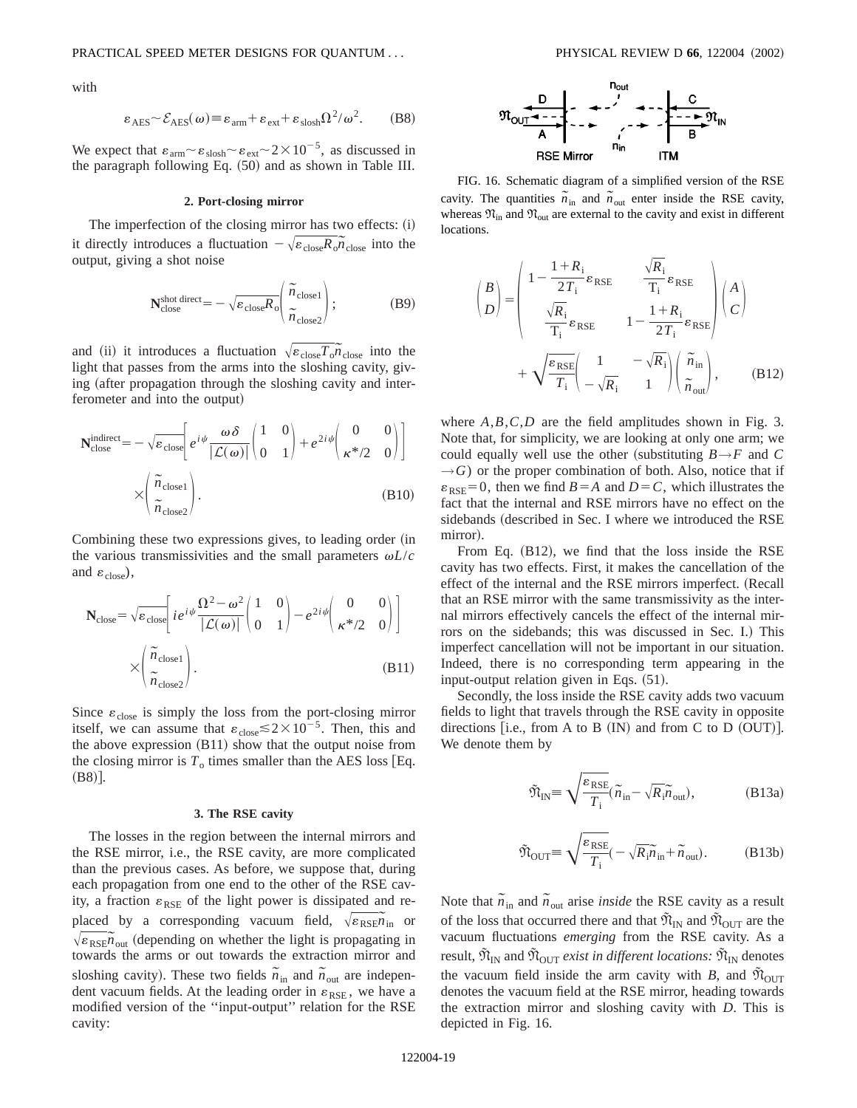with

$$
\varepsilon_{\text{AES}} \sim \mathcal{E}_{\text{AES}}(\omega) \equiv \varepsilon_{\text{arm}} + \varepsilon_{\text{ext}} + \varepsilon_{\text{slosh}} \Omega^2 / \omega^2. \tag{B8}
$$

We expect that  $\varepsilon_{\text{arm}} \sim \varepsilon_{\text{slosh}} \sim \varepsilon_{\text{ext}} \sim 2 \times 10^{-5}$ , as discussed in the paragraph following Eq. (50) and as shown in Table III.

#### **2. Port-closing mirror**

The imperfection of the closing mirror has two effects:  $(i)$ it directly introduces a fluctuation  $-\sqrt{\varepsilon_{\text{close}} R_o n_{\text{close}}}$  into the output, giving a shot noise

$$
\mathbf{N}_{\text{close}}^{\text{shot direct}} = -\sqrt{\varepsilon_{\text{close}} R_o} \left( \frac{\tilde{n}_{\text{close}}}{\tilde{n}_{\text{close}}} \right); \tag{B9}
$$

and (ii) it introduces a fluctuation  $\sqrt{\epsilon_{\text{close}}} \overline{T_o} \overline{n}_{\text{close}}$  into the light that passes from the arms into the sloshing cavity, giving (after propagation through the sloshing cavity and interferometer and into the output)

$$
\mathbf{N}_{\text{close}}^{\text{indirect}} = -\sqrt{\varepsilon_{\text{close}}}\left[e^{i\psi} \frac{\omega \delta}{|\mathcal{L}(\omega)|} \begin{pmatrix} 1 & 0 \\ 0 & 1 \end{pmatrix} + e^{2i\psi} \begin{pmatrix} 0 & 0 \\ \kappa^{*}/2 & 0 \end{pmatrix}\right]
$$

$$
\times \begin{pmatrix} \tilde{n}_{\text{close}} \\ \tilde{n}_{\text{close}} \end{pmatrix}.
$$
(B10)

Combining these two expressions gives, to leading order (in the various transmissivities and the small parameters  $\omega L/c$ and  $\varepsilon_{\text{close}}$ ),

$$
\mathbf{N}_{\text{close}} = \sqrt{\varepsilon_{\text{close}}} \left[ i e^{i\psi} \frac{\Omega^2 - \omega^2}{|\mathcal{L}(\omega)|} \begin{pmatrix} 1 & 0 \\ 0 & 1 \end{pmatrix} - e^{2i\psi} \begin{pmatrix} 0 & 0 \\ \kappa^* / 2 & 0 \end{pmatrix} \right]
$$

$$
\times \left( \frac{\tilde{n}_{\text{close}}}{\tilde{n}_{\text{close}}} \right). \tag{B11}
$$

Since  $\varepsilon_{\text{close}}$  is simply the loss from the port-closing mirror itself, we can assume that  $\varepsilon_{\text{close}} \lesssim 2 \times 10^{-5}$ . Then, this and the above expression  $(B11)$  show that the output noise from the closing mirror is  $T_0$  times smaller than the AES loss [Eq.  $(B8)$ .

## **3. The RSE cavity**

The losses in the region between the internal mirrors and the RSE mirror, i.e., the RSE cavity, are more complicated than the previous cases. As before, we suppose that, during each propagation from one end to the other of the RSE cavity, a fraction  $\varepsilon_{RSE}$  of the light power is dissipated and replaced by a corresponding vacuum field,  $\sqrt{\varepsilon_{RSE}} \tilde{n}_{in}$  or  $\sqrt{\varepsilon_{\text{RSE}}}\tilde{n}_{\text{out}}$  (depending on whether the light is propagating in towards the arms or out towards the extraction mirror and sloshing cavity). These two fields  $\tilde{n}_{\text{in}}$  and  $\tilde{n}_{\text{out}}$  are independent vacuum fields. At the leading order in  $\varepsilon_{RSE}$ , we have a modified version of the ''input-output'' relation for the RSE cavity:



FIG. 16. Schematic diagram of a simplified version of the RSE cavity. The quantities  $\tilde{n}_{in}$  and  $\tilde{n}_{out}$  enter inside the RSE cavity, whereas  $\mathfrak{N}_{\text{in}}$  and  $\mathfrak{N}_{\text{out}}$  are external to the cavity and exist in different locations.

$$
\begin{pmatrix} B \\ D \end{pmatrix} = \begin{pmatrix} 1 - \frac{1 + R_{i}}{2T_{i}} \varepsilon_{\text{RSE}} & \frac{\sqrt{R_{i}}}{T_{i}} \varepsilon_{\text{RSE}} \\ \frac{\sqrt{R_{i}}}{T_{i}} \varepsilon_{\text{RSE}} & 1 - \frac{1 + R_{i}}{2T_{i}} \varepsilon_{\text{RSE}} \end{pmatrix} \begin{pmatrix} A \\ C \end{pmatrix}
$$

$$
+ \sqrt{\frac{\varepsilon_{\text{RSE}}}{T_{i}}} \begin{pmatrix} 1 & -\sqrt{R_{i}} \\ -\sqrt{R_{i}} & 1 \end{pmatrix} \begin{pmatrix} \tilde{n}_{\text{in}} \\ \tilde{n}_{\text{out}} \end{pmatrix}, \qquad (B12)
$$

where *A*,*B*,*C*,*D* are the field amplitudes shown in Fig. 3. Note that, for simplicity, we are looking at only one arm; we could equally well use the other (substituting  $B \rightarrow F$  and *C*  $\rightarrow$  *G*) or the proper combination of both. Also, notice that if  $\varepsilon_{RSE}$ =0, then we find *B* = *A* and *D* = *C*, which illustrates the fact that the internal and RSE mirrors have no effect on the sidebands (described in Sec. I where we introduced the RSE mirror).

From Eq.  $(B12)$ , we find that the loss inside the RSE cavity has two effects. First, it makes the cancellation of the effect of the internal and the RSE mirrors imperfect. (Recall that an RSE mirror with the same transmissivity as the internal mirrors effectively cancels the effect of the internal mirrors on the sidebands; this was discussed in Sec. I.) This imperfect cancellation will not be important in our situation. Indeed, there is no corresponding term appearing in the input-output relation given in Eqs.  $(51)$ .

Secondly, the loss inside the RSE cavity adds two vacuum fields to light that travels through the RSE cavity in opposite directions [i.e., from A to B  $(IN)$  and from C to D  $(OUT)$ ]. We denote them by

$$
\tilde{\mathfrak{N}}_{\rm IN} \equiv \sqrt{\frac{\varepsilon_{\rm RSE}}{T_{\rm i}}} (\tilde{n}_{\rm in} - \sqrt{R_{\rm i}} \tilde{n}_{\rm out}), \tag{B13a}
$$

$$
\tilde{\mathfrak{N}}_{\text{OUT}} \equiv \sqrt{\frac{\varepsilon_{\text{RSE}}}{T_{\text{i}}}} \left( -\sqrt{R_{\text{i}}}\tilde{n}_{\text{in}} + \tilde{n}_{\text{out}} \right). \tag{B13b}
$$

Note that  $\tilde{n}_{\text{in}}$  and  $\tilde{n}_{\text{out}}$  arise *inside* the RSE cavity as a result of the loss that occurred there and that  $\tilde{\mathfrak{N}}_{\text{IN}}$  and  $\tilde{\mathfrak{N}}_{\text{OUT}}$  are the vacuum fluctuations *emerging* from the RSE cavity. As a result,  $\mathfrak{N}_{\text{IN}}$  and  $\mathfrak{N}_{\text{OUT}}$  *exist in different locations:*  $\mathfrak{N}_{\text{IN}}$  denotes the vacuum field inside the arm cavity with *B*, and  $\tilde{\mathfrak{N}}_{\text{OUT}}$ denotes the vacuum field at the RSE mirror, heading towards the extraction mirror and sloshing cavity with *D*. This is depicted in Fig. 16.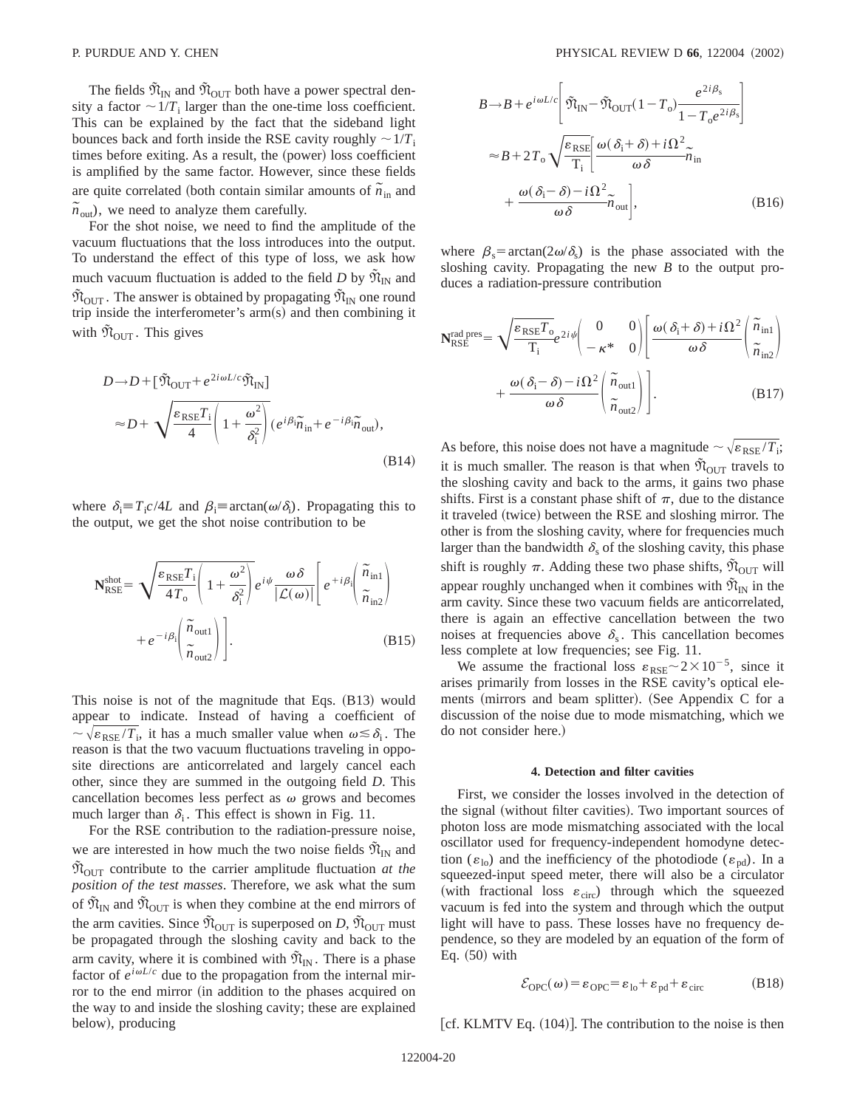The fields  $\tilde{\mathfrak{N}}_{\text{IN}}$  and  $\tilde{\mathfrak{N}}_{\text{OUT}}$  both have a power spectral density a factor  $\sim 1/T_i$  larger than the one-time loss coefficient. This can be explained by the fact that the sideband light bounces back and forth inside the RSE cavity roughly  $\sim 1/T_i$ times before exiting. As a result, the (power) loss coefficient is amplified by the same factor. However, since these fields are quite correlated (both contain similar amounts of  $\tilde{n}_{in}$  and  $\tilde{n}_{\text{out}}$ , we need to analyze them carefully.

For the shot noise, we need to find the amplitude of the vacuum fluctuations that the loss introduces into the output. To understand the effect of this type of loss, we ask how much vacuum fluctuation is added to the field *D* by  $\tilde{\mathfrak{N}}_{IN}$  and  $\tilde{\mathfrak{N}}_{\text{OUT}}$ . The answer is obtained by propagating  $\tilde{\mathfrak{N}}_{\text{IN}}$  one round trip inside the interferometer's  $arm(s)$  and then combining it with  $\tilde{\mathfrak{N}}_{\text{OUT}}$ . This gives

$$
D \rightarrow D + [\tilde{\mathfrak{N}}_{\text{OUT}} + e^{2i\omega L/c} \tilde{\mathfrak{N}}_{\text{IN}}]
$$
  
\n
$$
\approx D + \sqrt{\frac{\varepsilon_{\text{RSE}} T_i}{4} \left( 1 + \frac{\omega^2}{\delta_i^2} \right)} (e^{i\beta i} \tilde{n}_{\text{in}} + e^{-i\beta i} \tilde{n}_{\text{out}}),
$$
\n(B14)

where  $\delta_i = T_i c / 4L$  and  $\beta_i = \arctan(\omega/\delta_i)$ . Propagating this to the output, we get the shot noise contribution to be

$$
\mathbf{N}_{RSE}^{\text{shot}} = \sqrt{\frac{\varepsilon_{RSE} T_{\text{i}}}{4T_{\text{o}}} \left( 1 + \frac{\omega^2}{\delta_{\text{i}}^2} \right)} e^{i\psi} \frac{\omega \delta}{|\mathcal{L}(\omega)|} \left[ e^{+i\beta_{\text{i}}} \left( \frac{\tilde{n}_{\text{in1}}}{\tilde{n}_{\text{in2}}} \right) + e^{-i\beta_{\text{i}}} \left( \frac{\tilde{n}_{\text{out1}}}{\tilde{n}_{\text{out2}}} \right) \right].
$$
\n(B15)

This noise is not of the magnitude that Eqs.  $(B13)$  would appear to indicate. Instead of having a coefficient of  $\sim \sqrt{\varepsilon_{RSE}/T_i}$ , it has a much smaller value when  $\omega \leq \delta_i$ . The reason is that the two vacuum fluctuations traveling in opposite directions are anticorrelated and largely cancel each other, since they are summed in the outgoing field *D*. This cancellation becomes less perfect as  $\omega$  grows and becomes much larger than  $\delta_i$ . This effect is shown in Fig. 11.

For the RSE contribution to the radiation-pressure noise, we are interested in how much the two noise fields  $\mathfrak{N}_{\text{IN}}$  and  $\tilde{\mathfrak{N}}_{\text{OUT}}$  contribute to the carrier amplitude fluctuation *at the position of the test masses*. Therefore, we ask what the sum of  $\tilde{\mathfrak{N}}_{\text{IN}}$  and  $\tilde{\mathfrak{N}}_{\text{OUT}}$  is when they combine at the end mirrors of the arm cavities. Since  $\tilde{\mathfrak{N}}_{\text{OUT}}$  is superposed on *D*,  $\tilde{\mathfrak{N}}_{\text{OUT}}$  must be propagated through the sloshing cavity and back to the arm cavity, where it is combined with  $\tilde{\mathfrak{N}}_{IN}$ . There is a phase factor of  $e^{i\omega L/c}$  due to the propagation from the internal mirror to the end mirror (in addition to the phases acquired on the way to and inside the sloshing cavity; these are explained below), producing

$$
B \rightarrow B + e^{i\omega L/c} \left[ \tilde{\mathfrak{N}}_{\text{IN}} - \tilde{\mathfrak{N}}_{\text{OUT}} (1 - T_o) \frac{e^{2i\beta_s}}{1 - T_o e^{2i\beta_s}} \right]
$$
  

$$
\approx B + 2T_o \sqrt{\frac{\varepsilon_{\text{RSE}}}{T_i}} \frac{\omega(\delta_i + \delta) + i\Omega^2}{\omega \delta} \tilde{n}_{\text{in}}
$$
  

$$
+ \frac{\omega(\delta_i - \delta) - i\Omega^2}{\omega \delta} \tilde{n}_{\text{out}} , \qquad (B16)
$$

where  $\beta_s = \arctan(2\omega/\delta_s)$  is the phase associated with the sloshing cavity. Propagating the new *B* to the output produces a radiation-pressure contribution

$$
\mathbf{N}_{\text{RSE}}^{\text{rad pres}} = \sqrt{\frac{\varepsilon_{\text{RSE}} T_{o}}{T_{i}}} e^{2i\psi} \begin{pmatrix} 0 & 0 \\ -\kappa^{*} & 0 \end{pmatrix} \begin{bmatrix} \omega(\delta_{i} + \delta) + i\Omega^{2} \\ \omega\delta \end{bmatrix} \begin{pmatrix} \tilde{n}_{\text{in}1} \\ \tilde{n}_{\text{in}2} \end{pmatrix} + \frac{\omega(\delta_{i} - \delta) - i\Omega^{2}}{\omega\delta} \begin{pmatrix} \tilde{n}_{\text{out}1} \\ \tilde{n}_{\text{out}2} \end{pmatrix} .
$$
 (B17)

As before, this noise does not have a magnitude  $\sim \sqrt{\varepsilon_{\rm RSE}/T_i}$ ; it is much smaller. The reason is that when  $\tilde{\mathfrak{N}}_{\text{OUT}}$  travels to the sloshing cavity and back to the arms, it gains two phase shifts. First is a constant phase shift of  $\pi$ , due to the distance it traveled (twice) between the RSE and sloshing mirror. The other is from the sloshing cavity, where for frequencies much larger than the bandwidth  $\delta_s$  of the sloshing cavity, this phase shift is roughly  $\pi$ . Adding these two phase shifts,  $\mathfrak{N}_{\text{OUT}}$  will appear roughly unchanged when it combines with  $\tilde{\mathfrak{N}}_{\text{IN}}$  in the arm cavity. Since these two vacuum fields are anticorrelated, there is again an effective cancellation between the two noises at frequencies above  $\delta_{\rm s}$ . This cancellation becomes less complete at low frequencies; see Fig. 11.

We assume the fractional loss  $\varepsilon_{RSE} \sim 2 \times 10^{-5}$ , since it arises primarily from losses in the RSE cavity's optical elements (mirrors and beam splitter). (See Appendix C for a discussion of the noise due to mode mismatching, which we do not consider here.)

#### **4. Detection and filter cavities**

First, we consider the losses involved in the detection of the signal (without filter cavities). Two important sources of photon loss are mode mismatching associated with the local oscillator used for frequency-independent homodyne detection  $(\varepsilon_{10})$  and the inefficiency of the photodiode  $(\varepsilon_{10})$ . In a squeezed-input speed meter, there will also be a circulator (with fractional loss  $\varepsilon_{\text{circ}}$ ) through which the squeezed vacuum is fed into the system and through which the output light will have to pass. These losses have no frequency dependence, so they are modeled by an equation of the form of Eq.  $(50)$  with

$$
\mathcal{E}_{\text{OPC}}(\omega) = \varepsilon_{\text{OPC}} = \varepsilon_{\text{lo}} + \varepsilon_{\text{pd}} + \varepsilon_{\text{circ}}
$$
 (B18)

[cf. KLMTV Eq.  $(104)$ ]. The contribution to the noise is then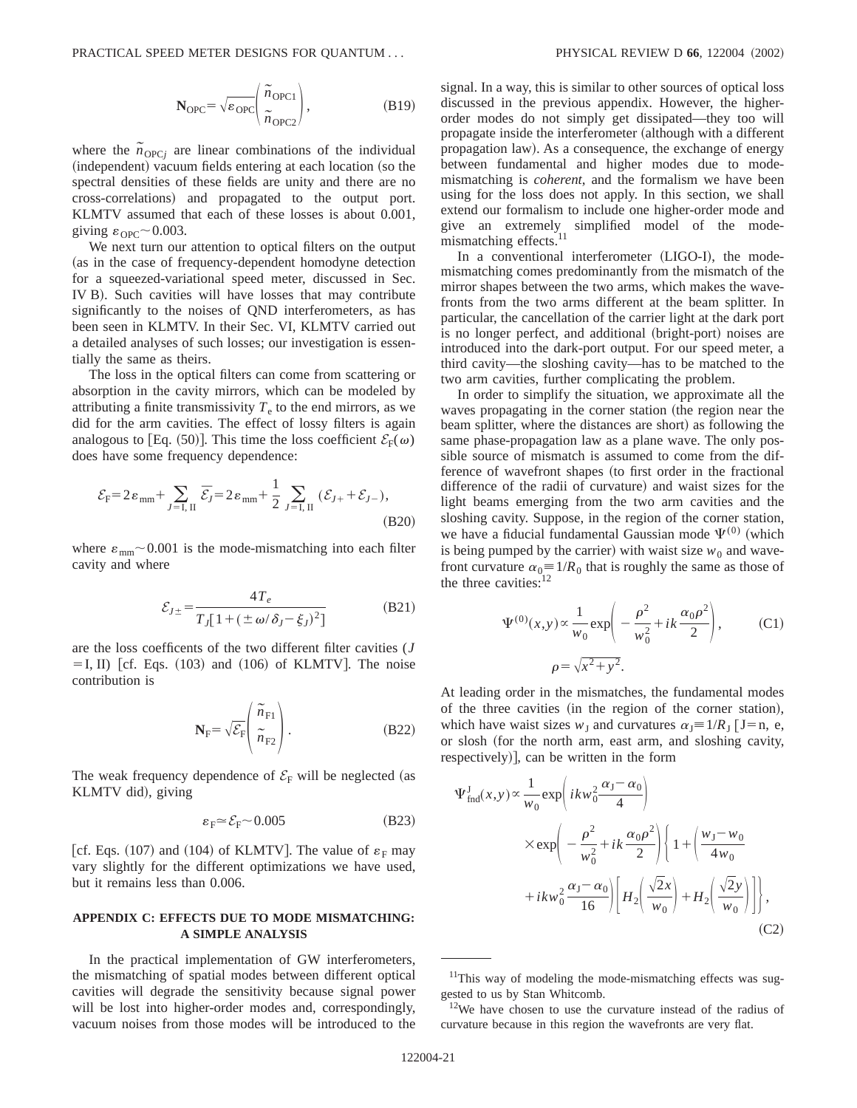$$
\mathbf{N}_{\text{OPC}} = \sqrt{\varepsilon_{\text{OPC}}} \left( \frac{\tilde{n}_{\text{OPC1}}}{\tilde{n}_{\text{OPC2}}} \right),\tag{B19}
$$

where the  $\tilde{n}_{\text{OPC}j}$  are linear combinations of the individual (independent) vacuum fields entering at each location (so the spectral densities of these fields are unity and there are no cross-correlations! and propagated to the output port. KLMTV assumed that each of these losses is about 0.001, giving  $\varepsilon_{\text{OPC}}$  ~ 0.003.

We next turn our attention to optical filters on the output (as in the case of frequency-dependent homodyne detection for a squeezed-variational speed meter, discussed in Sec. IV B). Such cavities will have losses that may contribute significantly to the noises of QND interferometers, as has been seen in KLMTV. In their Sec. VI, KLMTV carried out a detailed analyses of such losses; our investigation is essentially the same as theirs.

The loss in the optical filters can come from scattering or absorption in the cavity mirrors, which can be modeled by attributing a finite transmissivity  $T<sub>e</sub>$  to the end mirrors, as we did for the arm cavities. The effect of lossy filters is again analogous to [Eq. (50)]. This time the loss coefficient  $\mathcal{E}_{F}(\omega)$ does have some frequency dependence:

$$
\mathcal{E}_{\rm F} = 2\varepsilon_{\rm mm} + \sum_{J=I,\; II} \bar{\mathcal{E}}_J = 2\varepsilon_{\rm mm} + \frac{1}{2} \sum_{J=I,\; II} (\mathcal{E}_{J+} + \mathcal{E}_{J-}),\tag{B20}
$$

where  $\varepsilon_{mm}$  ~ 0.001 is the mode-mismatching into each filter cavity and where

$$
\mathcal{E}_{J\pm} = \frac{4T_e}{T_J[1 + (\pm \omega/\delta_J - \xi_J)^2]}
$$
(B21)

are the loss coefficents of the two different filter cavities (*J*  $=$  I, II) [cf. Eqs. (103) and (106) of KLMTV]. The noise contribution is

$$
\mathbf{N}_{\mathrm{F}} = \sqrt{\mathcal{E}_{\mathrm{F}}} \left( \begin{array}{c} \widetilde{n}_{\mathrm{F1}} \\ \widetilde{n}_{\mathrm{F2}} \end{array} \right). \tag{B22}
$$

The weak frequency dependence of  $\mathcal{E}_F$  will be neglected (as KLMTV did), giving

$$
\varepsilon_{\rm F} \simeq \mathcal{E}_{\rm F} \sim 0.005\tag{B23}
$$

[cf. Eqs. (107) and (104) of KLMTV]. The value of  $\varepsilon_F$  may vary slightly for the different optimizations we have used, but it remains less than 0.006.

# **APPENDIX C: EFFECTS DUE TO MODE MISMATCHING: A SIMPLE ANALYSIS**

In the practical implementation of GW interferometers, the mismatching of spatial modes between different optical cavities will degrade the sensitivity because signal power will be lost into higher-order modes and, correspondingly, vacuum noises from those modes will be introduced to the signal. In a way, this is similar to other sources of optical loss discussed in the previous appendix. However, the higherorder modes do not simply get dissipated—they too will propagate inside the interferometer (although with a different propagation law). As a consequence, the exchange of energy between fundamental and higher modes due to modemismatching is *coherent*, and the formalism we have been using for the loss does not apply. In this section, we shall extend our formalism to include one higher-order mode and give an extremely simplified model of the modemismatching effects.<sup>11</sup>

In a conventional interferometer (LIGO-I), the modemismatching comes predominantly from the mismatch of the mirror shapes between the two arms, which makes the wavefronts from the two arms different at the beam splitter. In particular, the cancellation of the carrier light at the dark port is no longer perfect, and additional (bright-port) noises are introduced into the dark-port output. For our speed meter, a third cavity—the sloshing cavity—has to be matched to the two arm cavities, further complicating the problem.

In order to simplify the situation, we approximate all the waves propagating in the corner station (the region near the beam splitter, where the distances are short) as following the same phase-propagation law as a plane wave. The only possible source of mismatch is assumed to come from the difference of wavefront shapes (to first order in the fractional difference of the radii of curvature) and waist sizes for the light beams emerging from the two arm cavities and the sloshing cavity. Suppose, in the region of the corner station, we have a fiducial fundamental Gaussian mode  $\Psi^{(0)}$  (which is being pumped by the carrier) with waist size  $w_0$  and wavefront curvature  $\alpha_0 \equiv 1/R_0$  that is roughly the same as those of the three cavities:<sup>12</sup>

$$
\Psi^{(0)}(x,y) \propto \frac{1}{w_0} \exp\left(-\frac{\rho^2}{w_0^2} + ik\frac{\alpha_0 \rho^2}{2}\right),
$$
 (C1)  

$$
\rho = \sqrt{x^2 + y^2}.
$$

At leading order in the mismatches, the fundamental modes of the three cavities (in the region of the corner station), which have waist sizes  $w<sub>I</sub>$  and curvatures  $\alpha<sub>I</sub> \equiv 1/R<sub>I</sub>$  [J=n, e, or slosh (for the north arm, east arm, and sloshing cavity, respectively)], can be written in the form

$$
\Psi_{\text{find}}^{J}(x, y) \propto \frac{1}{w_0} \exp\left(ikw_0^2 \frac{\alpha_J - \alpha_0}{4}\right)
$$
\n
$$
\times \exp\left(-\frac{\rho^2}{w_0^2} + ik\frac{\alpha_0 \rho^2}{2}\right) \left\{1 + \left(\frac{w_J - w_0}{4w_0}\right) + ikw_0^2 \frac{\alpha_J - \alpha_0}{16}\right) \left[H_2\left(\frac{\sqrt{2}x}{w_0}\right) + H_2\left(\frac{\sqrt{2}y}{w_0}\right)\right]\right\},
$$
\n(C2)

 $11$ This way of modeling the mode-mismatching effects was suggested to us by Stan Whitcomb.

 $12$ We have chosen to use the curvature instead of the radius of curvature because in this region the wavefronts are very flat.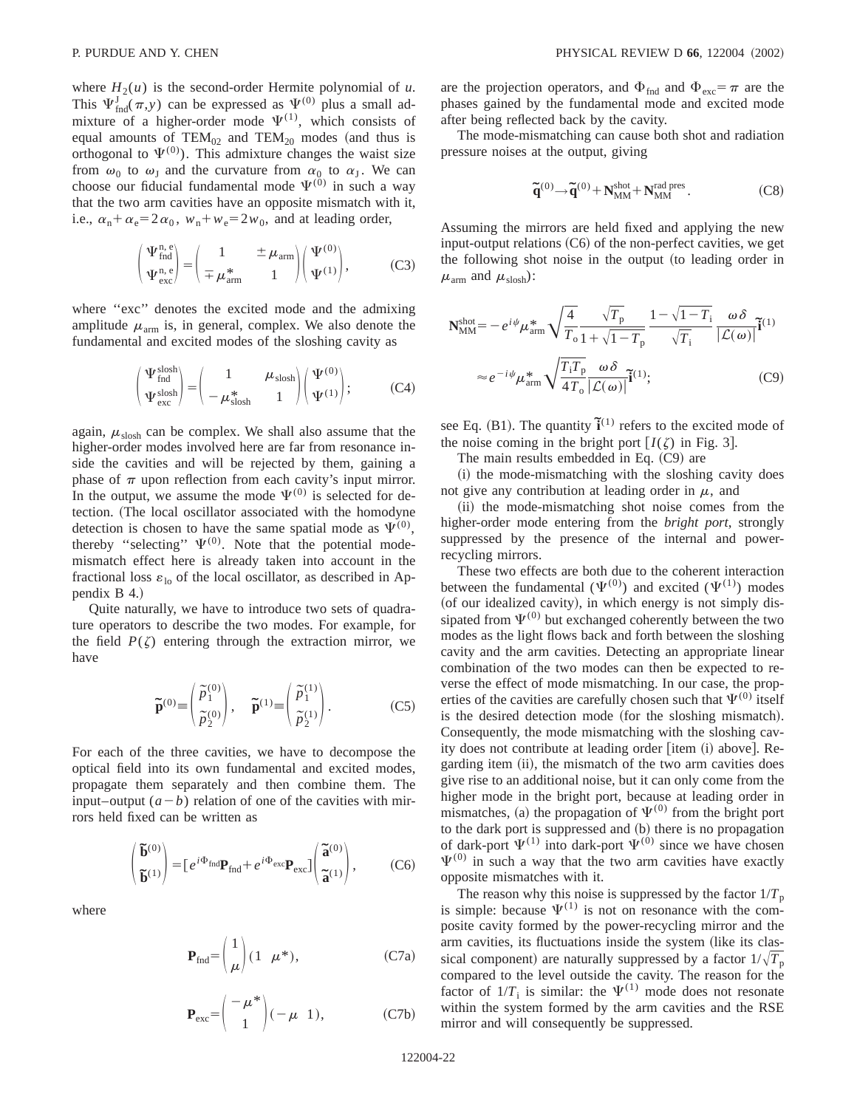where  $H_2(u)$  is the second-order Hermite polynomial of *u*. This  $\Psi_{\text{find}}^J(\pi, y)$  can be expressed as  $\Psi^{(0)}$  plus a small admixture of a higher-order mode  $\Psi^{(1)}$ , which consists of equal amounts of  $TEM_{02}$  and  $TEM_{20}$  modes (and thus is orthogonal to  $\Psi^{(0)}$ ). This admixture changes the waist size from  $\omega_0$  to  $\omega_J$  and the curvature from  $\alpha_0$  to  $\alpha_J$ . We can choose our fiducial fundamental mode  $\Psi^{(0)}$  in such a way that the two arm cavities have an opposite mismatch with it, i.e.,  $\alpha_n + \alpha_e = 2\alpha_0$ ,  $w_n + w_e = 2w_0$ , and at leading order,

$$
\begin{pmatrix} \Psi_{\text{find}}^{\text{n,e}} \\ \Psi_{\text{exc}}^{\text{n,e}} \end{pmatrix} = \begin{pmatrix} 1 & \pm \mu_{\text{arm}} \\ \mp \mu_{\text{arm}}^* & 1 \end{pmatrix} \begin{pmatrix} \Psi^{(0)} \\ \Psi^{(1)} \end{pmatrix}, \tag{C3}
$$

where "exc" denotes the excited mode and the admixing amplitude  $\mu_{arm}$  is, in general, complex. We also denote the fundamental and excited modes of the sloshing cavity as

$$
\begin{pmatrix} \Psi_{\text{find}}^{\text{slosh}} \\ \Psi_{\text{exc}}^{\text{slosh}} \end{pmatrix} = \begin{pmatrix} 1 & \mu_{\text{slosh}} \\ -\mu_{\text{slosh}}^* & 1 \end{pmatrix} \begin{pmatrix} \Psi^{(0)} \\ \Psi^{(1)} \end{pmatrix};\tag{C4}
$$

again,  $\mu_{\rm{slosh}}$  can be complex. We shall also assume that the higher-order modes involved here are far from resonance inside the cavities and will be rejected by them, gaining a phase of  $\pi$  upon reflection from each cavity's input mirror. In the output, we assume the mode  $\Psi^{(0)}$  is selected for detection. (The local oscillator associated with the homodyne detection is chosen to have the same spatial mode as  $\Psi^{(0)}$ , thereby "selecting"  $\Psi^{(0)}$ . Note that the potential modemismatch effect here is already taken into account in the fractional loss  $\varepsilon_{\text{lo}}$  of the local oscillator, as described in Appendix B 4.)

Quite naturally, we have to introduce two sets of quadrature operators to describe the two modes. For example, for the field  $P(\zeta)$  entering through the extraction mirror, we have

$$
\widetilde{\mathbf{p}}^{(0)} \equiv \begin{pmatrix} \widetilde{p}_1^{(0)} \\ \widetilde{p}_2^{(0)} \end{pmatrix}, \quad \widetilde{\mathbf{p}}^{(1)} \equiv \begin{pmatrix} \widetilde{p}_1^{(1)} \\ \widetilde{p}_2^{(1)} \end{pmatrix}.
$$
 (C5)

For each of the three cavities, we have to decompose the optical field into its own fundamental and excited modes, propagate them separately and then combine them. The input–output  $(a - b)$  relation of one of the cavities with mirrors held fixed can be written as

$$
\begin{pmatrix} \widetilde{\mathbf{b}}^{(0)} \\ \widetilde{\mathbf{b}}^{(1)} \end{pmatrix} = \begin{bmatrix} e^{i\Phi_{\text{find}}} \mathbf{P}_{\text{find}} + e^{i\Phi_{\text{exc}}} \mathbf{P}_{\text{exc}} \end{bmatrix} \begin{pmatrix} \widetilde{\mathbf{a}}^{(0)} \\ \widetilde{\mathbf{a}}^{(1)} \end{pmatrix}, \tag{C6}
$$

where

$$
\mathbf{P}_{\text{find}} = \begin{pmatrix} 1 \\ \mu \end{pmatrix} (1 \ \mu^*), \tag{C7a}
$$

$$
\mathbf{P}_{\text{exc}} = \begin{pmatrix} -\mu^* \\ 1 \end{pmatrix} (-\mu \quad 1), \tag{C7b}
$$

are the projection operators, and  $\Phi_{\text{fnd}}$  and  $\Phi_{\text{exc}} = \pi$  are the phases gained by the fundamental mode and excited mode after being reflected back by the cavity.

The mode-mismatching can cause both shot and radiation pressure noises at the output, giving

$$
\widetilde{\mathbf{q}}^{(0)} \rightarrow \widetilde{\mathbf{q}}^{(0)} + \mathbf{N}_{MM}^{shot} + \mathbf{N}_{MM}^{rad \text{ pres}}.
$$
 (C8)

Assuming the mirrors are held fixed and applying the new input-output relations  $(C6)$  of the non-perfect cavities, we get the following shot noise in the output (to leading order in  $\mu_{arm}$  and  $\mu_{slosh}$ ):

$$
\mathbf{N}_{\text{MM}}^{\text{shot}} = -e^{i\psi} \mu_{\text{arm}}^* \sqrt{\frac{4}{T_0}} \frac{\sqrt{T_0}}{1 + \sqrt{1 - T_0}} \frac{1 - \sqrt{1 - T_1}}{\sqrt{T_1}} \frac{\omega \delta}{|\mathcal{L}(\omega)|} \mathbf{\tilde{i}}^{(1)}
$$

$$
\approx e^{-i\psi} \mu_{\text{arm}}^* \sqrt{\frac{T_1 T_0}{4T_0}} \frac{\omega \delta}{|\mathcal{L}(\omega)|} \mathbf{\tilde{i}}^{(1)}; \tag{C9}
$$

see Eq. (B1). The quantity  $\tilde{\mathbf{i}}^{(1)}$  refers to the excited mode of the noise coming in the bright port  $[I(\zeta)$  in Fig. 3.

The main results embedded in Eq.  $(C9)$  are

 $(i)$  the mode-mismatching with the sloshing cavity does not give any contribution at leading order in  $\mu$ , and

(ii) the mode-mismatching shot noise comes from the higher-order mode entering from the *bright port*, strongly suppressed by the presence of the internal and powerrecycling mirrors.

These two effects are both due to the coherent interaction between the fundamental  $(\Psi^{(0)})$  and excited  $(\Psi^{(1)})$  modes (of our idealized cavity), in which energy is not simply dissipated from  $\Psi^{(0)}$  but exchanged coherently between the two modes as the light flows back and forth between the sloshing cavity and the arm cavities. Detecting an appropriate linear combination of the two modes can then be expected to reverse the effect of mode mismatching. In our case, the properties of the cavities are carefully chosen such that  $\Psi^{(0)}$  itself is the desired detection mode (for the sloshing mismatch). Consequently, the mode mismatching with the sloshing cavity does not contribute at leading order  $[item (i) above]$ . Regarding item (ii), the mismatch of the two arm cavities does give rise to an additional noise, but it can only come from the higher mode in the bright port, because at leading order in mismatches, (a) the propagation of  $\Psi^{(0)}$  from the bright port to the dark port is suppressed and (b) there is no propagation of dark-port  $\Psi^{(1)}$  into dark-port  $\Psi^{(0)}$  since we have chosen  $\Psi^{(0)}$  in such a way that the two arm cavities have exactly opposite mismatches with it.

The reason why this noise is suppressed by the factor  $1/T_p$ is simple: because  $\Psi^{(1)}$  is not on resonance with the composite cavity formed by the power-recycling mirror and the arm cavities, its fluctuations inside the system (like its classical component) are naturally suppressed by a factor  $1/\sqrt{T_p}$ compared to the level outside the cavity. The reason for the factor of  $1/T_i$  is similar: the  $\Psi^{(1)}$  mode does not resonate within the system formed by the arm cavities and the RSE mirror and will consequently be suppressed.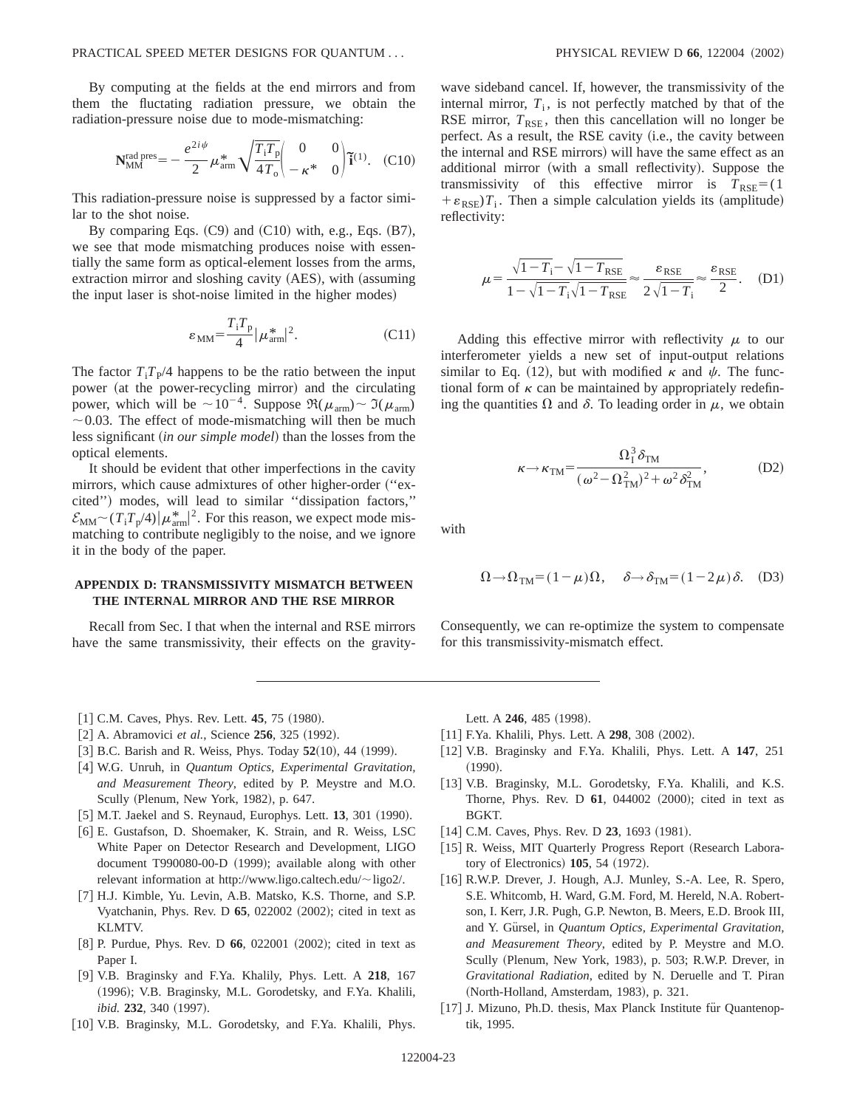By computing at the fields at the end mirrors and from them the fluctating radiation pressure, we obtain the radiation-pressure noise due to mode-mismatching:

$$
\mathbf{N}_{\text{MM}}^{\text{rad pres}} = -\frac{e^{2i\psi}}{2} \mu_{\text{arm}}^* \sqrt{\frac{T_i T_p}{4T_o}} \begin{pmatrix} 0 & 0 \ -\kappa^* & 0 \end{pmatrix} \tilde{\mathbf{i}}^{(1)}.
$$
 (C10)

This radiation-pressure noise is suppressed by a factor similar to the shot noise.

By comparing Eqs.  $(C9)$  and  $(C10)$  with, e.g., Eqs.  $(B7)$ , we see that mode mismatching produces noise with essentially the same form as optical-element losses from the arms, extraction mirror and sloshing cavity (AES), with (assuming the input laser is shot-noise limited in the higher modes)

$$
\varepsilon_{\text{MM}} = \frac{T_i T_p}{4} |\mu_{\text{arm}}^*|^2. \tag{C11}
$$

The factor  $T_i T_{\rm P}/4$  happens to be the ratio between the input power (at the power-recycling mirror) and the circulating power, which will be  $\sim 10^{-4}$ . Suppose  $\Re(\mu_{arm}) \sim \Im(\mu_{arm})$  $\sim$  0.03. The effect of mode-mismatching will then be much less significant (*in our simple model*) than the losses from the optical elements.

It should be evident that other imperfections in the cavity mirrors, which cause admixtures of other higher-order ("excited") modes, will lead to similar "dissipation factors,"  $\mathcal{E}_{\text{MM}} \sim (T_i T_p/4) |\mu_{\text{arm}}^*|^2$ . For this reason, we expect mode mismatching to contribute negligibly to the noise, and we ignore it in the body of the paper.

# **APPENDIX D: TRANSMISSIVITY MISMATCH BETWEEN THE INTERNAL MIRROR AND THE RSE MIRROR**

Recall from Sec. I that when the internal and RSE mirrors have the same transmissivity, their effects on the gravitywave sideband cancel. If, however, the transmissivity of the internal mirror,  $T_i$ , is not perfectly matched by that of the RSE mirror,  $T_{RSE}$ , then this cancellation will no longer be perfect. As a result, the RSE cavity (i.e., the cavity between the internal and RSE mirrors) will have the same effect as an additional mirror (with a small reflectivity). Suppose the transmissivity of this effective mirror is  $T_{RSE}$ =(1)  $+\varepsilon_{RSE}T_i$ . Then a simple calculation yields its (amplitude) reflectivity:

$$
\mu = \frac{\sqrt{1 - T_i} - \sqrt{1 - T_{\text{RSE}}}}{1 - \sqrt{1 - T_i}\sqrt{1 - T_{\text{RSE}}}} \approx \frac{\varepsilon_{\text{RSE}}}{2\sqrt{1 - T_i}} \approx \frac{\varepsilon_{\text{RSE}}}{2}.
$$
 (D1)

Adding this effective mirror with reflectivity  $\mu$  to our interferometer yields a new set of input-output relations similar to Eq. (12), but with modified  $\kappa$  and  $\psi$ . The functional form of  $\kappa$  can be maintained by appropriately redefining the quantities  $\Omega$  and  $\delta$ . To leading order in  $\mu$ , we obtain

$$
\kappa \rightarrow \kappa_{\rm TM} = \frac{\Omega_1^3 \delta_{\rm TM}}{(\omega^2 - \Omega_{\rm TM}^2)^2 + \omega^2 \delta_{\rm TM}^2},\tag{D2}
$$

with

$$
\Omega \to \Omega_{TM} = (1 - \mu)\Omega, \quad \delta \to \delta_{TM} = (1 - 2\mu)\delta. \quad (D3)
$$

Consequently, we can re-optimize the system to compensate for this transmissivity-mismatch effect.

- $[1]$  C.M. Caves, Phys. Rev. Lett. **45**, 75  $(1980)$ .
- [2] A. Abramovici *et al.*, Science **256**, 325 (1992).
- $[3]$  B.C. Barish and R. Weiss, Phys. Today  $52(10)$ , 44  $(1999)$ .
- [4] W.G. Unruh, in *Quantum Optics, Experimental Gravitation, and Measurement Theory*, edited by P. Meystre and M.O. Scully (Plenum, New York, 1982), p. 647.
- [5] M.T. Jaekel and S. Reynaud, Europhys. Lett. **13**, 301 (1990).
- [6] E. Gustafson, D. Shoemaker, K. Strain, and R. Weiss, LSC White Paper on Detector Research and Development, LIGO document T990080-00-D (1999); available along with other relevant information at http://www.ligo.caltech.edu/ $\sim$ ligo2/.
- [7] H.J. Kimble, Yu. Levin, A.B. Matsko, K.S. Thorne, and S.P. Vyatchanin, Phys. Rev. D 65, 022002 (2002); cited in text as KLMTV.
- [8] P. Purdue, Phys. Rev. D 66, 022001 (2002); cited in text as Paper I.
- @9# V.B. Braginsky and F.Ya. Khalily, Phys. Lett. A **218**, 167 (1996); V.B. Braginsky, M.L. Gorodetsky, and F.Ya. Khalili, *ibid.* **232**, 340 (1997).
- [10] V.B. Braginsky, M.L. Gorodetsky, and F.Ya. Khalili, Phys.

Lett. A 246, 485 (1998).

- $[11]$  F.Ya. Khalili, Phys. Lett. A 298, 308  $(2002)$ .
- [12] V.B. Braginsky and F.Ya. Khalili, Phys. Lett. A 147, 251  $(1990).$
- [13] V.B. Braginsky, M.L. Gorodetsky, F.Ya. Khalili, and K.S. Thorne, Phys. Rev. D 61, 044002 (2000); cited in text as BGKT.
- $[14]$  C.M. Caves, Phys. Rev. D  $23$ , 1693  $(1981)$ .
- [15] R. Weiss, MIT Quarterly Progress Report (Research Laboratory of Electronics) **105**, 54 (1972).
- [16] R.W.P. Drever, J. Hough, A.J. Munley, S.-A. Lee, R. Spero, S.E. Whitcomb, H. Ward, G.M. Ford, M. Hereld, N.A. Robertson, I. Kerr, J.R. Pugh, G.P. Newton, B. Meers, E.D. Brook III, and Y. Gürsel, in *Quantum Optics, Experimental Gravitation*, *and Measurement Theory*, edited by P. Meystre and M.O. Scully (Plenum, New York, 1983), p. 503; R.W.P. Drever, in *Gravitational Radiation*, edited by N. Deruelle and T. Piran (North-Holland, Amsterdam, 1983), p. 321.
- [17] J. Mizuno, Ph.D. thesis, Max Planck Institute für Quantenoptik, 1995.